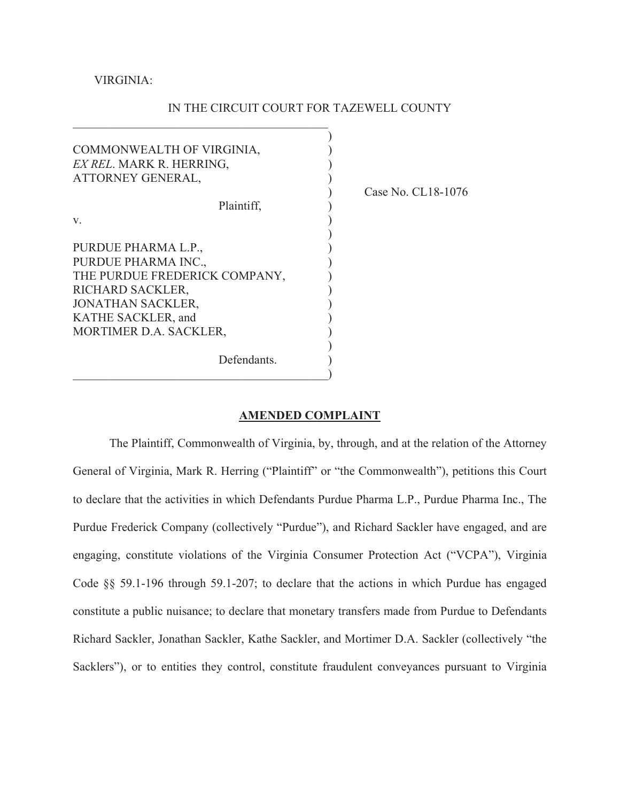VIRGINIA:

## IN THE CIRCUIT COURT FOR TAZEWELL COUNTY

| COMMONWEALTH OF VIRGINIA,<br>EX REL. MARK R. HERRING,<br>ATTORNEY GENERAL, |    |
|----------------------------------------------------------------------------|----|
| Plaintiff.                                                                 | ٠, |
|                                                                            |    |
| V.                                                                         |    |
| PURDUE PHARMA L.P.,                                                        |    |
| PURDUE PHARMA INC.,                                                        |    |
| THE PURDUE FREDERICK COMPANY,                                              |    |
| RICHARD SACKLER,                                                           |    |
| <b>JONATHAN SACKLER,</b>                                                   |    |
| KATHE SACKLER, and                                                         |    |
| MORTIMER D.A. SACKLER,                                                     |    |
|                                                                            |    |
| Defendants.                                                                |    |
|                                                                            |    |

 $\mathcal{L}_\mathcal{L} = \mathcal{L}_\mathcal{L} = \mathcal{L}_\mathcal{L} = \mathcal{L}_\mathcal{L} = \mathcal{L}_\mathcal{L} = \mathcal{L}_\mathcal{L} = \mathcal{L}_\mathcal{L} = \mathcal{L}_\mathcal{L} = \mathcal{L}_\mathcal{L} = \mathcal{L}_\mathcal{L} = \mathcal{L}_\mathcal{L} = \mathcal{L}_\mathcal{L} = \mathcal{L}_\mathcal{L} = \mathcal{L}_\mathcal{L} = \mathcal{L}_\mathcal{L} = \mathcal{L}_\mathcal{L} = \mathcal{L}_\mathcal{L}$ 

ase No. CL18-1076

#### **AMENDED COMPLAINT**

 The Plaintiff, Commonwealth of Virginia, by, through, and at the relation of the Attorney General of Virginia, Mark R. Herring ("Plaintiff" or "the Commonwealth"), petitions this Court to declare that the activities in which Defendants Purdue Pharma L.P., Purdue Pharma Inc., The Purdue Frederick Company (collectively "Purdue"), and Richard Sackler have engaged, and are engaging, constitute violations of the Virginia Consumer Protection Act ("VCPA"), Virginia Code §§ 59.1-196 through 59.1-207; to declare that the actions in which Purdue has engaged constitute a public nuisance; to declare that monetary transfers made from Purdue to Defendants Richard Sackler, Jonathan Sackler, Kathe Sackler, and Mortimer D.A. Sackler (collectively "the Sacklers"), or to entities they control, constitute fraudulent conveyances pursuant to Virginia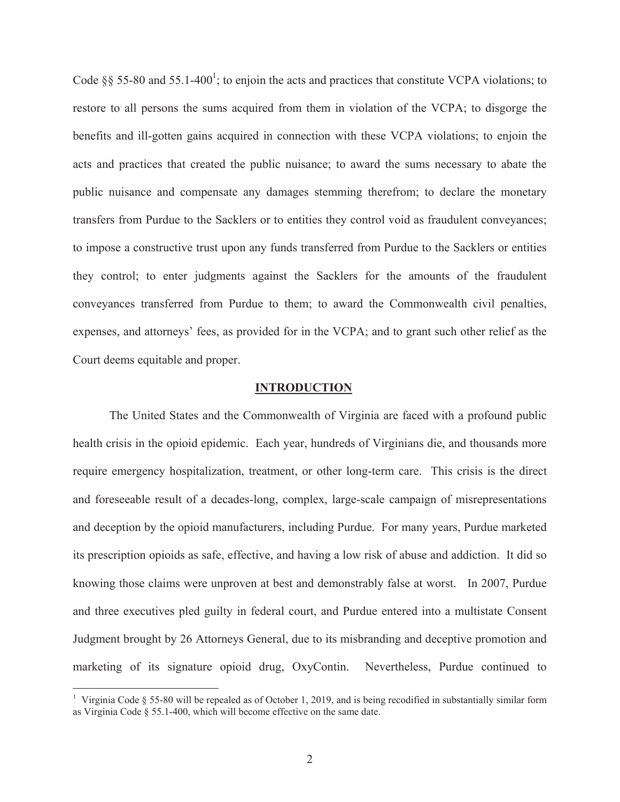Code §§ 55-80 and 55.1-400<sup>1</sup>; to enjoin the acts and practices that constitute VCPA violations; to restore to all persons the sums acquired from them in violation of the VCPA; to disgorge the benefits and ill-gotten gains acquired in connection with these VCPA violations; to enjoin the acts and practices that created the public nuisance; to award the sums necessary to abate the public nuisance and compensate any damages stemming therefrom; to declare the monetary transfers from Purdue to the Sacklers or to entities they control void as fraudulent conveyances; to impose a constructive trust upon any funds transferred from Purdue to the Sacklers or entities they control; to enter judgments against the Sacklers for the amounts of the fraudulent conveyances transferred from Purdue to them; to award the Commonwealth civil penalties, expenses, and attorneys' fees, as provided for in the VCPA; and to grant such other relief as the Court deems equitable and proper.

#### **INTRODUCTION**

 The United States and the Commonwealth of Virginia are faced with a profound public health crisis in the opioid epidemic. Each year, hundreds of Virginians die, and thousands more require emergency hospitalization, treatment, or other long-term care. This crisis is the direct and foreseeable result of a decades-long, complex, large-scale campaign of misrepresentations and deception by the opioid manufacturers, including Purdue. For many years, Purdue marketed its prescription opioids as safe, effective, and having a low risk of abuse and addiction. It did so knowing those claims were unproven at best and demonstrably false at worst. In 2007, Purdue and three executives pled guilty in federal court, and Purdue entered into a multistate Consent Judgment brought by 26 Attorneys General, due to its misbranding and deceptive promotion and marketing of its signature opioid drug, OxyContin. Nevertheless, Purdue continued to

<sup>&</sup>lt;sup>1</sup> Virginia Code § 55-80 will be repealed as of October 1, 2019, and is being recodified in substantially similar form as Virginia Code § 55.1-400, which will become effective on the same date.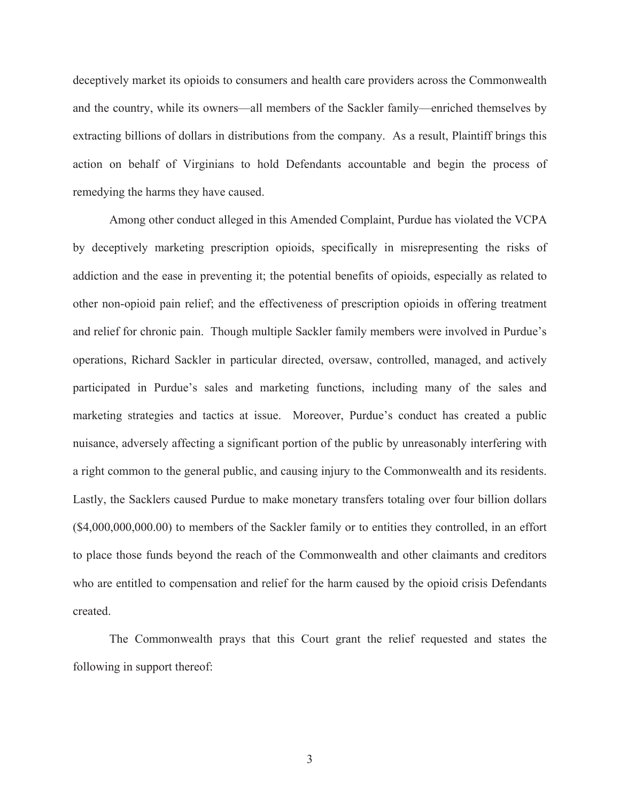deceptively market its opioids to consumers and health care providers across the Commonwealth and the country, while its owners—all members of the Sackler family—enriched themselves by extracting billions of dollars in distributions from the company. As a result, Plaintiff brings this action on behalf of Virginians to hold Defendants accountable and begin the process of remedying the harms they have caused.

 Among other conduct alleged in this Amended Complaint, Purdue has violated the VCPA by deceptively marketing prescription opioids, specifically in misrepresenting the risks of addiction and the ease in preventing it; the potential benefits of opioids, especially as related to other non-opioid pain relief; and the effectiveness of prescription opioids in offering treatment and relief for chronic pain. Though multiple Sackler family members were involved in Purdue's operations, Richard Sackler in particular directed, oversaw, controlled, managed, and actively participated in Purdue's sales and marketing functions, including many of the sales and marketing strategies and tactics at issue. Moreover, Purdue's conduct has created a public nuisance, adversely affecting a significant portion of the public by unreasonably interfering with a right common to the general public, and causing injury to the Commonwealth and its residents. Lastly, the Sacklers caused Purdue to make monetary transfers totaling over four billion dollars (\$4,000,000,000.00) to members of the Sackler family or to entities they controlled, in an effort to place those funds beyond the reach of the Commonwealth and other claimants and creditors who are entitled to compensation and relief for the harm caused by the opioid crisis Defendants created.

The Commonwealth prays that this Court grant the relief requested and states the following in support thereof: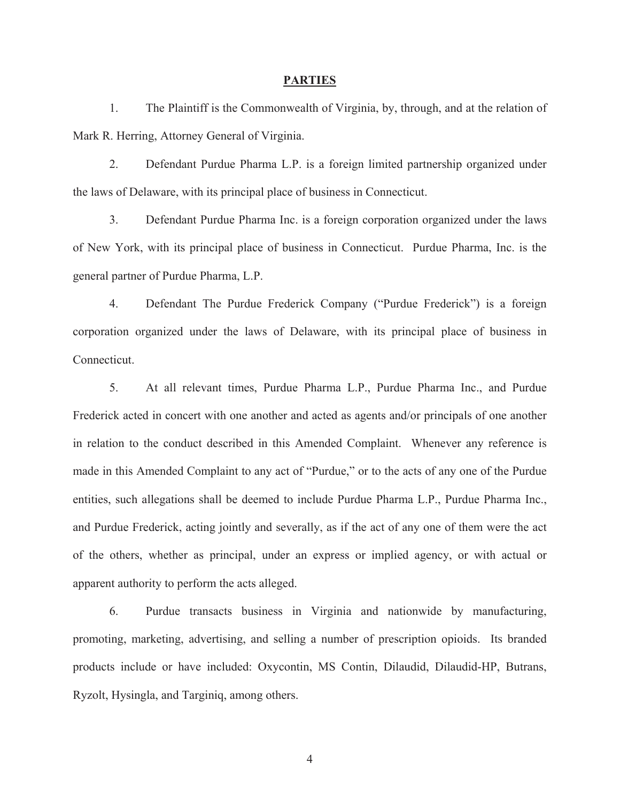#### **PARTIES**

1. The Plaintiff is the Commonwealth of Virginia, by, through, and at the relation of Mark R. Herring, Attorney General of Virginia.

2. Defendant Purdue Pharma L.P. is a foreign limited partnership organized under the laws of Delaware, with its principal place of business in Connecticut.

3. Defendant Purdue Pharma Inc. is a foreign corporation organized under the laws of New York, with its principal place of business in Connecticut. Purdue Pharma, Inc. is the general partner of Purdue Pharma, L.P.

4. Defendant The Purdue Frederick Company ("Purdue Frederick") is a foreign corporation organized under the laws of Delaware, with its principal place of business in Connecticut.

5. At all relevant times, Purdue Pharma L.P., Purdue Pharma Inc., and Purdue Frederick acted in concert with one another and acted as agents and/or principals of one another in relation to the conduct described in this Amended Complaint. Whenever any reference is made in this Amended Complaint to any act of "Purdue," or to the acts of any one of the Purdue entities, such allegations shall be deemed to include Purdue Pharma L.P., Purdue Pharma Inc., and Purdue Frederick, acting jointly and severally, as if the act of any one of them were the act of the others, whether as principal, under an express or implied agency, or with actual or apparent authority to perform the acts alleged.

6. Purdue transacts business in Virginia and nationwide by manufacturing, promoting, marketing, advertising, and selling a number of prescription opioids. Its branded products include or have included: Oxycontin, MS Contin, Dilaudid, Dilaudid-HP, Butrans, Ryzolt, Hysingla, and Targiniq, among others.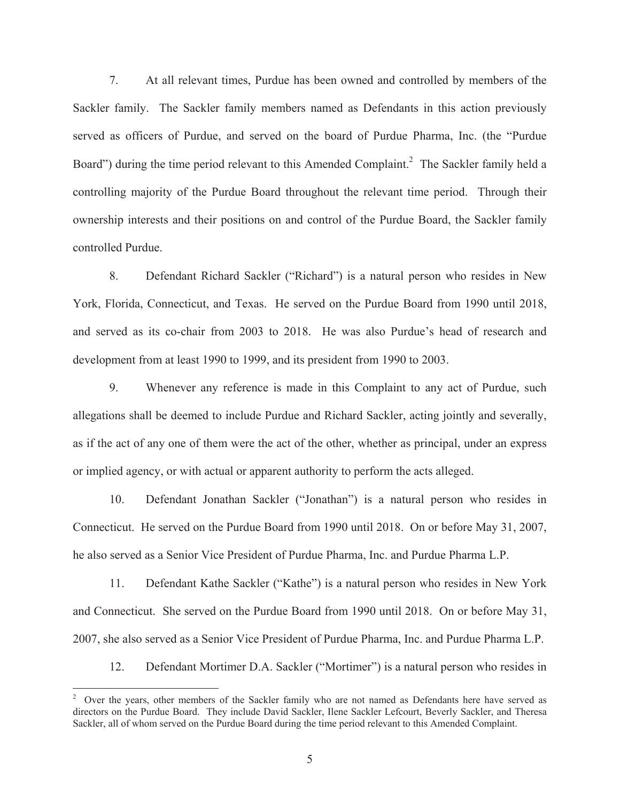7. At all relevant times, Purdue has been owned and controlled by members of the Sackler family. The Sackler family members named as Defendants in this action previously served as officers of Purdue, and served on the board of Purdue Pharma, Inc. (the "Purdue Board") during the time period relevant to this Amended Complaint.<sup>2</sup> The Sackler family held a controlling majority of the Purdue Board throughout the relevant time period. Through their ownership interests and their positions on and control of the Purdue Board, the Sackler family controlled Purdue.

8. Defendant Richard Sackler ("Richard") is a natural person who resides in New York, Florida, Connecticut, and Texas. He served on the Purdue Board from 1990 until 2018, and served as its co-chair from 2003 to 2018. He was also Purdue's head of research and development from at least 1990 to 1999, and its president from 1990 to 2003.

9. Whenever any reference is made in this Complaint to any act of Purdue, such allegations shall be deemed to include Purdue and Richard Sackler, acting jointly and severally, as if the act of any one of them were the act of the other, whether as principal, under an express or implied agency, or with actual or apparent authority to perform the acts alleged.

10. Defendant Jonathan Sackler ("Jonathan") is a natural person who resides in Connecticut. He served on the Purdue Board from 1990 until 2018. On or before May 31, 2007, he also served as a Senior Vice President of Purdue Pharma, Inc. and Purdue Pharma L.P.

11. Defendant Kathe Sackler ("Kathe") is a natural person who resides in New York and Connecticut. She served on the Purdue Board from 1990 until 2018. On or before May 31, 2007, she also served as a Senior Vice President of Purdue Pharma, Inc. and Purdue Pharma L.P.

12. Defendant Mortimer D.A. Sackler ("Mortimer") is a natural person who resides in

<sup>&</sup>lt;sup>2</sup> Over the years, other members of the Sackler family who are not named as Defendants here have served as directors on the Purdue Board. They include David Sackler, Ilene Sackler Lefcourt, Beverly Sackler, and Theresa Sackler, all of whom served on the Purdue Board during the time period relevant to this Amended Complaint.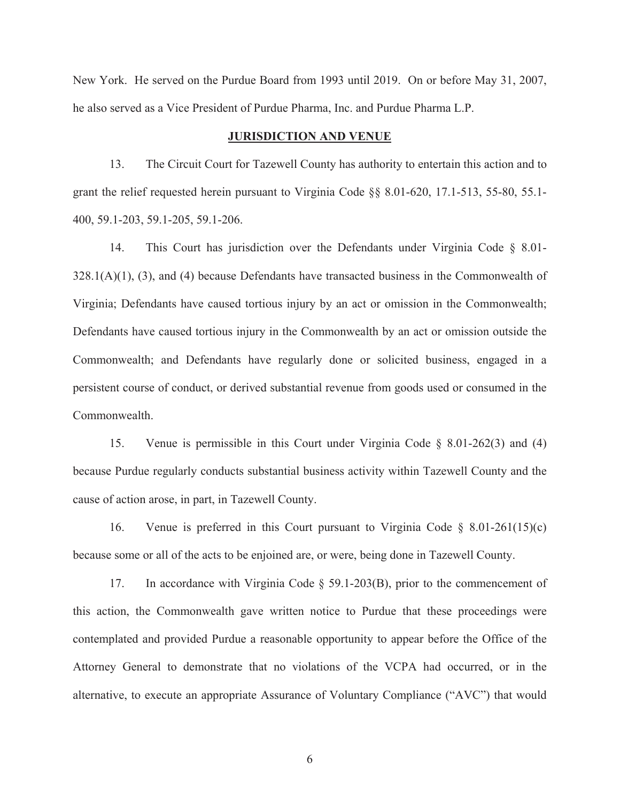New York. He served on the Purdue Board from 1993 until 2019. On or before May 31, 2007, he also served as a Vice President of Purdue Pharma, Inc. and Purdue Pharma L.P.

#### **JURISDICTION AND VENUE**

13. The Circuit Court for Tazewell County has authority to entertain this action and to grant the relief requested herein pursuant to Virginia Code §§ 8.01-620, 17.1-513, 55-80, 55.1- 400, 59.1-203, 59.1-205, 59.1-206.

14. This Court has jurisdiction over the Defendants under Virginia Code § 8.01-  $328.1(A)(1)$ , (3), and (4) because Defendants have transacted business in the Commonwealth of Virginia; Defendants have caused tortious injury by an act or omission in the Commonwealth; Defendants have caused tortious injury in the Commonwealth by an act or omission outside the Commonwealth; and Defendants have regularly done or solicited business, engaged in a persistent course of conduct, or derived substantial revenue from goods used or consumed in the Commonwealth.

15. Venue is permissible in this Court under Virginia Code § 8.01-262(3) and (4) because Purdue regularly conducts substantial business activity within Tazewell County and the cause of action arose, in part, in Tazewell County.

16. Venue is preferred in this Court pursuant to Virginia Code § 8.01-261(15)(c) because some or all of the acts to be enjoined are, or were, being done in Tazewell County.

17. In accordance with Virginia Code § 59.1-203(B), prior to the commencement of this action, the Commonwealth gave written notice to Purdue that these proceedings were contemplated and provided Purdue a reasonable opportunity to appear before the Office of the Attorney General to demonstrate that no violations of the VCPA had occurred, or in the alternative, to execute an appropriate Assurance of Voluntary Compliance ("AVC") that would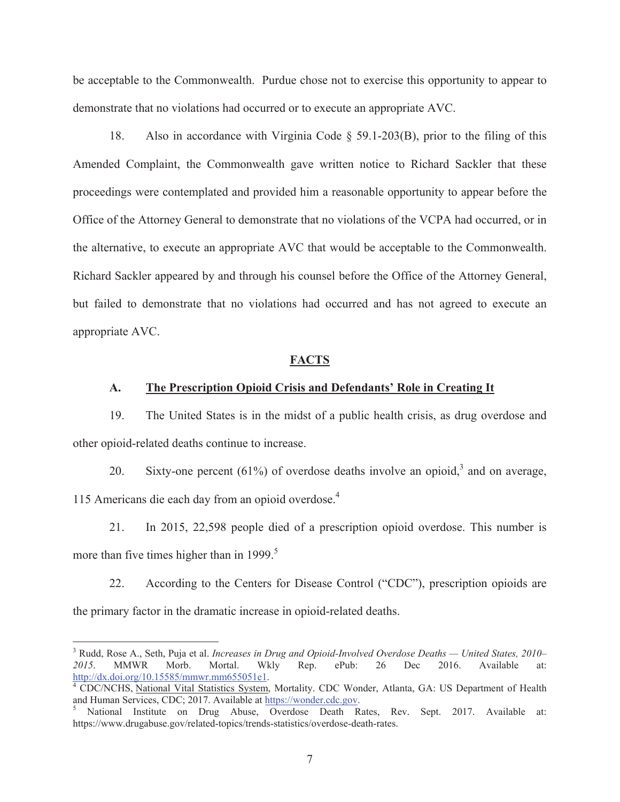be acceptable to the Commonwealth. Purdue chose not to exercise this opportunity to appear to demonstrate that no violations had occurred or to execute an appropriate AVC.

18. Also in accordance with Virginia Code § 59.1-203(B), prior to the filing of this Amended Complaint, the Commonwealth gave written notice to Richard Sackler that these proceedings were contemplated and provided him a reasonable opportunity to appear before the Office of the Attorney General to demonstrate that no violations of the VCPA had occurred, or in the alternative, to execute an appropriate AVC that would be acceptable to the Commonwealth. Richard Sackler appeared by and through his counsel before the Office of the Attorney General, but failed to demonstrate that no violations had occurred and has not agreed to execute an appropriate AVC.

#### **FACTS**

#### **A. The Prescription Opioid Crisis and Defendants' Role in Creating It**

19. The United States is in the midst of a public health crisis, as drug overdose and other opioid-related deaths continue to increase.

20. Sixty-one percent (61%) of overdose deaths involve an opioid,<sup>3</sup> and on average, 115 Americans die each day from an opioid overdose.4

21. In 2015, 22,598 people died of a prescription opioid overdose. This number is more than five times higher than in  $1999$ .<sup>5</sup>

22. According to the Centers for Disease Control ("CDC"), prescription opioids are the primary factor in the dramatic increase in opioid-related deaths.

<sup>3</sup> Rudd, Rose A., Seth, Puja et al. *Increases in Drug and Opioid-Involved Overdose Deaths — United States, 2010– 2015*. MMWR Morb. Mortal. Wkly Rep. ePub: 26 Dec 2016. Available at: http://dx.doi.org/10.15585/mmwr.mm655051e1. 4

CDC/NCHS, National Vital Statistics System, Mortality. CDC Wonder, Atlanta, GA: US Department of Health and Human Services, CDC; 2017. Available at https://wonder.cdc.gov. 5

National Institute on Drug Abuse, Overdose Death Rates, Rev. Sept. 2017. Available at: https://www.drugabuse.gov/related-topics/trends-statistics/overdose-death-rates.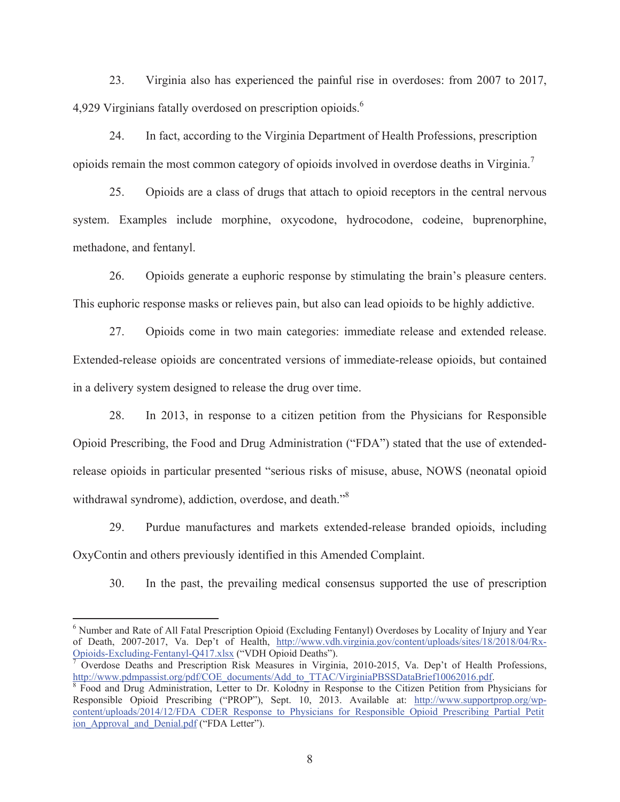23. Virginia also has experienced the painful rise in overdoses: from 2007 to 2017, 4,929 Virginians fatally overdosed on prescription opioids.<sup>6</sup>

24. In fact, according to the Virginia Department of Health Professions, prescription opioids remain the most common category of opioids involved in overdose deaths in Virginia.7

25. Opioids are a class of drugs that attach to opioid receptors in the central nervous system. Examples include morphine, oxycodone, hydrocodone, codeine, buprenorphine, methadone, and fentanyl.

26. Opioids generate a euphoric response by stimulating the brain's pleasure centers. This euphoric response masks or relieves pain, but also can lead opioids to be highly addictive.

27. Opioids come in two main categories: immediate release and extended release. Extended-release opioids are concentrated versions of immediate-release opioids, but contained in a delivery system designed to release the drug over time.

28. In 2013, in response to a citizen petition from the Physicians for Responsible Opioid Prescribing, the Food and Drug Administration ("FDA") stated that the use of extendedrelease opioids in particular presented "serious risks of misuse, abuse, NOWS (neonatal opioid withdrawal syndrome), addiction, overdose, and death."8

29. Purdue manufactures and markets extended-release branded opioids, including OxyContin and others previously identified in this Amended Complaint.

30. In the past, the prevailing medical consensus supported the use of prescription

<sup>&</sup>lt;sup>6</sup> Number and Rate of All Fatal Prescription Opioid (Excluding Fentanyl) Overdoses by Locality of Injury and Year of Death, 2007-2017, Va. Dep't of Health, http://www.vdh.virginia.gov/content/uploads/sites/18/2018/04/Rx-Opioids-Excluding-Fentanyl-Q417.xlsx ("VDH Opioid Deaths"). 7

Overdose Deaths and Prescription Risk Measures in Virginia, 2010-2015, Va. Dep't of Health Professions, http://www.pdmpassist.org/pdf/COE\_documents/Add\_to\_TTAC/VirginiaPBSSDataBrief10062016.pdf.

<sup>&</sup>lt;sup>8</sup> Food and Drug Administration, Letter to Dr. Kolodny in Response to the Citizen Petition from Physicians for Responsible Opioid Prescribing ("PROP"), Sept. 10, 2013. Available at: http://www.supportprop.org/wpcontent/uploads/2014/12/FDA\_CDER\_Response\_to\_Physicians\_for\_Responsible\_Opioid\_Prescribing\_Partial\_Petit ion Approval and Denial.pdf ("FDA Letter").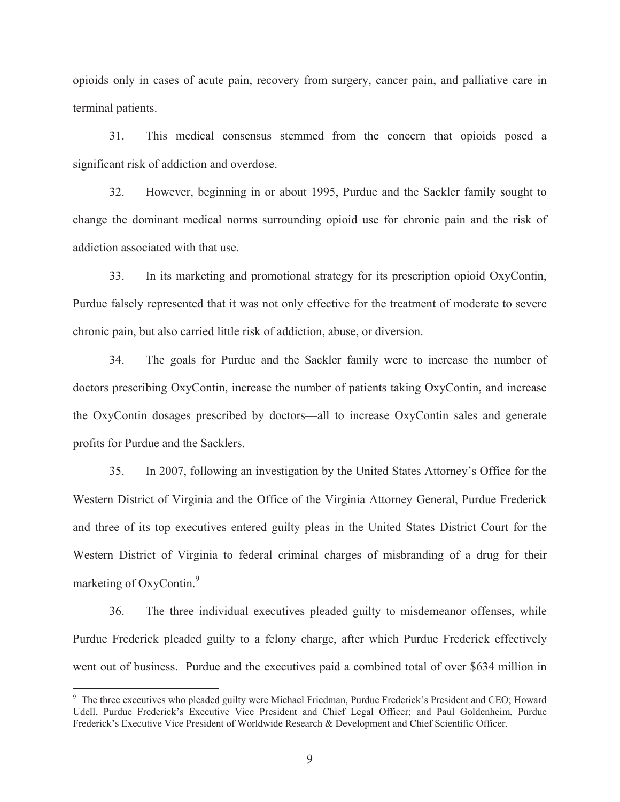opioids only in cases of acute pain, recovery from surgery, cancer pain, and palliative care in terminal patients.

31. This medical consensus stemmed from the concern that opioids posed a significant risk of addiction and overdose.

32. However, beginning in or about 1995, Purdue and the Sackler family sought to change the dominant medical norms surrounding opioid use for chronic pain and the risk of addiction associated with that use.

33. In its marketing and promotional strategy for its prescription opioid OxyContin, Purdue falsely represented that it was not only effective for the treatment of moderate to severe chronic pain, but also carried little risk of addiction, abuse, or diversion.

34. The goals for Purdue and the Sackler family were to increase the number of doctors prescribing OxyContin, increase the number of patients taking OxyContin, and increase the OxyContin dosages prescribed by doctors—all to increase OxyContin sales and generate profits for Purdue and the Sacklers.

35. In 2007, following an investigation by the United States Attorney's Office for the Western District of Virginia and the Office of the Virginia Attorney General, Purdue Frederick and three of its top executives entered guilty pleas in the United States District Court for the Western District of Virginia to federal criminal charges of misbranding of a drug for their marketing of OxyContin.<sup>9</sup>

36. The three individual executives pleaded guilty to misdemeanor offenses, while Purdue Frederick pleaded guilty to a felony charge, after which Purdue Frederick effectively went out of business. Purdue and the executives paid a combined total of over \$634 million in

<sup>&</sup>lt;sup>9</sup> The three executives who pleaded guilty were Michael Friedman, Purdue Frederick's President and CEO; Howard Udell, Purdue Frederick's Executive Vice President and Chief Legal Officer; and Paul Goldenheim, Purdue Frederick's Executive Vice President of Worldwide Research & Development and Chief Scientific Officer.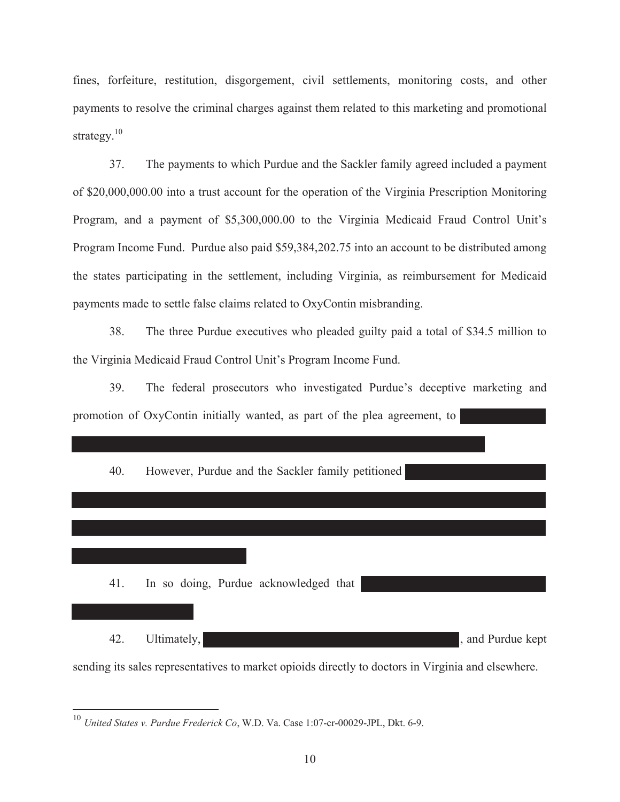fines, forfeiture, restitution, disgorgement, civil settlements, monitoring costs, and other payments to resolve the criminal charges against them related to this marketing and promotional strategy. $10$ 

37. The payments to which Purdue and the Sackler family agreed included a payment of \$20,000,000.00 into a trust account for the operation of the Virginia Prescription Monitoring Program, and a payment of \$5,300,000.00 to the Virginia Medicaid Fraud Control Unit's Program Income Fund. Purdue also paid \$59,384,202.75 into an account to be distributed among the states participating in the settlement, including Virginia, as reimbursement for Medicaid payments made to settle false claims related to OxyContin misbranding.

38. The three Purdue executives who pleaded guilty paid a total of \$34.5 million to the Virginia Medicaid Fraud Control Unit's Program Income Fund.

39. The federal prosecutors who investigated Purdue's deceptive marketing and promotion of OxyContin initially wanted, as part of the plea agreement, to



<sup>10</sup> *United States v. Purdue Frederick Co*, W.D. Va. Case 1:07-cr-00029-JPL, Dkt. 6-9.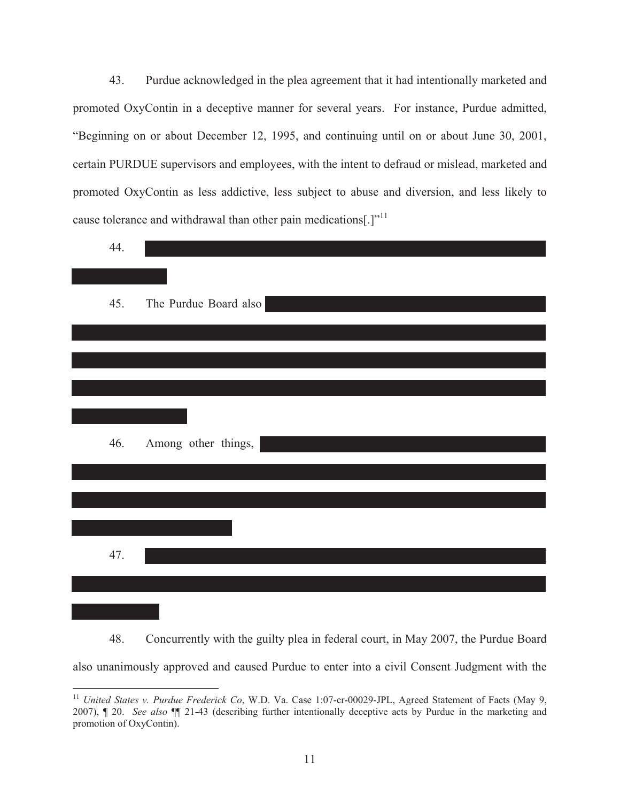43. Purdue acknowledged in the plea agreement that it had intentionally marketed and promoted OxyContin in a deceptive manner for several years. For instance, Purdue admitted, "Beginning on or about December 12, 1995, and continuing until on or about June 30, 2001, certain PURDUE supervisors and employees, with the intent to defraud or mislead, marketed and promoted OxyContin as less addictive, less subject to abuse and diversion, and less likely to cause tolerance and withdrawal than other pain medications[.]"<sup>11</sup>

| 44. |                        |
|-----|------------------------|
|     |                        |
| 45. | The Purdue Board also  |
|     |                        |
|     |                        |
|     |                        |
|     |                        |
|     |                        |
| 46. | Among other things,    |
|     |                        |
|     |                        |
|     |                        |
|     | <b>Service Service</b> |
| 47. |                        |
|     |                        |
|     |                        |

48. Concurrently with the guilty plea in federal court, in May 2007, the Purdue Board also unanimously approved and caused Purdue to enter into a civil Consent Judgment with the

<sup>&</sup>lt;sup>11</sup> *United States v. Purdue Frederick Co*, W.D. Va. Case 1:07-cr-00029-JPL, Agreed Statement of Facts (May 9, 2007), ¶ 20. *See also* ¶¶ 21-43 (describing further intentionally deceptive acts by Purdue in the marketing and promotion of OxyContin).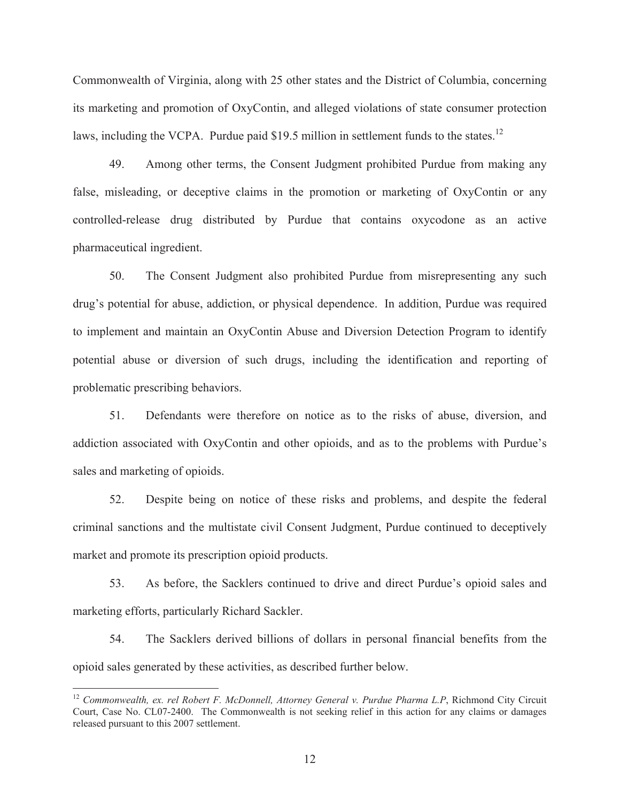Commonwealth of Virginia, along with 25 other states and the District of Columbia, concerning its marketing and promotion of OxyContin, and alleged violations of state consumer protection laws, including the VCPA. Purdue paid \$19.5 million in settlement funds to the states.<sup>12</sup>

49. Among other terms, the Consent Judgment prohibited Purdue from making any false, misleading, or deceptive claims in the promotion or marketing of OxyContin or any controlled-release drug distributed by Purdue that contains oxycodone as an active pharmaceutical ingredient.

50. The Consent Judgment also prohibited Purdue from misrepresenting any such drug's potential for abuse, addiction, or physical dependence. In addition, Purdue was required to implement and maintain an OxyContin Abuse and Diversion Detection Program to identify potential abuse or diversion of such drugs, including the identification and reporting of problematic prescribing behaviors.

51. Defendants were therefore on notice as to the risks of abuse, diversion, and addiction associated with OxyContin and other opioids, and as to the problems with Purdue's sales and marketing of opioids.

52. Despite being on notice of these risks and problems, and despite the federal criminal sanctions and the multistate civil Consent Judgment, Purdue continued to deceptively market and promote its prescription opioid products.

53. As before, the Sacklers continued to drive and direct Purdue's opioid sales and marketing efforts, particularly Richard Sackler.

54. The Sacklers derived billions of dollars in personal financial benefits from the opioid sales generated by these activities, as described further below.

<sup>&</sup>lt;sup>12</sup> Commonwealth, ex. rel Robert F. McDonnell, Attorney General v. Purdue Pharma L.P, Richmond City Circuit Court, Case No. CL07-2400. The Commonwealth is not seeking relief in this action for any claims or damages released pursuant to this 2007 settlement.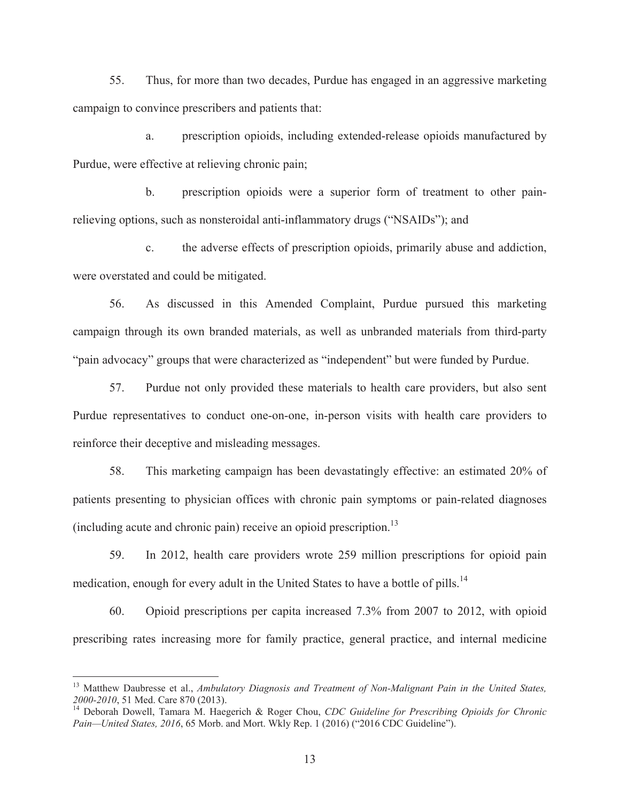55. Thus, for more than two decades, Purdue has engaged in an aggressive marketing campaign to convince prescribers and patients that:

a. prescription opioids, including extended-release opioids manufactured by Purdue, were effective at relieving chronic pain;

b. prescription opioids were a superior form of treatment to other painrelieving options, such as nonsteroidal anti-inflammatory drugs ("NSAIDs"); and

c. the adverse effects of prescription opioids, primarily abuse and addiction, were overstated and could be mitigated.

56. As discussed in this Amended Complaint, Purdue pursued this marketing campaign through its own branded materials, as well as unbranded materials from third-party "pain advocacy" groups that were characterized as "independent" but were funded by Purdue.

57. Purdue not only provided these materials to health care providers, but also sent Purdue representatives to conduct one-on-one, in-person visits with health care providers to reinforce their deceptive and misleading messages.

58. This marketing campaign has been devastatingly effective: an estimated 20% of patients presenting to physician offices with chronic pain symptoms or pain-related diagnoses (including acute and chronic pain) receive an opioid prescription.13

59. In 2012, health care providers wrote 259 million prescriptions for opioid pain medication, enough for every adult in the United States to have a bottle of pills.<sup>14</sup>

60. Opioid prescriptions per capita increased 7.3% from 2007 to 2012, with opioid prescribing rates increasing more for family practice, general practice, and internal medicine

<sup>&</sup>lt;sup>13</sup> Matthew Daubresse et al., *Ambulatory Diagnosis and Treatment of Non-Malignant Pain in the United States, 2000-2010*, 51 Med. Care 870 (2013). 14 Deborah Dowell, Tamara M. Haegerich & Roger Chou, *CDC Guideline for Prescribing Opioids for Chronic* 

Pain—United States, 2016, 65 Morb. and Mort. Wkly Rep. 1 (2016) ("2016 CDC Guideline").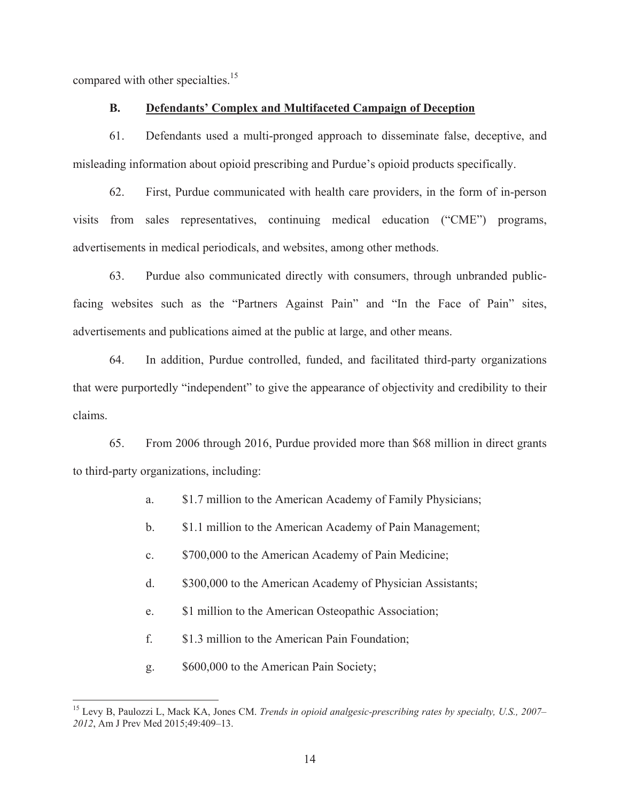compared with other specialties.<sup>15</sup>

### **B. Defendants' Complex and Multifaceted Campaign of Deception**

61. Defendants used a multi-pronged approach to disseminate false, deceptive, and misleading information about opioid prescribing and Purdue's opioid products specifically.

62. First, Purdue communicated with health care providers, in the form of in-person visits from sales representatives, continuing medical education ("CME") programs, advertisements in medical periodicals, and websites, among other methods.

63. Purdue also communicated directly with consumers, through unbranded publicfacing websites such as the "Partners Against Pain" and "In the Face of Pain" sites, advertisements and publications aimed at the public at large, and other means.

64. In addition, Purdue controlled, funded, and facilitated third-party organizations that were purportedly "independent" to give the appearance of objectivity and credibility to their claims.

65. From 2006 through 2016, Purdue provided more than \$68 million in direct grants to third-party organizations, including:

- a. \$1.7 million to the American Academy of Family Physicians;
- b. \$1.1 million to the American Academy of Pain Management;
- c. \$700,000 to the American Academy of Pain Medicine;
- d. \$300,000 to the American Academy of Physician Assistants;
- e. \$1 million to the American Osteopathic Association;
- f. \$1.3 million to the American Pain Foundation;
- g. \$600,000 to the American Pain Society;

<sup>15</sup> Levy B, Paulozzi L, Mack KA, Jones CM. *Trends in opioid analgesic-prescribing rates by specialty, U.S., 2007– 2012*, Am J Prev Med 2015;49:409–13.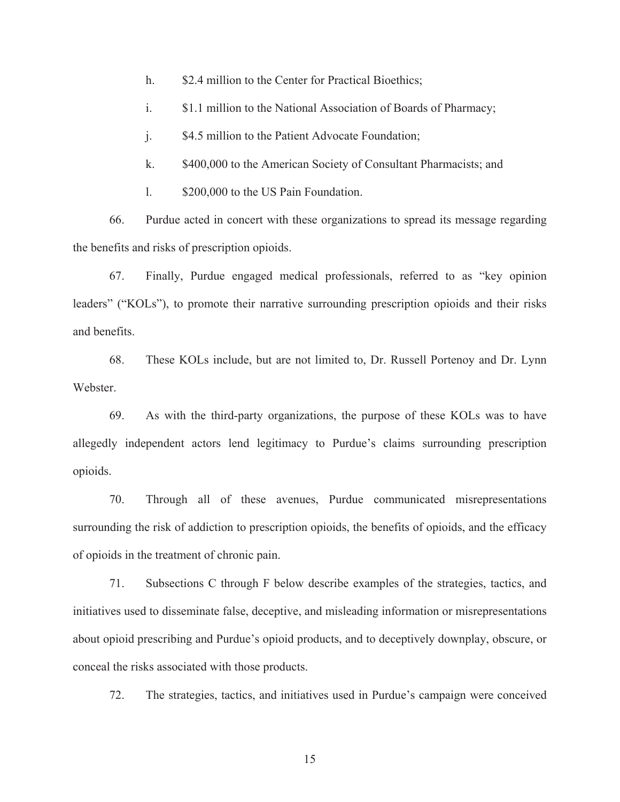- h. \$2.4 million to the Center for Practical Bioethics;
- i. \$1.1 million to the National Association of Boards of Pharmacy;
- j. \$4.5 million to the Patient Advocate Foundation;
- k. \$400,000 to the American Society of Consultant Pharmacists; and
- l. \$200,000 to the US Pain Foundation.

66. Purdue acted in concert with these organizations to spread its message regarding the benefits and risks of prescription opioids.

67. Finally, Purdue engaged medical professionals, referred to as "key opinion leaders" ("KOLs"), to promote their narrative surrounding prescription opioids and their risks and benefits.

68. These KOLs include, but are not limited to, Dr. Russell Portenoy and Dr. Lynn Webster.

69. As with the third-party organizations, the purpose of these KOLs was to have allegedly independent actors lend legitimacy to Purdue's claims surrounding prescription opioids.

70. Through all of these avenues, Purdue communicated misrepresentations surrounding the risk of addiction to prescription opioids, the benefits of opioids, and the efficacy of opioids in the treatment of chronic pain.

71. Subsections C through F below describe examples of the strategies, tactics, and initiatives used to disseminate false, deceptive, and misleading information or misrepresentations about opioid prescribing and Purdue's opioid products, and to deceptively downplay, obscure, or conceal the risks associated with those products.

72. The strategies, tactics, and initiatives used in Purdue's campaign were conceived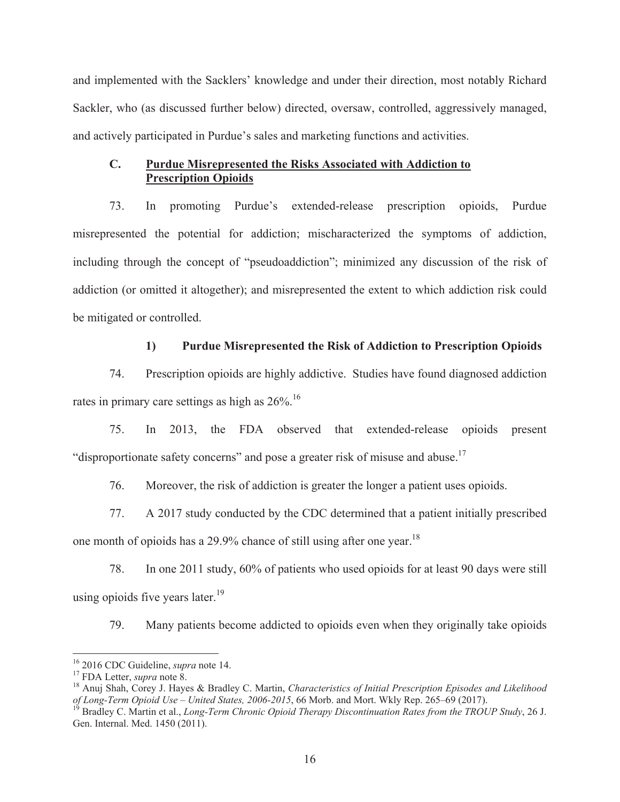and implemented with the Sacklers' knowledge and under their direction, most notably Richard Sackler, who (as discussed further below) directed, oversaw, controlled, aggressively managed, and actively participated in Purdue's sales and marketing functions and activities.

## **C. Purdue Misrepresented the Risks Associated with Addiction to Prescription Opioids**

73. In promoting Purdue's extended-release prescription opioids, Purdue misrepresented the potential for addiction; mischaracterized the symptoms of addiction, including through the concept of "pseudoaddiction"; minimized any discussion of the risk of addiction (or omitted it altogether); and misrepresented the extent to which addiction risk could be mitigated or controlled.

# **1) Purdue Misrepresented the Risk of Addiction to Prescription Opioids**

74. Prescription opioids are highly addictive. Studies have found diagnosed addiction rates in primary care settings as high as  $26\%$ .<sup>16</sup>

75. In 2013, the FDA observed that extended-release opioids present "disproportionate safety concerns" and pose a greater risk of misuse and abuse.<sup>17</sup>

76. Moreover, the risk of addiction is greater the longer a patient uses opioids.

77. A 2017 study conducted by the CDC determined that a patient initially prescribed one month of opioids has a 29.9% chance of still using after one year.<sup>18</sup>

78. In one 2011 study, 60% of patients who used opioids for at least 90 days were still using opioids five years later.<sup>19</sup>

79. Many patients become addicted to opioids even when they originally take opioids

 $\overline{a}$ 

<sup>&</sup>lt;sup>16</sup> 2016 CDC Guideline, *supra* note 14.<br><sup>17</sup> FDA Letter, *supra* note 8.<br><sup>18</sup> Anuj Shah, Corey J. Hayes & Bradley C. Martin, *Characteristics of Initial Prescription Episodes and Likelihood of Long-Term Opioid Use – United States, 2006-2015*, 66 Morb. and Mort. Wkly Rep. 265–69 (2017). 19 Bradley C. Martin et al., *Long-Term Chronic Opioid Therapy Discontinuation Rates from the TROUP Study*, 26 J.

Gen. Internal. Med. 1450 (2011).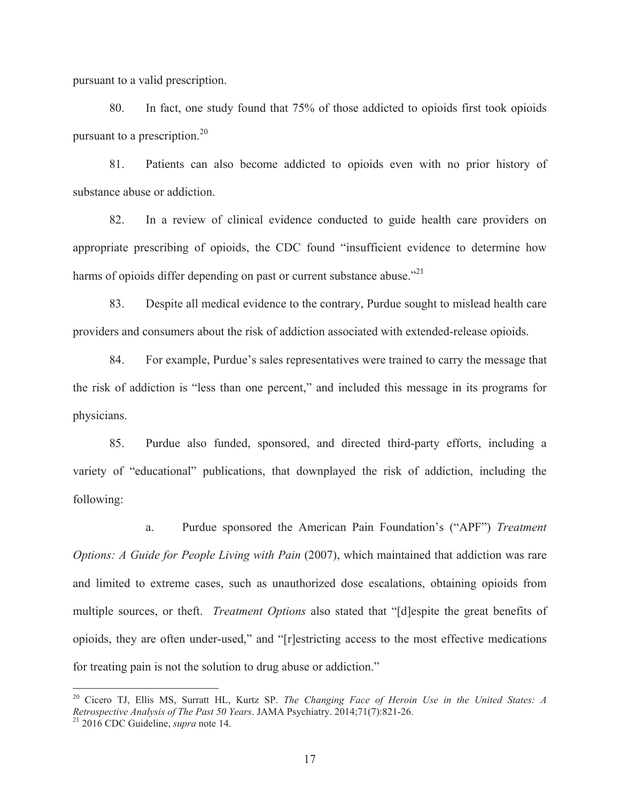pursuant to a valid prescription.

 $\overline{a}$ 

80. In fact, one study found that 75% of those addicted to opioids first took opioids pursuant to a prescription.<sup>20</sup>

81. Patients can also become addicted to opioids even with no prior history of substance abuse or addiction.

82. In a review of clinical evidence conducted to guide health care providers on appropriate prescribing of opioids, the CDC found "insufficient evidence to determine how harms of opioids differ depending on past or current substance abuse.<sup> $21$ </sup>

83. Despite all medical evidence to the contrary, Purdue sought to mislead health care providers and consumers about the risk of addiction associated with extended-release opioids.

84. For example, Purdue's sales representatives were trained to carry the message that the risk of addiction is "less than one percent," and included this message in its programs for physicians.

85. Purdue also funded, sponsored, and directed third-party efforts, including a variety of "educational" publications, that downplayed the risk of addiction, including the following:

a. Purdue sponsored the American Pain Foundation's ("APF") *Treatment Options: A Guide for People Living with Pain (2007), which maintained that addiction was rare* and limited to extreme cases, such as unauthorized dose escalations, obtaining opioids from multiple sources, or theft. *Treatment Options* also stated that "[d]espite the great benefits of opioids, they are often under-used," and "[r]estricting access to the most effective medications for treating pain is not the solution to drug abuse or addiction."

<sup>20</sup> Cicero TJ, Ellis MS, Surratt HL, Kurtz SP. *The Changing Face of Heroin Use in the United States: A Retrospective Analysis of The Past 50 Years*. JAMA Psychiatry. 2014;71(7):821-26. 21 2016 CDC Guideline, *supra* note 14.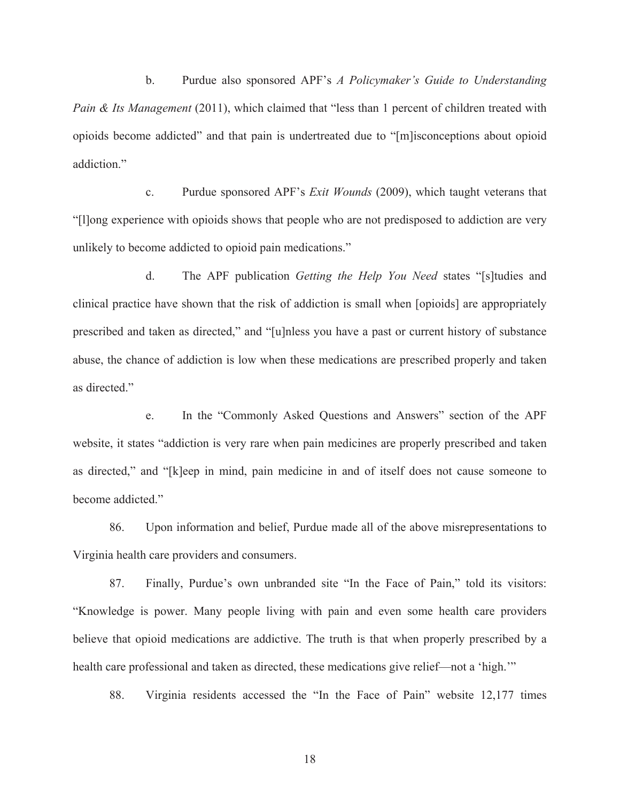b. Purdue also sponsored APF's *A Policymaker's Guide to Understanding Pain & Its Management* (2011), which claimed that "less than 1 percent of children treated with opioids become addicted" and that pain is undertreated due to "[m]isconceptions about opioid addiction"

c. Purdue sponsored APF's *Exit Wounds* (2009), which taught veterans that "[l]ong experience with opioids shows that people who are not predisposed to addiction are very unlikely to become addicted to opioid pain medications."

d. The APF publication *Getting the Help You Need* states "[s]tudies and clinical practice have shown that the risk of addiction is small when [opioids] are appropriately prescribed and taken as directed," and "[u]nless you have a past or current history of substance abuse, the chance of addiction is low when these medications are prescribed properly and taken as directed."

e. In the "Commonly Asked Questions and Answers" section of the APF website, it states "addiction is very rare when pain medicines are properly prescribed and taken as directed," and "[k]eep in mind, pain medicine in and of itself does not cause someone to become addicted."

86. Upon information and belief, Purdue made all of the above misrepresentations to Virginia health care providers and consumers.

87. Finally, Purdue's own unbranded site "In the Face of Pain," told its visitors: "Knowledge is power. Many people living with pain and even some health care providers believe that opioid medications are addictive. The truth is that when properly prescribed by a health care professional and taken as directed, these medications give relief—not a 'high.'"

88. Virginia residents accessed the "In the Face of Pain" website 12,177 times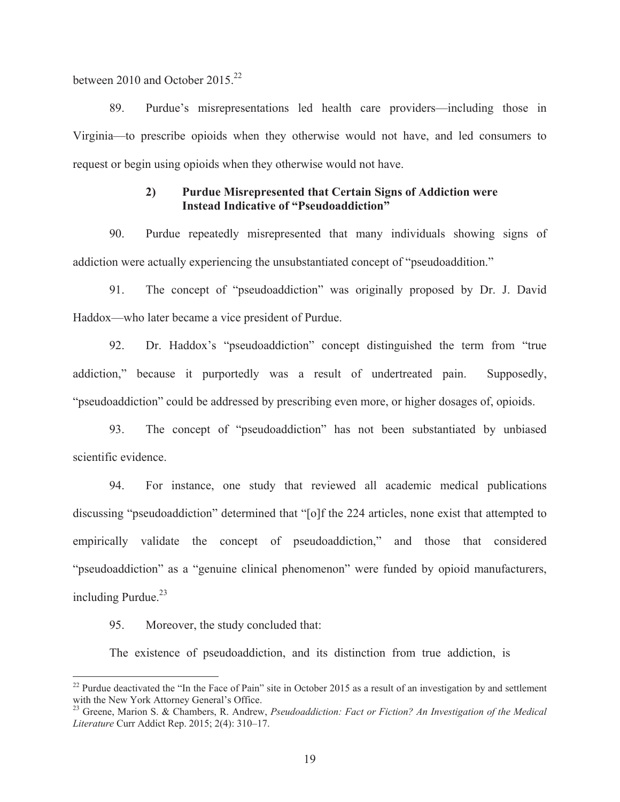between 2010 and October 2015<sup>22</sup>

89. Purdue's misrepresentations led health care providers—including those in Virginia—to prescribe opioids when they otherwise would not have, and led consumers to request or begin using opioids when they otherwise would not have.

## **2) Purdue Misrepresented that Certain Signs of Addiction were Instead Indicative of "Pseudoaddiction"**

90. Purdue repeatedly misrepresented that many individuals showing signs of addiction were actually experiencing the unsubstantiated concept of "pseudoaddition."

91. The concept of "pseudoaddiction" was originally proposed by Dr. J. David Haddox—who later became a vice president of Purdue.

92. Dr. Haddox's "pseudoaddiction" concept distinguished the term from "true addiction," because it purportedly was a result of undertreated pain. Supposedly, "pseudoaddiction" could be addressed by prescribing even more, or higher dosages of, opioids.

93. The concept of "pseudoaddiction" has not been substantiated by unbiased scientific evidence.

94. For instance, one study that reviewed all academic medical publications discussing "pseudoaddiction" determined that "[o]f the 224 articles, none exist that attempted to empirically validate the concept of pseudoaddiction," and those that considered "pseudoaddiction" as a "genuine clinical phenomenon" were funded by opioid manufacturers, including Purdue. $^{23}$ 

95. Moreover, the study concluded that:

 $\overline{a}$ 

The existence of pseudoaddiction, and its distinction from true addiction, is

 $^{22}$  Purdue deactivated the "In the Face of Pain" site in October 2015 as a result of an investigation by and settlement with the New York Attorney General's Office.

<sup>23</sup> Greene, Marion S. & Chambers, R. Andrew, *Pseudoaddiction: Fact or Fiction? An Investigation of the Medical Literature* Curr Addict Rep. 2015; 2(4): 310–17.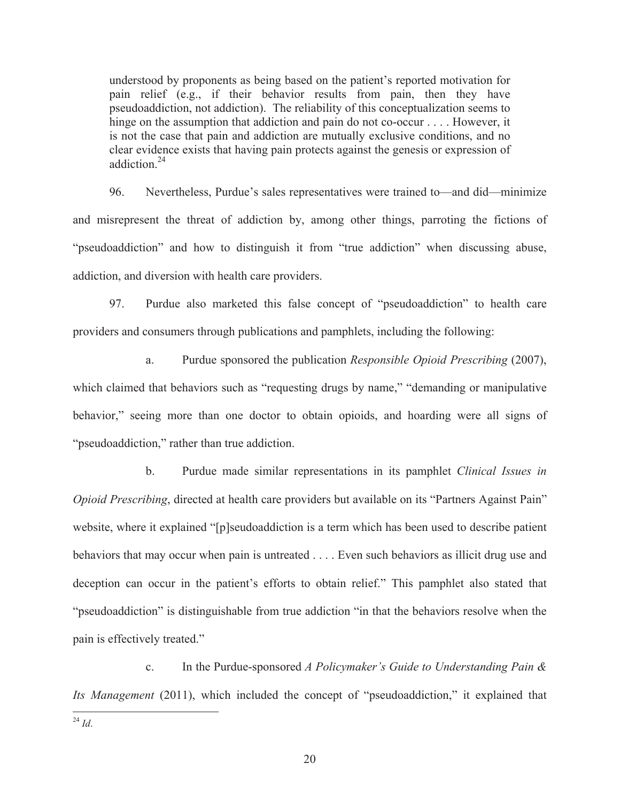understood by proponents as being based on the patient's reported motivation for pain relief (e.g., if their behavior results from pain, then they have pseudoaddiction, not addiction). The reliability of this conceptualization seems to hinge on the assumption that addiction and pain do not co-occur . . . . However, it is not the case that pain and addiction are mutually exclusive conditions, and no clear evidence exists that having pain protects against the genesis or expression of addiction $24$ 

96. Nevertheless, Purdue's sales representatives were trained to—and did—minimize and misrepresent the threat of addiction by, among other things, parroting the fictions of "pseudoaddiction" and how to distinguish it from "true addiction" when discussing abuse, addiction, and diversion with health care providers.

97. Purdue also marketed this false concept of "pseudoaddiction" to health care providers and consumers through publications and pamphlets, including the following:

a. Purdue sponsored the publication *Responsible Opioid Prescribing* (2007), which claimed that behaviors such as "requesting drugs by name," "demanding or manipulative behavior," seeing more than one doctor to obtain opioids, and hoarding were all signs of "pseudoaddiction," rather than true addiction.

b. Purdue made similar representations in its pamphlet *Clinical Issues in Opioid Prescribing*, directed at health care providers but available on its "Partners Against Pain" website, where it explained "[p]seudoaddiction is a term which has been used to describe patient behaviors that may occur when pain is untreated . . . . Even such behaviors as illicit drug use and deception can occur in the patient's efforts to obtain relief." This pamphlet also stated that "pseudoaddiction" is distinguishable from true addiction "in that the behaviors resolve when the pain is effectively treated."

c. In the Purdue-sponsored *A Policymaker's Guide to Understanding Pain & Its Management* (2011), which included the concept of "pseudoaddiction," it explained that

 $\overline{a}$ <sup>24</sup> *Id*.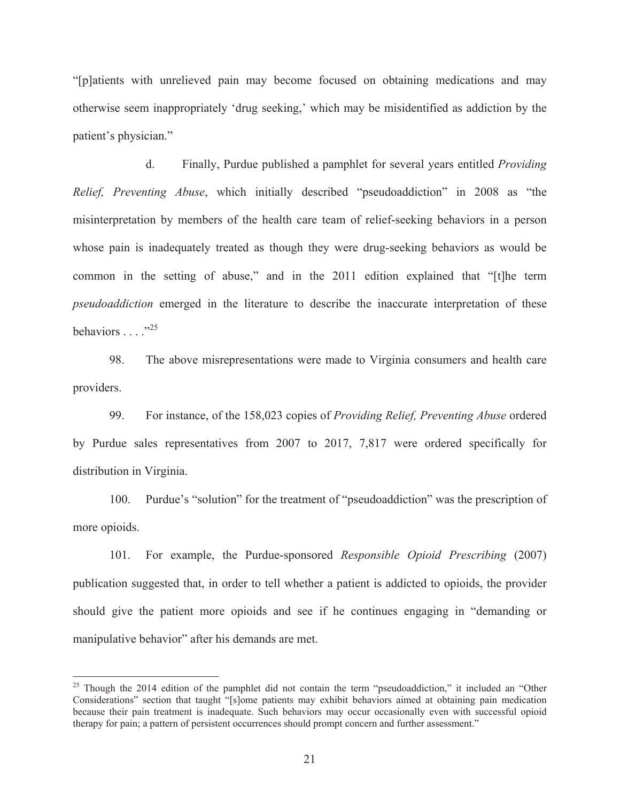"[p]atients with unrelieved pain may become focused on obtaining medications and may otherwise seem inappropriately 'drug seeking,' which may be misidentified as addiction by the patient's physician."

d. Finally, Purdue published a pamphlet for several years entitled *Providing Relief, Preventing Abuse*, which initially described "pseudoaddiction" in 2008 as "the misinterpretation by members of the health care team of relief-seeking behaviors in a person whose pain is inadequately treated as though they were drug-seeking behaviors as would be common in the setting of abuse," and in the 2011 edition explained that "[t]he term *pseudoaddiction* emerged in the literature to describe the inaccurate interpretation of these behaviors  $\ldots$  .  $^{325}$ 

98. The above misrepresentations were made to Virginia consumers and health care providers.

99. For instance, of the 158,023 copies of *Providing Relief, Preventing Abuse* ordered by Purdue sales representatives from 2007 to 2017, 7,817 were ordered specifically for distribution in Virginia.

100. Purdue's "solution" for the treatment of "pseudoaddiction" was the prescription of more opioids.

101. For example, the Purdue-sponsored *Responsible Opioid Prescribing* (2007) publication suggested that, in order to tell whether a patient is addicted to opioids, the provider should give the patient more opioids and see if he continues engaging in "demanding or manipulative behavior" after his demands are met.

<sup>&</sup>lt;sup>25</sup> Though the 2014 edition of the pamphlet did not contain the term "pseudoaddiction," it included an "Other Considerations" section that taught "[s]ome patients may exhibit behaviors aimed at obtaining pain medication because their pain treatment is inadequate. Such behaviors may occur occasionally even with successful opioid therapy for pain; a pattern of persistent occurrences should prompt concern and further assessment."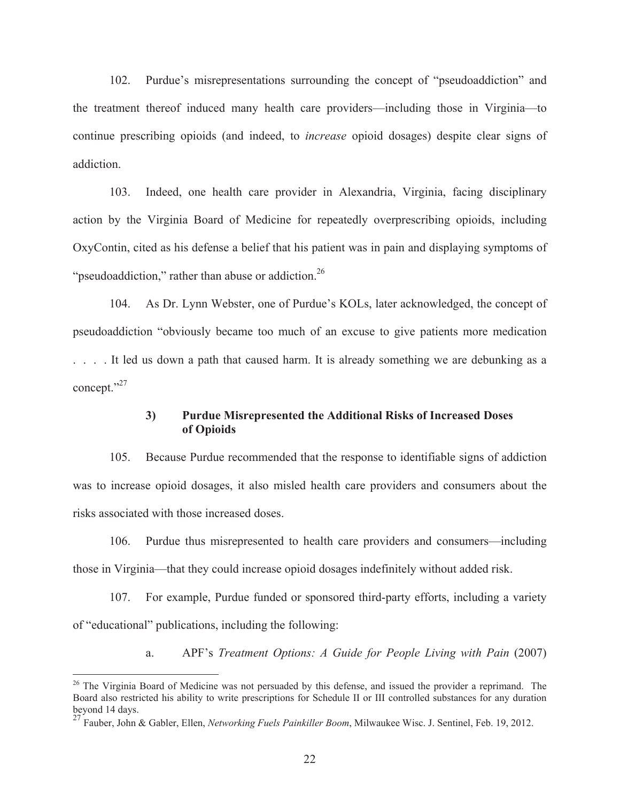102. Purdue's misrepresentations surrounding the concept of "pseudoaddiction" and the treatment thereof induced many health care providers—including those in Virginia—to continue prescribing opioids (and indeed, to *increase* opioid dosages) despite clear signs of addiction.

103. Indeed, one health care provider in Alexandria, Virginia, facing disciplinary action by the Virginia Board of Medicine for repeatedly overprescribing opioids, including OxyContin, cited as his defense a belief that his patient was in pain and displaying symptoms of "pseudoaddiction," rather than abuse or addiction. $^{26}$ 

104. As Dr. Lynn Webster, one of Purdue's KOLs, later acknowledged, the concept of pseudoaddiction "obviously became too much of an excuse to give patients more medication . . . . It led us down a path that caused harm. It is already something we are debunking as a concept."27

## **3) Purdue Misrepresented the Additional Risks of Increased Doses of Opioids**

105. Because Purdue recommended that the response to identifiable signs of addiction was to increase opioid dosages, it also misled health care providers and consumers about the risks associated with those increased doses.

106. Purdue thus misrepresented to health care providers and consumers—including those in Virginia—that they could increase opioid dosages indefinitely without added risk.

107. For example, Purdue funded or sponsored third-party efforts, including a variety of "educational" publications, including the following:

a. APF's *Treatment Options: A Guide for People Living with Pain* (2007)

<sup>&</sup>lt;sup>26</sup> The Virginia Board of Medicine was not persuaded by this defense, and issued the provider a reprimand. The Board also restricted his ability to write prescriptions for Schedule II or III controlled substances for any duration beyond 14 days.

<sup>27</sup> Fauber, John & Gabler, Ellen, *Networking Fuels Painkiller Boom*, Milwaukee Wisc. J. Sentinel, Feb. 19, 2012.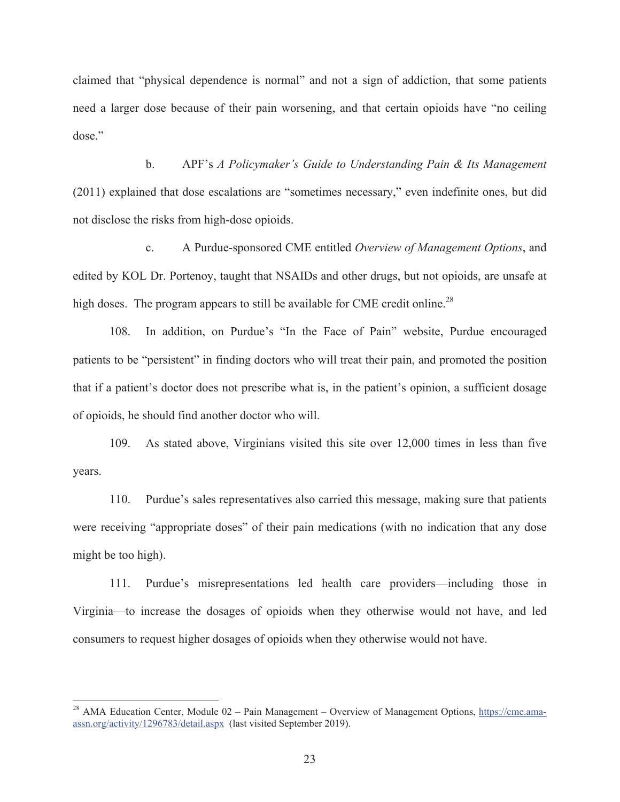claimed that "physical dependence is normal" and not a sign of addiction, that some patients need a larger dose because of their pain worsening, and that certain opioids have "no ceiling dose."

b. APF's *A Policymaker's Guide to Understanding Pain & Its Management*  (2011) explained that dose escalations are "sometimes necessary," even indefinite ones, but did not disclose the risks from high-dose opioids.

c. A Purdue-sponsored CME entitled *Overview of Management Options*, and edited by KOL Dr. Portenoy, taught that NSAIDs and other drugs, but not opioids, are unsafe at high doses. The program appears to still be available for CME credit online.<sup>28</sup>

108. In addition, on Purdue's "In the Face of Pain" website, Purdue encouraged patients to be "persistent" in finding doctors who will treat their pain, and promoted the position that if a patient's doctor does not prescribe what is, in the patient's opinion, a sufficient dosage of opioids, he should find another doctor who will.

109. As stated above, Virginians visited this site over 12,000 times in less than five years.

110. Purdue's sales representatives also carried this message, making sure that patients were receiving "appropriate doses" of their pain medications (with no indication that any dose might be too high).

111. Purdue's misrepresentations led health care providers—including those in Virginia—to increase the dosages of opioids when they otherwise would not have, and led consumers to request higher dosages of opioids when they otherwise would not have.

<sup>&</sup>lt;sup>28</sup> AMA Education Center, Module 02 – Pain Management – Overview of Management Options, https://cme.amaassn.org/activity/1296783/detail.aspx (last visited September 2019).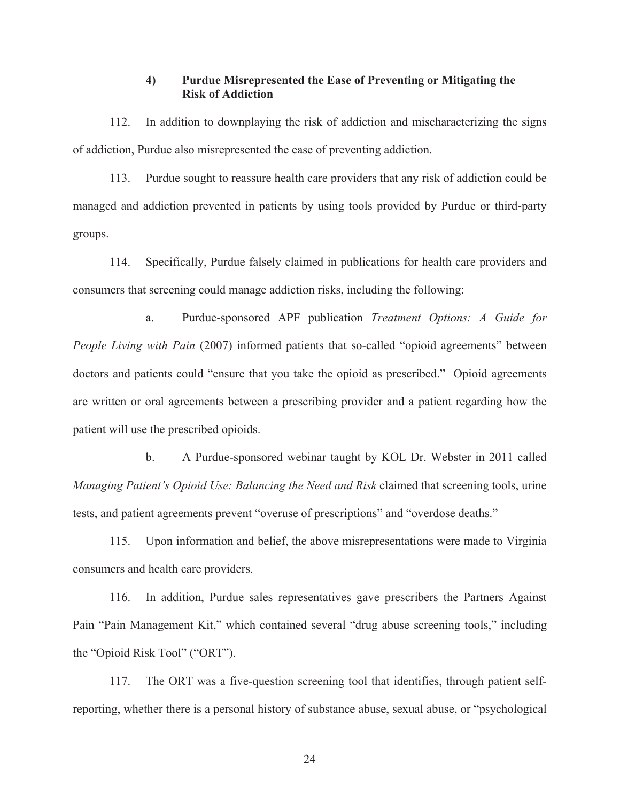## **4) Purdue Misrepresented the Ease of Preventing or Mitigating the Risk of Addiction**

112. In addition to downplaying the risk of addiction and mischaracterizing the signs of addiction, Purdue also misrepresented the ease of preventing addiction.

113. Purdue sought to reassure health care providers that any risk of addiction could be managed and addiction prevented in patients by using tools provided by Purdue or third-party groups.

114. Specifically, Purdue falsely claimed in publications for health care providers and consumers that screening could manage addiction risks, including the following:

a. Purdue-sponsored APF publication *Treatment Options: A Guide for People Living with Pain (2007)* informed patients that so-called "opioid agreements" between doctors and patients could "ensure that you take the opioid as prescribed." Opioid agreements are written or oral agreements between a prescribing provider and a patient regarding how the patient will use the prescribed opioids.

b. A Purdue-sponsored webinar taught by KOL Dr. Webster in 2011 called *Managing Patient's Opioid Use: Balancing the Need and Risk* claimed that screening tools, urine tests, and patient agreements prevent "overuse of prescriptions" and "overdose deaths."

115. Upon information and belief, the above misrepresentations were made to Virginia consumers and health care providers.

116. In addition, Purdue sales representatives gave prescribers the Partners Against Pain "Pain Management Kit," which contained several "drug abuse screening tools," including the "Opioid Risk Tool" ("ORT").

117. The ORT was a five-question screening tool that identifies, through patient selfreporting, whether there is a personal history of substance abuse, sexual abuse, or "psychological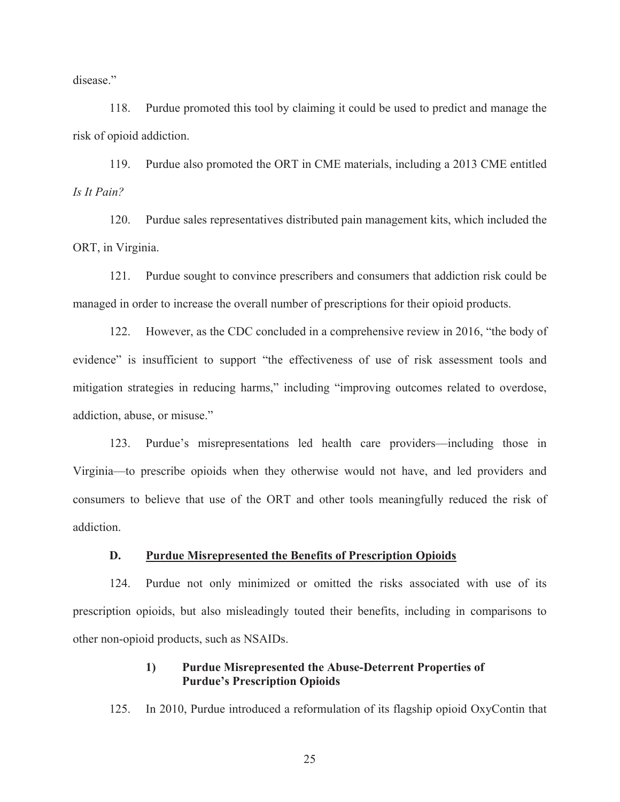disease."

118. Purdue promoted this tool by claiming it could be used to predict and manage the risk of opioid addiction.

119. Purdue also promoted the ORT in CME materials, including a 2013 CME entitled *Is It Pain?*

120. Purdue sales representatives distributed pain management kits, which included the ORT, in Virginia.

121. Purdue sought to convince prescribers and consumers that addiction risk could be managed in order to increase the overall number of prescriptions for their opioid products.

122. However, as the CDC concluded in a comprehensive review in 2016, "the body of evidence" is insufficient to support "the effectiveness of use of risk assessment tools and mitigation strategies in reducing harms," including "improving outcomes related to overdose, addiction, abuse, or misuse."

123. Purdue's misrepresentations led health care providers—including those in Virginia—to prescribe opioids when they otherwise would not have, and led providers and consumers to believe that use of the ORT and other tools meaningfully reduced the risk of addiction.

#### **D. Purdue Misrepresented the Benefits of Prescription Opioids**

124. Purdue not only minimized or omitted the risks associated with use of its prescription opioids, but also misleadingly touted their benefits, including in comparisons to other non-opioid products, such as NSAIDs.

## **1) Purdue Misrepresented the Abuse-Deterrent Properties of Purdue's Prescription Opioids**

125. In 2010, Purdue introduced a reformulation of its flagship opioid OxyContin that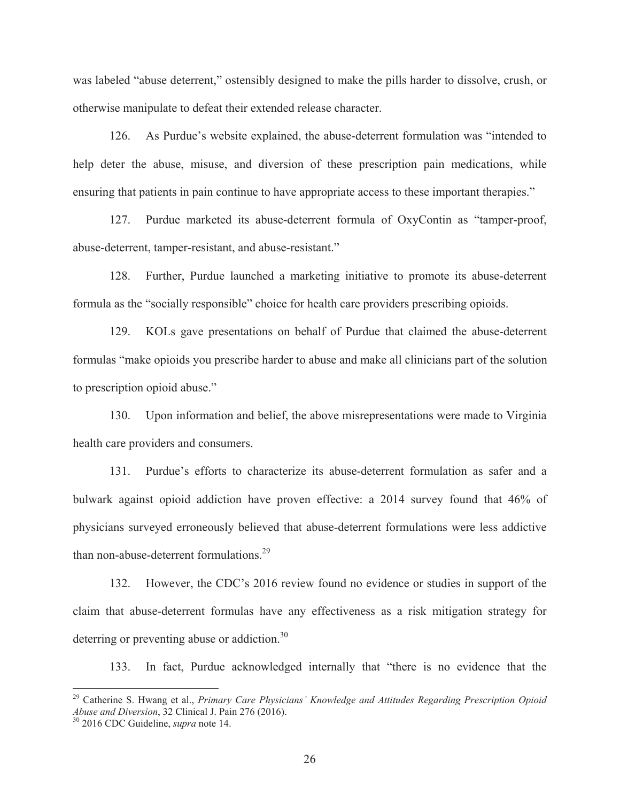was labeled "abuse deterrent," ostensibly designed to make the pills harder to dissolve, crush, or otherwise manipulate to defeat their extended release character.

126. As Purdue's website explained, the abuse-deterrent formulation was "intended to help deter the abuse, misuse, and diversion of these prescription pain medications, while ensuring that patients in pain continue to have appropriate access to these important therapies."

127. Purdue marketed its abuse-deterrent formula of OxyContin as "tamper-proof, abuse-deterrent, tamper-resistant, and abuse-resistant."

128. Further, Purdue launched a marketing initiative to promote its abuse-deterrent formula as the "socially responsible" choice for health care providers prescribing opioids.

129. KOLs gave presentations on behalf of Purdue that claimed the abuse-deterrent formulas "make opioids you prescribe harder to abuse and make all clinicians part of the solution to prescription opioid abuse."

130. Upon information and belief, the above misrepresentations were made to Virginia health care providers and consumers.

131. Purdue's efforts to characterize its abuse-deterrent formulation as safer and a bulwark against opioid addiction have proven effective: a 2014 survey found that 46% of physicians surveyed erroneously believed that abuse-deterrent formulations were less addictive than non-abuse-deterrent formulations.<sup>29</sup>

132. However, the CDC's 2016 review found no evidence or studies in support of the claim that abuse-deterrent formulas have any effectiveness as a risk mitigation strategy for deterring or preventing abuse or addiction.<sup>30</sup>

133. In fact, Purdue acknowledged internally that "there is no evidence that the

<sup>29</sup> Catherine S. Hwang et al., *Primary Care Physicians' Knowledge and Attitudes Regarding Prescription Opioid Abuse and Diversion*, 32 Clinical J. Pain 276 (2016). 30 2016 CDC Guideline, *supra* note 14.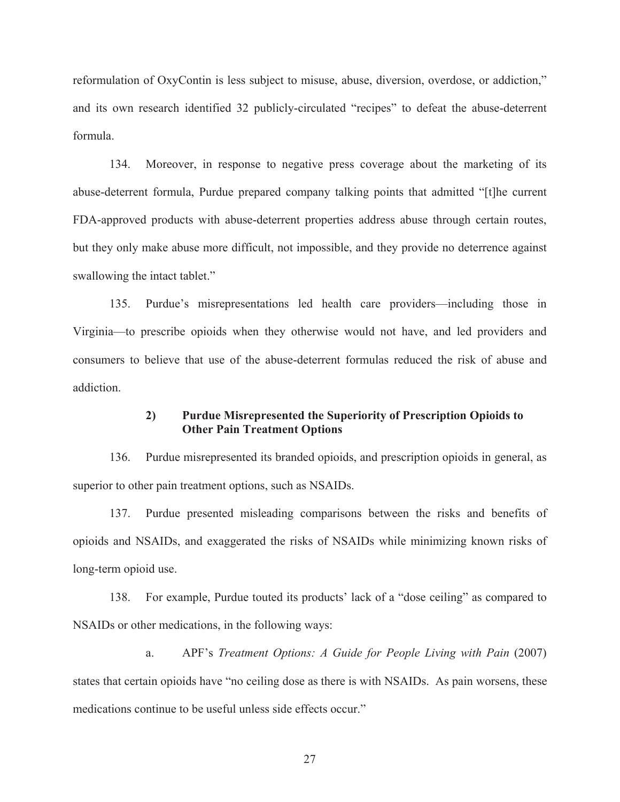reformulation of OxyContin is less subject to misuse, abuse, diversion, overdose, or addiction," and its own research identified 32 publicly-circulated "recipes" to defeat the abuse-deterrent formula.

134. Moreover, in response to negative press coverage about the marketing of its abuse-deterrent formula, Purdue prepared company talking points that admitted "[t]he current FDA-approved products with abuse-deterrent properties address abuse through certain routes, but they only make abuse more difficult, not impossible, and they provide no deterrence against swallowing the intact tablet."

135. Purdue's misrepresentations led health care providers—including those in Virginia—to prescribe opioids when they otherwise would not have, and led providers and consumers to believe that use of the abuse-deterrent formulas reduced the risk of abuse and addiction.

# **2) Purdue Misrepresented the Superiority of Prescription Opioids to Other Pain Treatment Options**

136. Purdue misrepresented its branded opioids, and prescription opioids in general, as superior to other pain treatment options, such as NSAIDs.

137. Purdue presented misleading comparisons between the risks and benefits of opioids and NSAIDs, and exaggerated the risks of NSAIDs while minimizing known risks of long-term opioid use.

138. For example, Purdue touted its products' lack of a "dose ceiling" as compared to NSAIDs or other medications, in the following ways:

a. APF's *Treatment Options: A Guide for People Living with Pain* (2007) states that certain opioids have "no ceiling dose as there is with NSAIDs. As pain worsens, these medications continue to be useful unless side effects occur."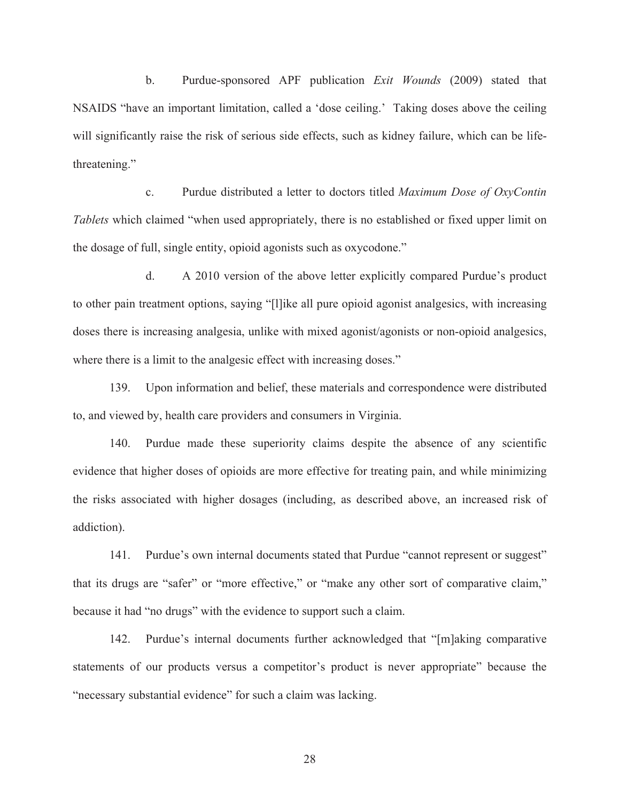b. Purdue-sponsored APF publication *Exit Wounds* (2009) stated that NSAIDS "have an important limitation, called a 'dose ceiling.' Taking doses above the ceiling will significantly raise the risk of serious side effects, such as kidney failure, which can be lifethreatening."

c. Purdue distributed a letter to doctors titled *Maximum Dose of OxyContin Tablets* which claimed "when used appropriately, there is no established or fixed upper limit on the dosage of full, single entity, opioid agonists such as oxycodone."

d. A 2010 version of the above letter explicitly compared Purdue's product to other pain treatment options, saying "[l]ike all pure opioid agonist analgesics, with increasing doses there is increasing analgesia, unlike with mixed agonist/agonists or non-opioid analgesics, where there is a limit to the analgesic effect with increasing doses."

139. Upon information and belief, these materials and correspondence were distributed to, and viewed by, health care providers and consumers in Virginia.

140. Purdue made these superiority claims despite the absence of any scientific evidence that higher doses of opioids are more effective for treating pain, and while minimizing the risks associated with higher dosages (including, as described above, an increased risk of addiction).

141. Purdue's own internal documents stated that Purdue "cannot represent or suggest" that its drugs are "safer" or "more effective," or "make any other sort of comparative claim," because it had "no drugs" with the evidence to support such a claim.

142. Purdue's internal documents further acknowledged that "[m]aking comparative statements of our products versus a competitor's product is never appropriate" because the "necessary substantial evidence" for such a claim was lacking.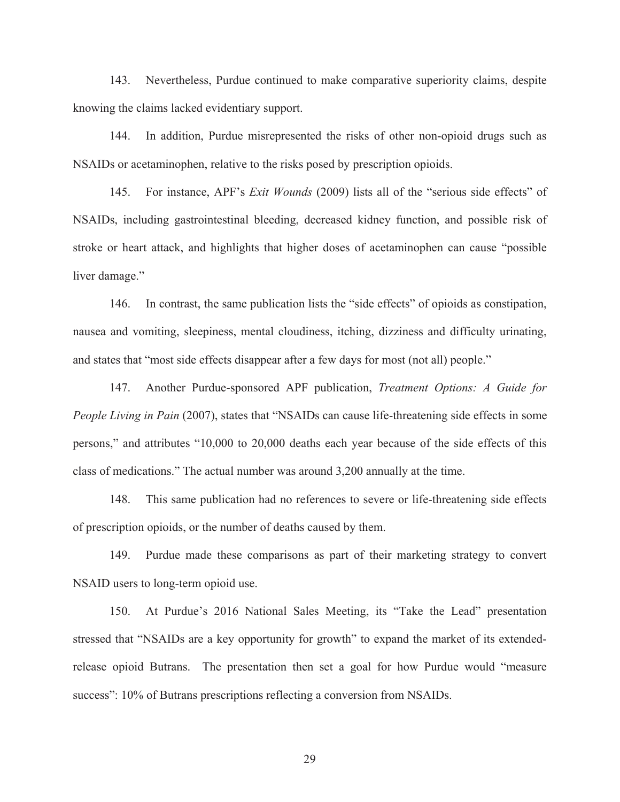143. Nevertheless, Purdue continued to make comparative superiority claims, despite knowing the claims lacked evidentiary support.

144. In addition, Purdue misrepresented the risks of other non-opioid drugs such as NSAIDs or acetaminophen, relative to the risks posed by prescription opioids.

145. For instance, APF's *Exit Wounds* (2009) lists all of the "serious side effects" of NSAIDs, including gastrointestinal bleeding, decreased kidney function, and possible risk of stroke or heart attack, and highlights that higher doses of acetaminophen can cause "possible liver damage."

146. In contrast, the same publication lists the "side effects" of opioids as constipation, nausea and vomiting, sleepiness, mental cloudiness, itching, dizziness and difficulty urinating, and states that "most side effects disappear after a few days for most (not all) people."

147. Another Purdue-sponsored APF publication, *Treatment Options: A Guide for People Living in Pain* (2007), states that "NSAIDs can cause life-threatening side effects in some persons," and attributes "10,000 to 20,000 deaths each year because of the side effects of this class of medications." The actual number was around 3,200 annually at the time.

148. This same publication had no references to severe or life-threatening side effects of prescription opioids, or the number of deaths caused by them.

149. Purdue made these comparisons as part of their marketing strategy to convert NSAID users to long-term opioid use.

150. At Purdue's 2016 National Sales Meeting, its "Take the Lead" presentation stressed that "NSAIDs are a key opportunity for growth" to expand the market of its extendedrelease opioid Butrans. The presentation then set a goal for how Purdue would "measure success": 10% of Butrans prescriptions reflecting a conversion from NSAIDs.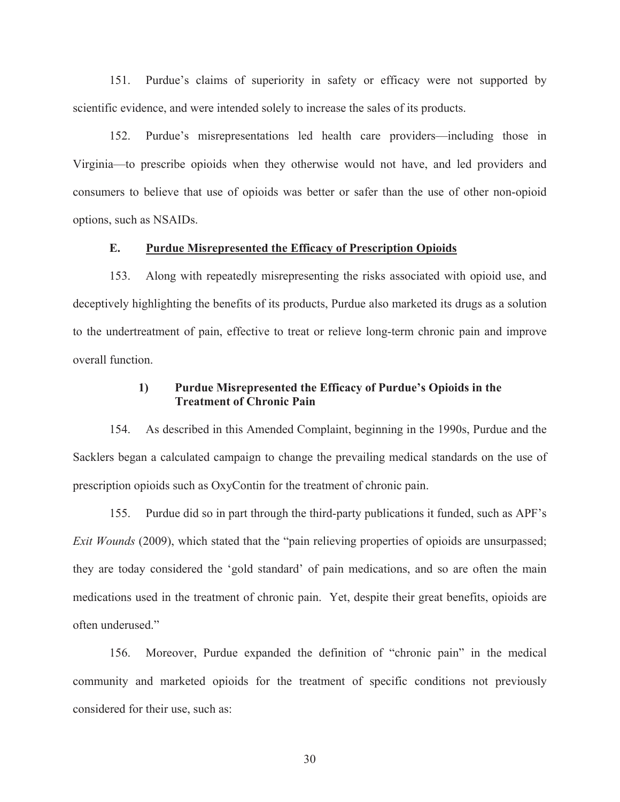151. Purdue's claims of superiority in safety or efficacy were not supported by scientific evidence, and were intended solely to increase the sales of its products.

152. Purdue's misrepresentations led health care providers—including those in Virginia—to prescribe opioids when they otherwise would not have, and led providers and consumers to believe that use of opioids was better or safer than the use of other non-opioid options, such as NSAIDs.

#### **E. Purdue Misrepresented the Efficacy of Prescription Opioids**

153. Along with repeatedly misrepresenting the risks associated with opioid use, and deceptively highlighting the benefits of its products, Purdue also marketed its drugs as a solution to the undertreatment of pain, effective to treat or relieve long-term chronic pain and improve overall function.

### **1) Purdue Misrepresented the Efficacy of Purdue's Opioids in the Treatment of Chronic Pain**

154. As described in this Amended Complaint, beginning in the 1990s, Purdue and the Sacklers began a calculated campaign to change the prevailing medical standards on the use of prescription opioids such as OxyContin for the treatment of chronic pain.

155. Purdue did so in part through the third-party publications it funded, such as APF's *Exit Wounds* (2009), which stated that the "pain relieving properties of opioids are unsurpassed; they are today considered the 'gold standard' of pain medications, and so are often the main medications used in the treatment of chronic pain. Yet, despite their great benefits, opioids are often underused."

156. Moreover, Purdue expanded the definition of "chronic pain" in the medical community and marketed opioids for the treatment of specific conditions not previously considered for their use, such as: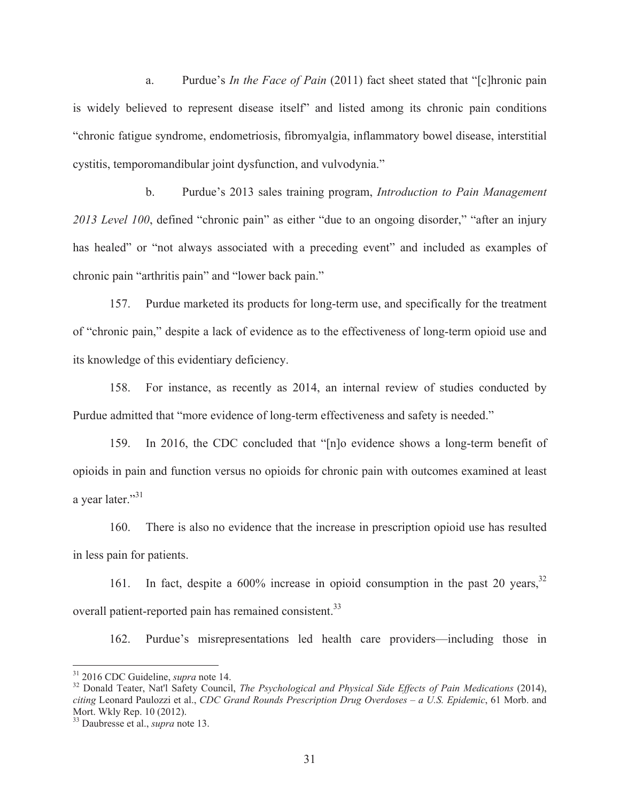a. Purdue's *In the Face of Pain* (2011) fact sheet stated that "[c]hronic pain is widely believed to represent disease itself" and listed among its chronic pain conditions "chronic fatigue syndrome, endometriosis, fibromyalgia, inflammatory bowel disease, interstitial cystitis, temporomandibular joint dysfunction, and vulvodynia."

b. Purdue's 2013 sales training program, *Introduction to Pain Management 2013 Level 100*, defined "chronic pain" as either "due to an ongoing disorder," "after an injury has healed" or "not always associated with a preceding event" and included as examples of chronic pain "arthritis pain" and "lower back pain."

157. Purdue marketed its products for long-term use, and specifically for the treatment of "chronic pain," despite a lack of evidence as to the effectiveness of long-term opioid use and its knowledge of this evidentiary deficiency.

158. For instance, as recently as 2014, an internal review of studies conducted by Purdue admitted that "more evidence of long-term effectiveness and safety is needed."

159. In 2016, the CDC concluded that "[n]o evidence shows a long-term benefit of opioids in pain and function versus no opioids for chronic pain with outcomes examined at least a year later."<sup>31</sup>

160. There is also no evidence that the increase in prescription opioid use has resulted in less pain for patients.

161. In fact, despite a  $600\%$  increase in opioid consumption in the past 20 years.<sup>32</sup> overall patient-reported pain has remained consistent.<sup>33</sup>

162. Purdue's misrepresentations led health care providers—including those in

<sup>&</sup>lt;sup>31</sup> 2016 CDC Guideline, *supra* note 14.<br><sup>32</sup> Donald Teater, Nat'l Safety Council, *The Psychological and Physical Side Effects of Pain Medications* (2014), *citing* Leonard Paulozzi et al., *CDC Grand Rounds Prescription Drug Overdoses – a U.S. Epidemic*, 61 Morb. and Mort. Wkly Rep. 10 (2012).

<sup>33</sup> Daubresse et al., *supra* note 13.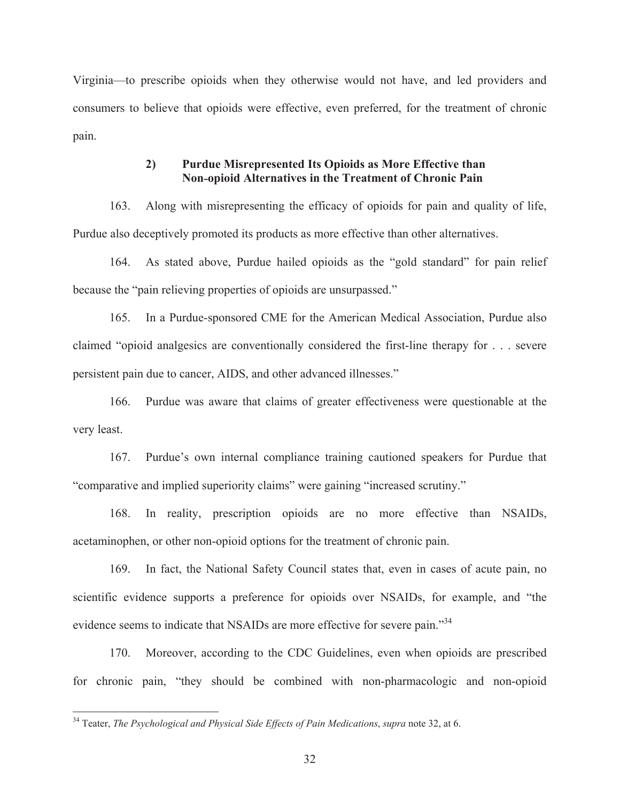Virginia—to prescribe opioids when they otherwise would not have, and led providers and consumers to believe that opioids were effective, even preferred, for the treatment of chronic pain.

# **2) Purdue Misrepresented Its Opioids as More Effective than Nonޤopioid Alternatives in the Treatment of Chronic Pain**

163. Along with misrepresenting the efficacy of opioids for pain and quality of life, Purdue also deceptively promoted its products as more effective than other alternatives.

164. As stated above, Purdue hailed opioids as the "gold standard" for pain relief because the "pain relieving properties of opioids are unsurpassed."

165. In a Purdue-sponsored CME for the American Medical Association, Purdue also claimed "opioid analgesics are conventionally considered the first-line therapy for . . . severe persistent pain due to cancer, AIDS, and other advanced illnesses."

166. Purdue was aware that claims of greater effectiveness were questionable at the very least.

167. Purdue's own internal compliance training cautioned speakers for Purdue that "comparative and implied superiority claims" were gaining "increased scrutiny."

168. In reality, prescription opioids are no more effective than NSAIDs, acetaminophen, or other non-opioid options for the treatment of chronic pain.

169. In fact, the National Safety Council states that, even in cases of acute pain, no scientific evidence supports a preference for opioids over NSAIDs, for example, and "the evidence seems to indicate that NSAIDs are more effective for severe pain."<sup>34</sup>

170. Moreover, according to the CDC Guidelines, even when opioids are prescribed for chronic pain, "they should be combined with non-pharmacologic and non-opioid

<sup>34</sup> Teater, *The Psychological and Physical Side Effects of Pain Medications*, *supra* note 32, at 6.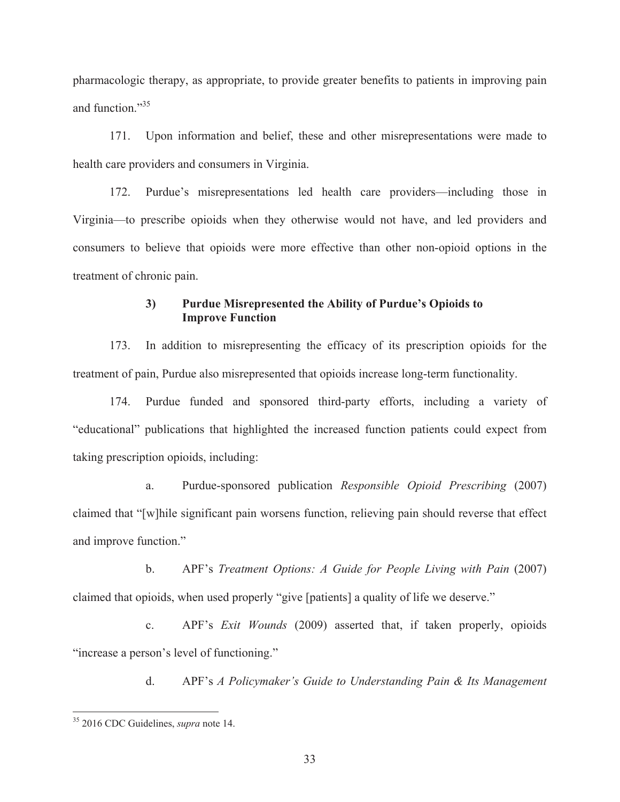pharmacologic therapy, as appropriate, to provide greater benefits to patients in improving pain and function."<sup>35</sup>

171. Upon information and belief, these and other misrepresentations were made to health care providers and consumers in Virginia.

172. Purdue's misrepresentations led health care providers—including those in Virginia—to prescribe opioids when they otherwise would not have, and led providers and consumers to believe that opioids were more effective than other non-opioid options in the treatment of chronic pain.

# **3) Purdue Misrepresented the Ability of Purdue's Opioids to Improve Function**

173. In addition to misrepresenting the efficacy of its prescription opioids for the treatment of pain, Purdue also misrepresented that opioids increase long-term functionality.

174. Purdue funded and sponsored third-party efforts, including a variety of "educational" publications that highlighted the increased function patients could expect from taking prescription opioids, including:

a. Purdue-sponsored publication *Responsible Opioid Prescribing* (2007) claimed that "[w]hile significant pain worsens function, relieving pain should reverse that effect and improve function."

b. APF's *Treatment Options: A Guide for People Living with Pain* (2007) claimed that opioids, when used properly "give [patients] a quality of life we deserve."

c. APF's *Exit Wounds* (2009) asserted that, if taken properly, opioids "increase a person's level of functioning."

d. APF's *A Policymaker's Guide to Understanding Pain & Its Management*

<sup>35 2016</sup> CDC Guidelines, *supra* note 14.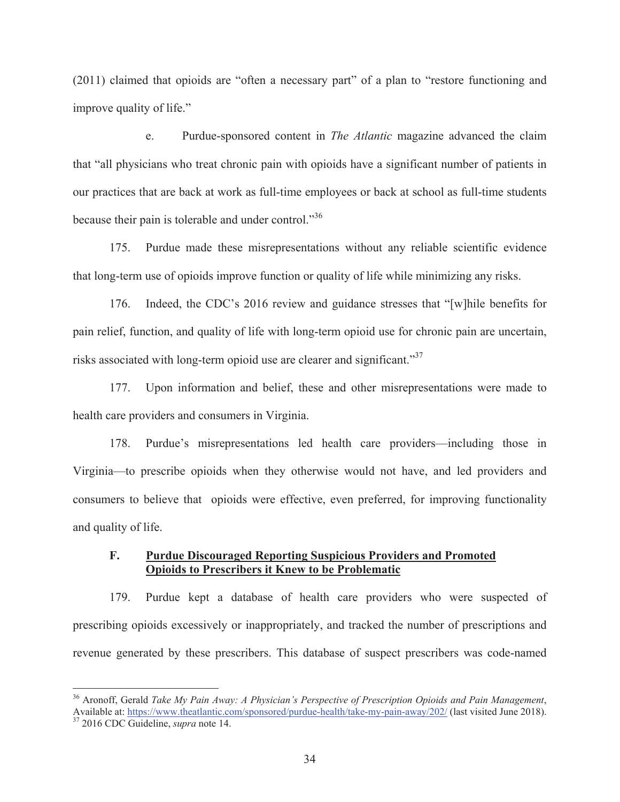(2011) claimed that opioids are "often a necessary part" of a plan to "restore functioning and improve quality of life."

e. Purdue-sponsored content in *The Atlantic* magazine advanced the claim that "all physicians who treat chronic pain with opioids have a significant number of patients in our practices that are back at work as full-time employees or back at school as full-time students because their pain is tolerable and under control."<sup>36</sup>

175. Purdue made these misrepresentations without any reliable scientific evidence that long-term use of opioids improve function or quality of life while minimizing any risks.

176. Indeed, the CDC's 2016 review and guidance stresses that "[w]hile benefits for pain relief, function, and quality of life with long-term opioid use for chronic pain are uncertain, risks associated with long-term opioid use are clearer and significant."37

177. Upon information and belief, these and other misrepresentations were made to health care providers and consumers in Virginia.

178. Purdue's misrepresentations led health care providers—including those in Virginia—to prescribe opioids when they otherwise would not have, and led providers and consumers to believe that opioids were effective, even preferred, for improving functionality and quality of life.

### **F. Purdue Discouraged Reporting Suspicious Providers and Promoted Opioids to Prescribers it Knew to be Problematic**

179. Purdue kept a database of health care providers who were suspected of prescribing opioids excessively or inappropriately, and tracked the number of prescriptions and revenue generated by these prescribers. This database of suspect prescribers was code-named

<sup>36</sup> Aronoff, Gerald *Take My Pain Away: A Physician's Perspective of Prescription Opioids and Pain Management*, Available at: https://www.theatlantic.com/sponsored/purdue-health/take-my-pain-away/202/ (last visited June 2018). 37 2016 CDC Guideline, *supra* note 14.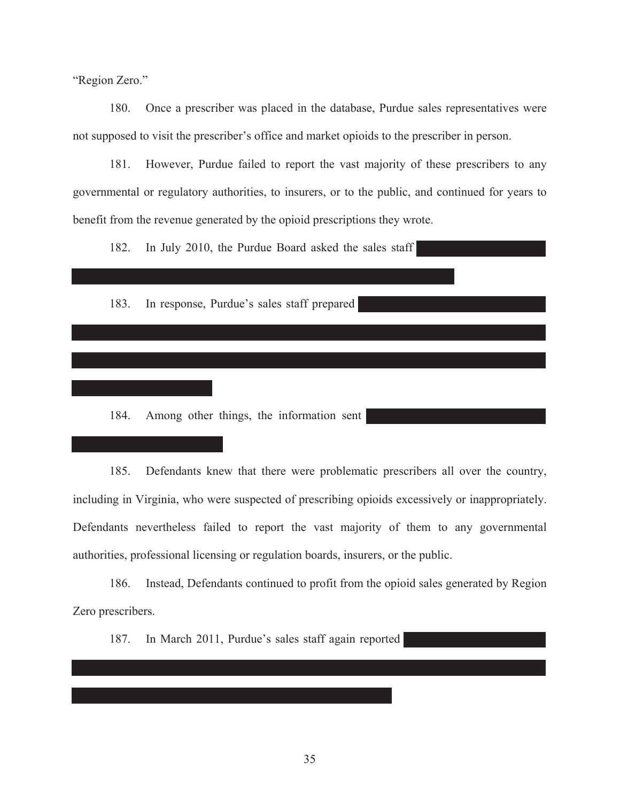"Region Zero."

180. Once a prescriber was placed in the database, Purdue sales representatives were not supposed to visit the prescriber's office and market opioids to the prescriber in person.

181. However, Purdue failed to report the vast majority of these prescribers to any governmental or regulatory authorities, to insurers, or to the public, and continued for years to benefit from the revenue generated by the opioid prescriptions they wrote.

182. In July 2010, the Purdue Board asked the sales staff

183. In response, Purdue's sales staff prepared

184. Among other things, the information sent

185. Defendants knew that there were problematic prescribers all over the country, including in Virginia, who were suspected of prescribing opioids excessively or inappropriately. Defendants nevertheless failed to report the vast majority of them to any governmental authorities, professional licensing or regulation boards, insurers, or the public.

186. Instead, Defendants continued to profit from the opioid sales generated by Region Zero prescribers.

187. In March 2011, Purdue's sales staff again reported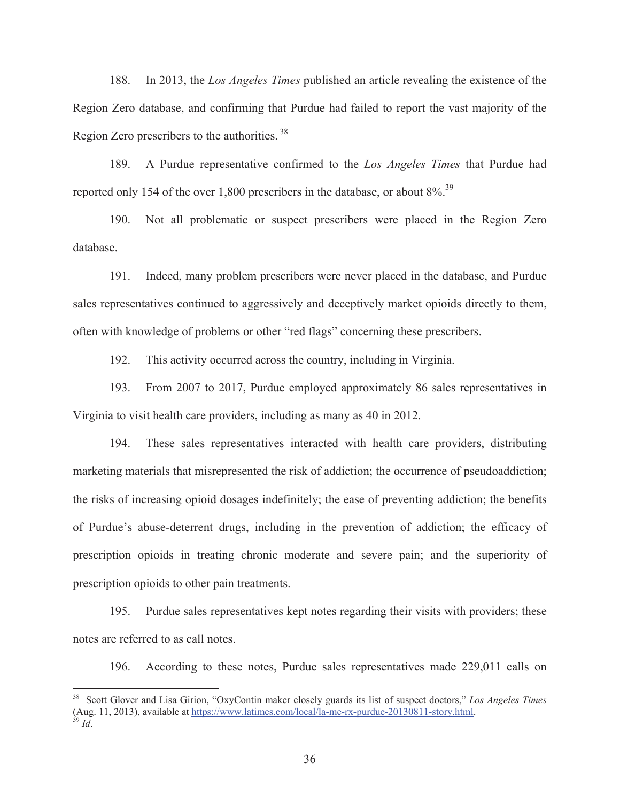188. In 2013, the *Los Angeles Times* published an article revealing the existence of the Region Zero database, and confirming that Purdue had failed to report the vast majority of the Region Zero prescribers to the authorities. 38

189. A Purdue representative confirmed to the *Los Angeles Times* that Purdue had reported only 154 of the over 1,800 prescribers in the database, or about  $8\%$ <sup>39</sup>.

190. Not all problematic or suspect prescribers were placed in the Region Zero database.

191. Indeed, many problem prescribers were never placed in the database, and Purdue sales representatives continued to aggressively and deceptively market opioids directly to them, often with knowledge of problems or other "red flags" concerning these prescribers.

192. This activity occurred across the country, including in Virginia.

193. From 2007 to 2017, Purdue employed approximately 86 sales representatives in Virginia to visit health care providers, including as many as 40 in 2012.

194. These sales representatives interacted with health care providers, distributing marketing materials that misrepresented the risk of addiction; the occurrence of pseudoaddiction; the risks of increasing opioid dosages indefinitely; the ease of preventing addiction; the benefits of Purdue's abuse-deterrent drugs, including in the prevention of addiction; the efficacy of prescription opioids in treating chronic moderate and severe pain; and the superiority of prescription opioids to other pain treatments.

195. Purdue sales representatives kept notes regarding their visits with providers; these notes are referred to as call notes.

196. According to these notes, Purdue sales representatives made 229,011 calls on

<sup>38</sup> Scott Glover and Lisa Girion, "OxyContin maker closely guards its list of suspect doctors," *Los Angeles Times* (Aug. 11, 2013), available at https://www.latimes.com/local/la-me-rx-purdue-20130811-story.html. 39 *Id*.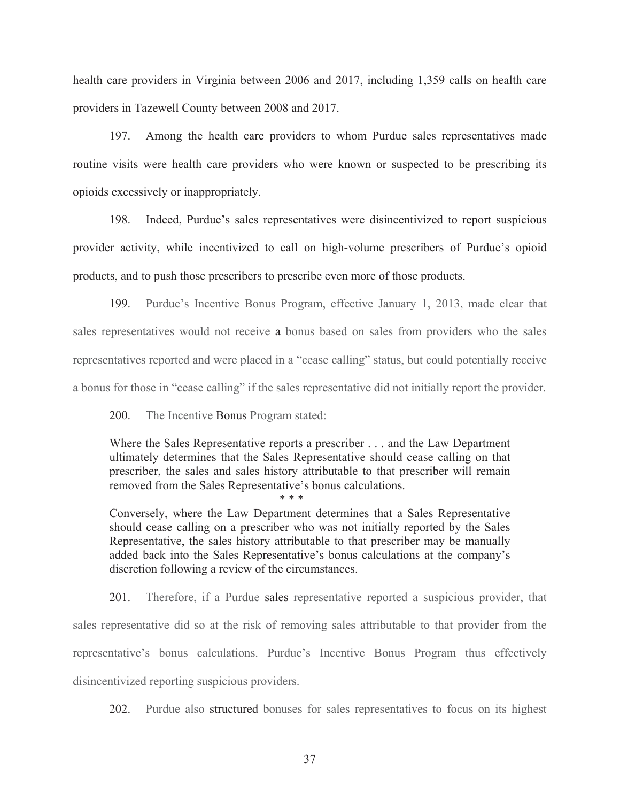health care providers in Virginia between 2006 and 2017, including 1,359 calls on health care providers in Tazewell County between 2008 and 2017.

197. Among the health care providers to whom Purdue sales representatives made routine visits were health care providers who were known or suspected to be prescribing its opioids excessively or inappropriately.

198. Indeed, Purdue's sales representatives were disincentivized to report suspicious provider activity, while incentivized to call on high-volume prescribers of Purdue's opioid products, and to push those prescribers to prescribe even more of those products.

199. Purdue's Incentive Bonus Program, effective January 1, 2013, made clear that sales representatives would not receive a bonus based on sales from providers who the sales representatives reported and were placed in a "cease calling" status, but could potentially receive a bonus for those in "cease calling" if the sales representative did not initially report the provider.

200. The Incentive Bonus Program stated:

Where the Sales Representative reports a prescriber . . . and the Law Department ultimately determines that the Sales Representative should cease calling on that prescriber, the sales and sales history attributable to that prescriber will remain removed from the Sales Representative's bonus calculations. \* \* \*

Conversely, where the Law Department determines that a Sales Representative should cease calling on a prescriber who was not initially reported by the Sales Representative, the sales history attributable to that prescriber may be manually added back into the Sales Representative's bonus calculations at the company's discretion following a review of the circumstances.

201. Therefore, if a Purdue sales representative reported a suspicious provider, that sales representative did so at the risk of removing sales attributable to that provider from the representative's bonus calculations. Purdue's Incentive Bonus Program thus effectively disincentivized reporting suspicious providers.

202. Purdue also structured bonuses for sales representatives to focus on its highest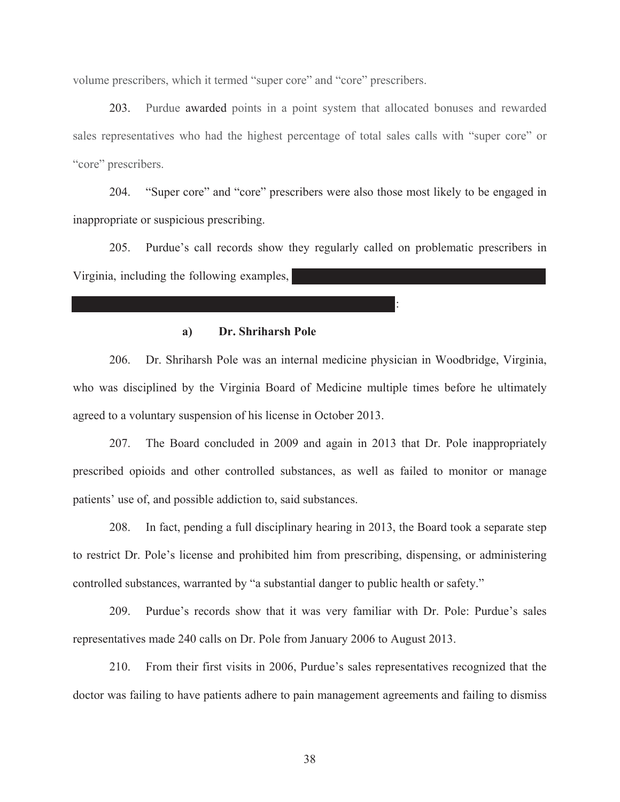volume prescribers, which it termed "super core" and "core" prescribers.

203. Purdue awarded points in a point system that allocated bonuses and rewarded sales representatives who had the highest percentage of total sales calls with "super core" or "core" prescribers.

204. "Super core" and "core" prescribers were also those most likely to be engaged in inappropriate or suspicious prescribing.

205. Purdue's call records show they regularly called on problematic prescribers in Virginia, including the following examples,

:

### **a) Dr. Shriharsh Pole**

206. Dr. Shriharsh Pole was an internal medicine physician in Woodbridge, Virginia, who was disciplined by the Virginia Board of Medicine multiple times before he ultimately agreed to a voluntary suspension of his license in October 2013.

207. The Board concluded in 2009 and again in 2013 that Dr. Pole inappropriately prescribed opioids and other controlled substances, as well as failed to monitor or manage patients' use of, and possible addiction to, said substances.

208. In fact, pending a full disciplinary hearing in 2013, the Board took a separate step to restrict Dr. Pole's license and prohibited him from prescribing, dispensing, or administering controlled substances, warranted by "a substantial danger to public health or safety."

209. Purdue's records show that it was very familiar with Dr. Pole: Purdue's sales representatives made 240 calls on Dr. Pole from January 2006 to August 2013.

210. From their first visits in 2006, Purdue's sales representatives recognized that the doctor was failing to have patients adhere to pain management agreements and failing to dismiss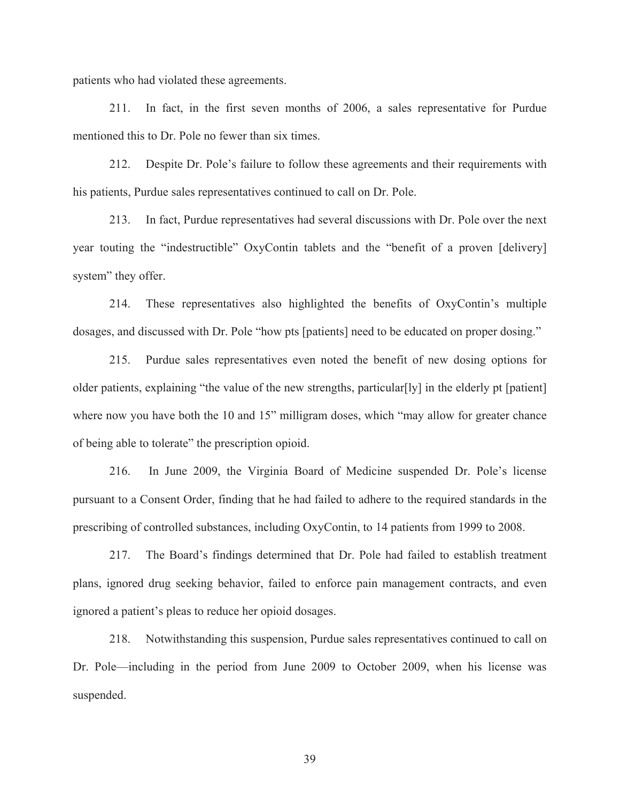patients who had violated these agreements.

211. In fact, in the first seven months of 2006, a sales representative for Purdue mentioned this to Dr. Pole no fewer than six times.

212. Despite Dr. Pole's failure to follow these agreements and their requirements with his patients, Purdue sales representatives continued to call on Dr. Pole.

213. In fact, Purdue representatives had several discussions with Dr. Pole over the next year touting the "indestructible" OxyContin tablets and the "benefit of a proven [delivery] system" they offer.

214. These representatives also highlighted the benefits of OxyContin's multiple dosages, and discussed with Dr. Pole "how pts [patients] need to be educated on proper dosing."

215. Purdue sales representatives even noted the benefit of new dosing options for older patients, explaining "the value of the new strengths, particular[ly] in the elderly pt [patient] where now you have both the 10 and 15" milligram doses, which "may allow for greater chance" of being able to tolerate" the prescription opioid.

216. In June 2009, the Virginia Board of Medicine suspended Dr. Pole's license pursuant to a Consent Order, finding that he had failed to adhere to the required standards in the prescribing of controlled substances, including OxyContin, to 14 patients from 1999 to 2008.

217. The Board's findings determined that Dr. Pole had failed to establish treatment plans, ignored drug seeking behavior, failed to enforce pain management contracts, and even ignored a patient's pleas to reduce her opioid dosages.

218. Notwithstanding this suspension, Purdue sales representatives continued to call on Dr. Pole—including in the period from June 2009 to October 2009, when his license was suspended.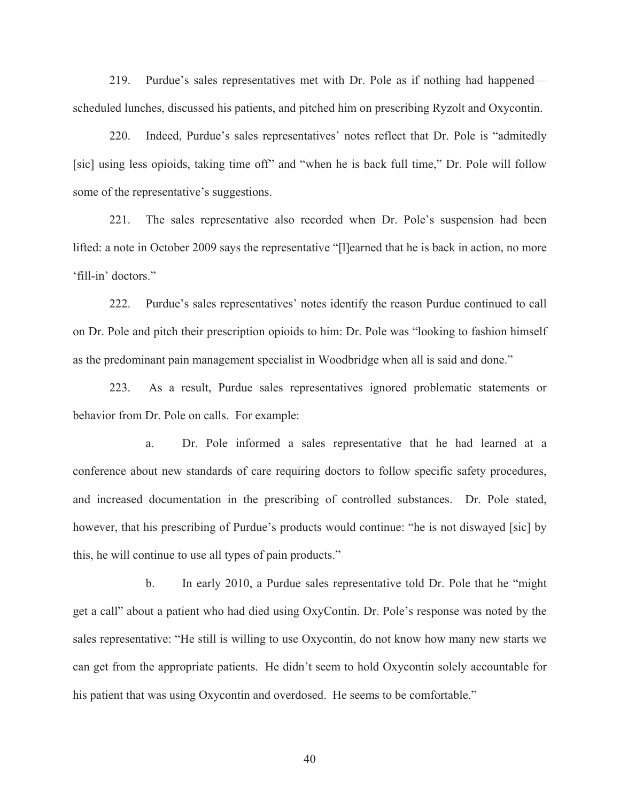219. Purdue's sales representatives met with Dr. Pole as if nothing had happened scheduled lunches, discussed his patients, and pitched him on prescribing Ryzolt and Oxycontin.

220. Indeed, Purdue's sales representatives' notes reflect that Dr. Pole is "admitedly [sic] using less opioids, taking time off" and "when he is back full time," Dr. Pole will follow some of the representative's suggestions.

221. The sales representative also recorded when Dr. Pole's suspension had been lifted: a note in October 2009 says the representative "[l]earned that he is back in action, no more 'fill-in' doctors."

222. Purdue's sales representatives' notes identify the reason Purdue continued to call on Dr. Pole and pitch their prescription opioids to him: Dr. Pole was "looking to fashion himself as the predominant pain management specialist in Woodbridge when all is said and done."

223. As a result, Purdue sales representatives ignored problematic statements or behavior from Dr. Pole on calls. For example:

a. Dr. Pole informed a sales representative that he had learned at a conference about new standards of care requiring doctors to follow specific safety procedures, and increased documentation in the prescribing of controlled substances. Dr. Pole stated, however, that his prescribing of Purdue's products would continue: "he is not diswayed [sic] by this, he will continue to use all types of pain products."

b. In early 2010, a Purdue sales representative told Dr. Pole that he "might get a call" about a patient who had died using OxyContin. Dr. Pole's response was noted by the sales representative: "He still is willing to use Oxycontin, do not know how many new starts we can get from the appropriate patients. He didn't seem to hold Oxycontin solely accountable for his patient that was using Oxycontin and overdosed. He seems to be comfortable."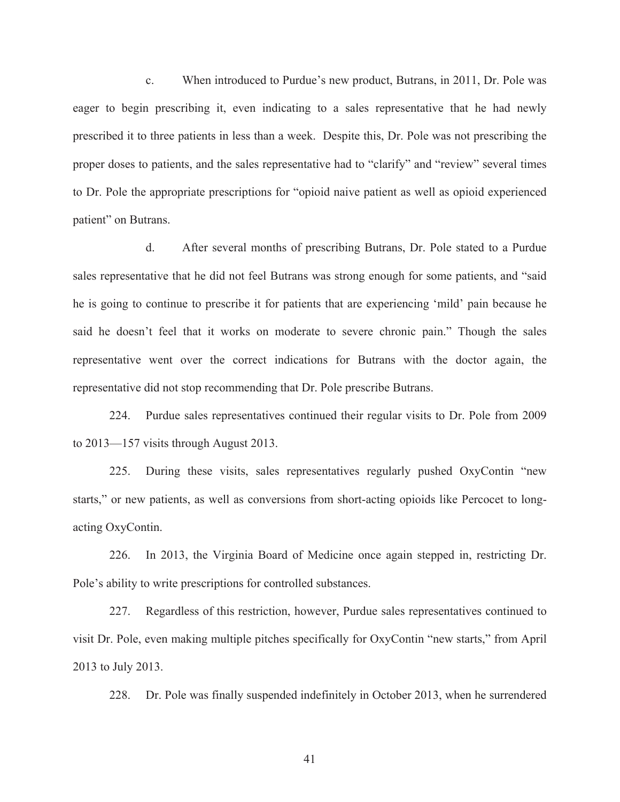c. When introduced to Purdue's new product, Butrans, in 2011, Dr. Pole was eager to begin prescribing it, even indicating to a sales representative that he had newly prescribed it to three patients in less than a week. Despite this, Dr. Pole was not prescribing the proper doses to patients, and the sales representative had to "clarify" and "review" several times to Dr. Pole the appropriate prescriptions for "opioid naive patient as well as opioid experienced patient" on Butrans.

d. After several months of prescribing Butrans, Dr. Pole stated to a Purdue sales representative that he did not feel Butrans was strong enough for some patients, and "said he is going to continue to prescribe it for patients that are experiencing 'mild' pain because he said he doesn't feel that it works on moderate to severe chronic pain." Though the sales representative went over the correct indications for Butrans with the doctor again, the representative did not stop recommending that Dr. Pole prescribe Butrans.

224. Purdue sales representatives continued their regular visits to Dr. Pole from 2009 to 2013—157 visits through August 2013.

225. During these visits, sales representatives regularly pushed OxyContin "new starts," or new patients, as well as conversions from short-acting opioids like Percocet to longacting OxyContin.

226. In 2013, the Virginia Board of Medicine once again stepped in, restricting Dr. Pole's ability to write prescriptions for controlled substances.

227. Regardless of this restriction, however, Purdue sales representatives continued to visit Dr. Pole, even making multiple pitches specifically for OxyContin "new starts," from April 2013 to July 2013.

228. Dr. Pole was finally suspended indefinitely in October 2013, when he surrendered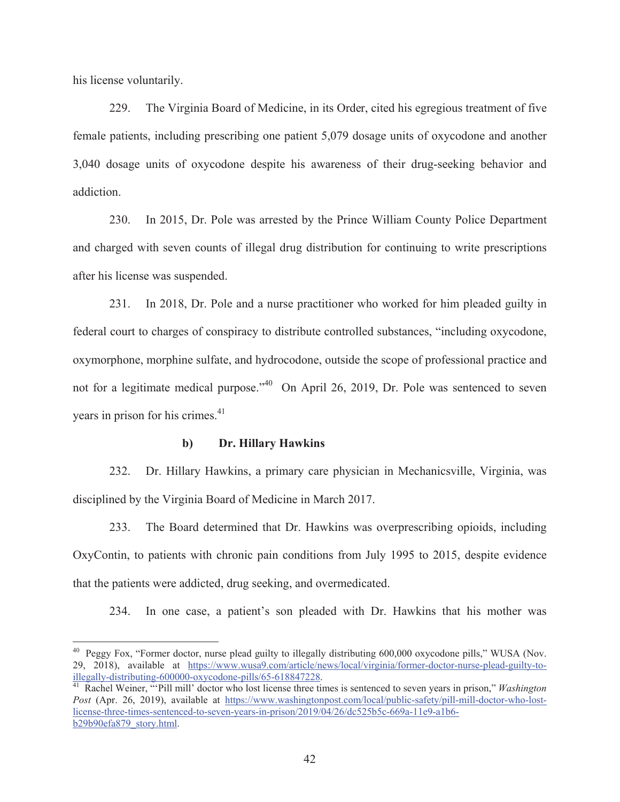his license voluntarily.

 $\overline{a}$ 

229. The Virginia Board of Medicine, in its Order, cited his egregious treatment of five female patients, including prescribing one patient 5,079 dosage units of oxycodone and another 3,040 dosage units of oxycodone despite his awareness of their drug-seeking behavior and addiction.

230. In 2015, Dr. Pole was arrested by the Prince William County Police Department and charged with seven counts of illegal drug distribution for continuing to write prescriptions after his license was suspended.

231. In 2018, Dr. Pole and a nurse practitioner who worked for him pleaded guilty in federal court to charges of conspiracy to distribute controlled substances, "including oxycodone, oxymorphone, morphine sulfate, and hydrocodone, outside the scope of professional practice and not for a legitimate medical purpose."<sup>40</sup> On April 26, 2019, Dr. Pole was sentenced to seven years in prison for his crimes.<sup>41</sup>

### **b) Dr. Hillary Hawkins**

232. Dr. Hillary Hawkins, a primary care physician in Mechanicsville, Virginia, was disciplined by the Virginia Board of Medicine in March 2017.

233. The Board determined that Dr. Hawkins was overprescribing opioids, including OxyContin, to patients with chronic pain conditions from July 1995 to 2015, despite evidence that the patients were addicted, drug seeking, and overmedicated.

234. In one case, a patient's son pleaded with Dr. Hawkins that his mother was

<sup>&</sup>lt;sup>40</sup> Peggy Fox, "Former doctor, nurse plead guilty to illegally distributing 600,000 oxycodone pills," WUSA (Nov. 29, 2018), available at https://www.wusa9.com/article/news/local/virginia/former-doctor-nurse-plead-guilty-toillegally-distributing-600000-oxycodone-pills/65-618847228. 41 Rachel Weiner, "'Pill mill' doctor who lost license three times is sentenced to seven years in prison," *Washington* 

*Post* (Apr. 26, 2019), available at https://www.washingtonpost.com/local/public-safety/pill-mill-doctor-who-lostlicense-three-times-sentenced-to-seven-years-in-prison/2019/04/26/dc525b5c-669a-11e9-a1b6 b29b90efa879\_story.html.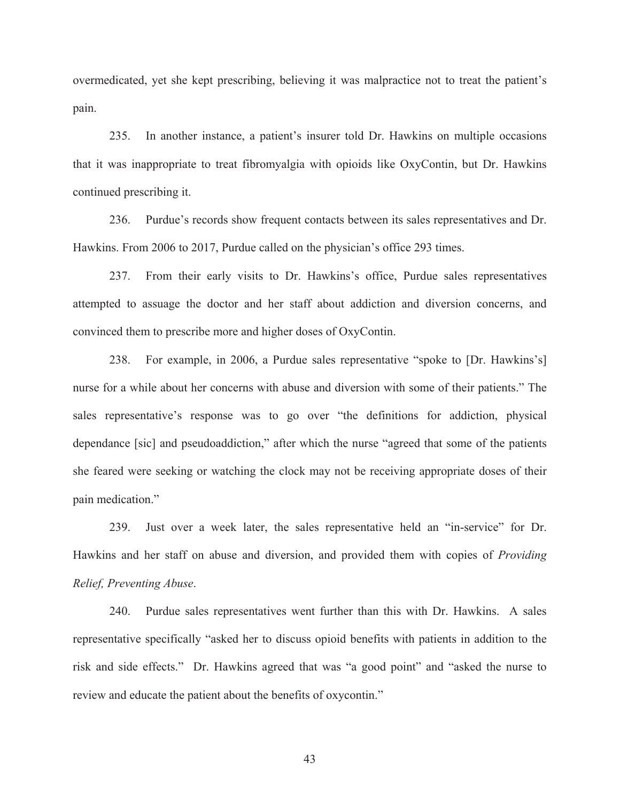overmedicated, yet she kept prescribing, believing it was malpractice not to treat the patient's pain.

235. In another instance, a patient's insurer told Dr. Hawkins on multiple occasions that it was inappropriate to treat fibromyalgia with opioids like OxyContin, but Dr. Hawkins continued prescribing it.

236. Purdue's records show frequent contacts between its sales representatives and Dr. Hawkins. From 2006 to 2017, Purdue called on the physician's office 293 times.

237. From their early visits to Dr. Hawkins's office, Purdue sales representatives attempted to assuage the doctor and her staff about addiction and diversion concerns, and convinced them to prescribe more and higher doses of OxyContin.

238. For example, in 2006, a Purdue sales representative "spoke to [Dr. Hawkins's] nurse for a while about her concerns with abuse and diversion with some of their patients." The sales representative's response was to go over "the definitions for addiction, physical dependance [sic] and pseudoaddiction," after which the nurse "agreed that some of the patients she feared were seeking or watching the clock may not be receiving appropriate doses of their pain medication."

239. Just over a week later, the sales representative held an "in-service" for Dr. Hawkins and her staff on abuse and diversion, and provided them with copies of *Providing Relief, Preventing Abuse*.

240. Purdue sales representatives went further than this with Dr. Hawkins. A sales representative specifically "asked her to discuss opioid benefits with patients in addition to the risk and side effects." Dr. Hawkins agreed that was "a good point" and "asked the nurse to review and educate the patient about the benefits of oxycontin."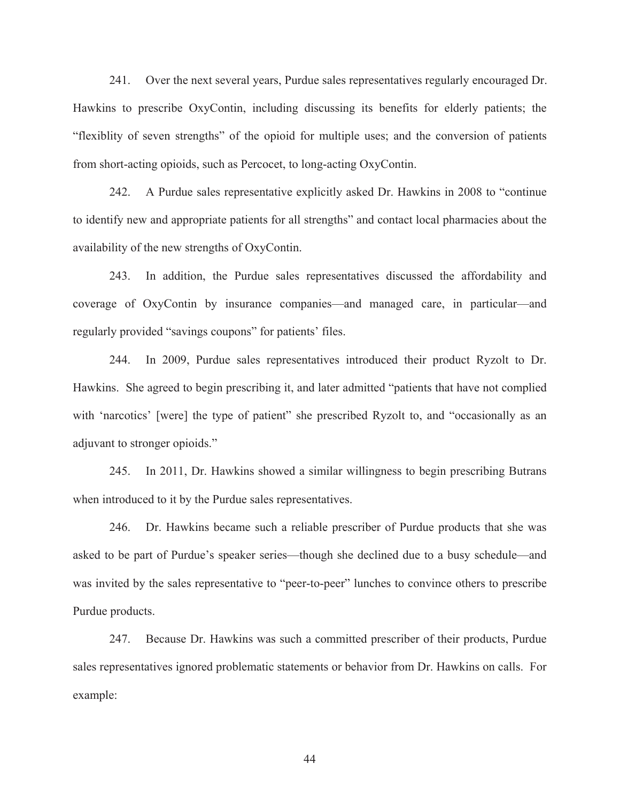241. Over the next several years, Purdue sales representatives regularly encouraged Dr. Hawkins to prescribe OxyContin, including discussing its benefits for elderly patients; the "flexiblity of seven strengths" of the opioid for multiple uses; and the conversion of patients from short-acting opioids, such as Percocet, to long-acting OxyContin.

242. A Purdue sales representative explicitly asked Dr. Hawkins in 2008 to "continue to identify new and appropriate patients for all strengths" and contact local pharmacies about the availability of the new strengths of OxyContin.

243. In addition, the Purdue sales representatives discussed the affordability and coverage of OxyContin by insurance companies—and managed care, in particular—and regularly provided "savings coupons" for patients' files.

244. In 2009, Purdue sales representatives introduced their product Ryzolt to Dr. Hawkins. She agreed to begin prescribing it, and later admitted "patients that have not complied with 'narcotics' [were] the type of patient" she prescribed Ryzolt to, and "occasionally as an adjuvant to stronger opioids."

245. In 2011, Dr. Hawkins showed a similar willingness to begin prescribing Butrans when introduced to it by the Purdue sales representatives.

246. Dr. Hawkins became such a reliable prescriber of Purdue products that she was asked to be part of Purdue's speaker series—though she declined due to a busy schedule—and was invited by the sales representative to "peer-to-peer" lunches to convince others to prescribe Purdue products.

247. Because Dr. Hawkins was such a committed prescriber of their products, Purdue sales representatives ignored problematic statements or behavior from Dr. Hawkins on calls. For example: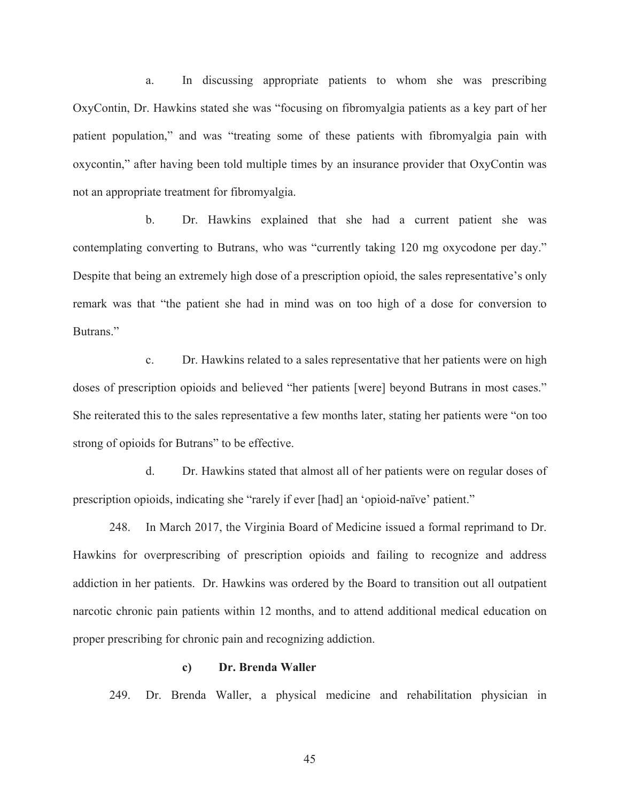a. In discussing appropriate patients to whom she was prescribing OxyContin, Dr. Hawkins stated she was "focusing on fibromyalgia patients as a key part of her patient population," and was "treating some of these patients with fibromyalgia pain with oxycontin," after having been told multiple times by an insurance provider that OxyContin was not an appropriate treatment for fibromyalgia.

b. Dr. Hawkins explained that she had a current patient she was contemplating converting to Butrans, who was "currently taking 120 mg oxycodone per day." Despite that being an extremely high dose of a prescription opioid, the sales representative's only remark was that "the patient she had in mind was on too high of a dose for conversion to Butrans<sup>"</sup>

c. Dr. Hawkins related to a sales representative that her patients were on high doses of prescription opioids and believed "her patients [were] beyond Butrans in most cases." She reiterated this to the sales representative a few months later, stating her patients were "on too strong of opioids for Butrans" to be effective.

d. Dr. Hawkins stated that almost all of her patients were on regular doses of prescription opioids, indicating she "rarely if ever [had] an 'opioid-naïve' patient."

248. In March 2017, the Virginia Board of Medicine issued a formal reprimand to Dr. Hawkins for overprescribing of prescription opioids and failing to recognize and address addiction in her patients. Dr. Hawkins was ordered by the Board to transition out all outpatient narcotic chronic pain patients within 12 months, and to attend additional medical education on proper prescribing for chronic pain and recognizing addiction.

### **c) Dr. Brenda Waller**

249. Dr. Brenda Waller, a physical medicine and rehabilitation physician in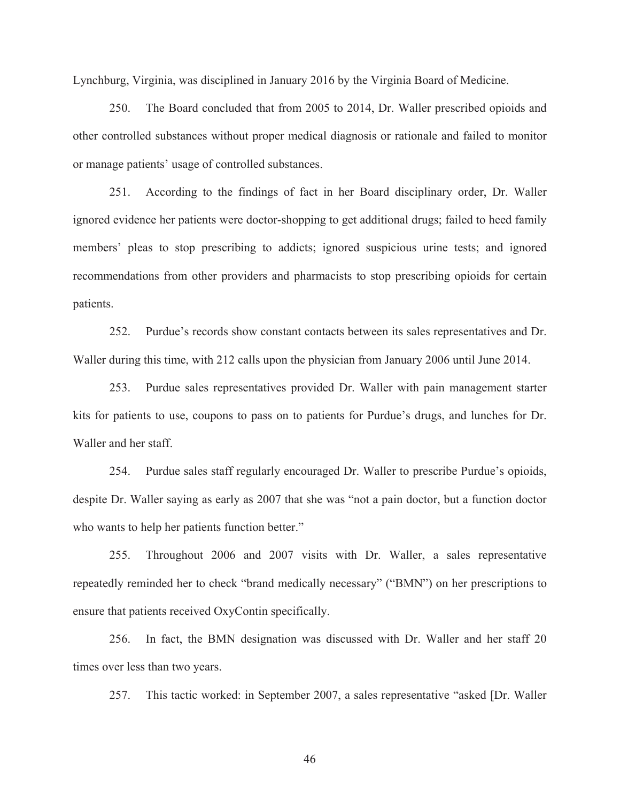Lynchburg, Virginia, was disciplined in January 2016 by the Virginia Board of Medicine.

250. The Board concluded that from 2005 to 2014, Dr. Waller prescribed opioids and other controlled substances without proper medical diagnosis or rationale and failed to monitor or manage patients' usage of controlled substances.

251. According to the findings of fact in her Board disciplinary order, Dr. Waller ignored evidence her patients were doctor-shopping to get additional drugs; failed to heed family members' pleas to stop prescribing to addicts; ignored suspicious urine tests; and ignored recommendations from other providers and pharmacists to stop prescribing opioids for certain patients.

252. Purdue's records show constant contacts between its sales representatives and Dr. Waller during this time, with 212 calls upon the physician from January 2006 until June 2014.

253. Purdue sales representatives provided Dr. Waller with pain management starter kits for patients to use, coupons to pass on to patients for Purdue's drugs, and lunches for Dr. Waller and her staff.

254. Purdue sales staff regularly encouraged Dr. Waller to prescribe Purdue's opioids, despite Dr. Waller saying as early as 2007 that she was "not a pain doctor, but a function doctor who wants to help her patients function better."

255. Throughout 2006 and 2007 visits with Dr. Waller, a sales representative repeatedly reminded her to check "brand medically necessary" ("BMN") on her prescriptions to ensure that patients received OxyContin specifically.

256. In fact, the BMN designation was discussed with Dr. Waller and her staff 20 times over less than two years.

257. This tactic worked: in September 2007, a sales representative "asked [Dr. Waller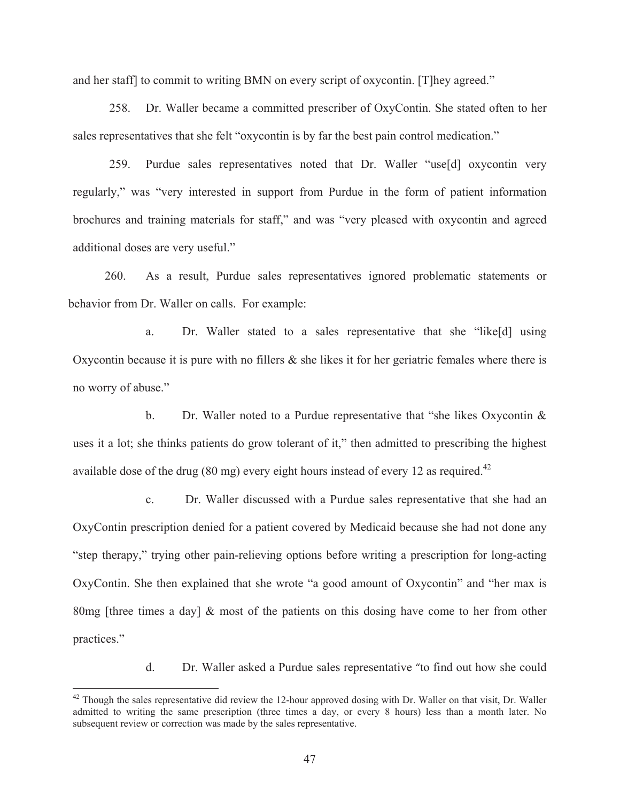and her staff] to commit to writing BMN on every script of oxycontin. [T]hey agreed."

258. Dr. Waller became a committed prescriber of OxyContin. She stated often to her sales representatives that she felt "oxycontin is by far the best pain control medication."

259. Purdue sales representatives noted that Dr. Waller "use[d] oxycontin very regularly," was "very interested in support from Purdue in the form of patient information brochures and training materials for staff," and was "very pleased with oxycontin and agreed additional doses are very useful."

260. As a result, Purdue sales representatives ignored problematic statements or behavior from Dr. Waller on calls. For example:

a. Dr. Waller stated to a sales representative that she "like[d] using Oxycontin because it is pure with no fillers & she likes it for her geriatric females where there is no worry of abuse."

b. Dr. Waller noted to a Purdue representative that "she likes Oxycontin & uses it a lot; she thinks patients do grow tolerant of it," then admitted to prescribing the highest available dose of the drug (80 mg) every eight hours instead of every 12 as required.<sup>42</sup>

c. Dr. Waller discussed with a Purdue sales representative that she had an OxyContin prescription denied for a patient covered by Medicaid because she had not done any "step therapy," trying other pain-relieving options before writing a prescription for long-acting OxyContin. She then explained that she wrote "a good amount of Oxycontin" and "her max is 80mg [three times a day]  $\&$  most of the patients on this dosing have come to her from other practices."

d. Dr. Waller asked a Purdue sales representative "to find out how she could

 $\overline{a}$ 

 $42$  Though the sales representative did review the 12-hour approved dosing with Dr. Waller on that visit, Dr. Waller admitted to writing the same prescription (three times a day, or every 8 hours) less than a month later. No subsequent review or correction was made by the sales representative.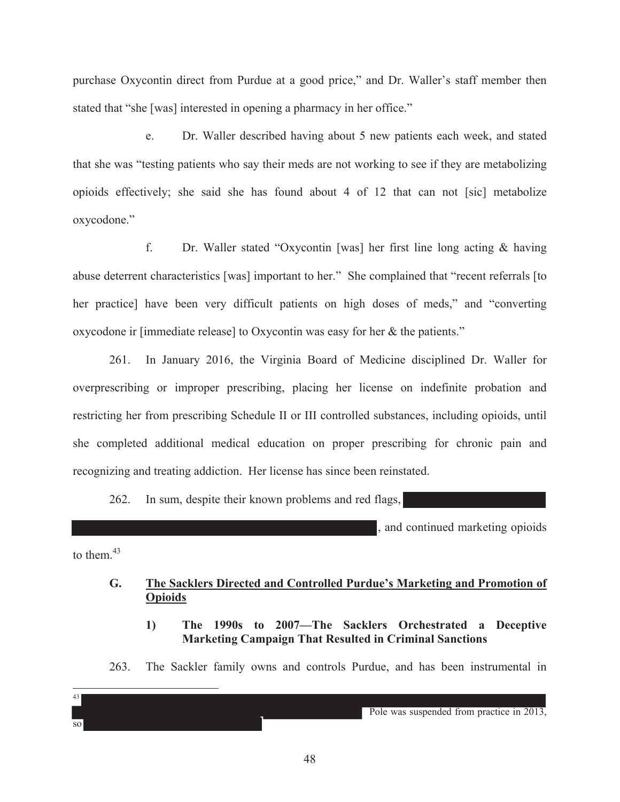purchase Oxycontin direct from Purdue at a good price," and Dr. Waller's staff member then stated that "she [was] interested in opening a pharmacy in her office."

e. Dr. Waller described having about 5 new patients each week, and stated that she was "testing patients who say their meds are not working to see if they are metabolizing opioids effectively; she said she has found about 4 of 12 that can not [sic] metabolize oxycodone."

f. Dr. Waller stated "Oxycontin [was] her first line long acting & having abuse deterrent characteristics [was] important to her." She complained that "recent referrals [to her practice] have been very difficult patients on high doses of meds," and "converting oxycodone ir [immediate release] to Oxycontin was easy for her & the patients."

261. In January 2016, the Virginia Board of Medicine disciplined Dr. Waller for overprescribing or improper prescribing, placing her license on indefinite probation and restricting her from prescribing Schedule II or III controlled substances, including opioids, until she completed additional medical education on proper prescribing for chronic pain and recognizing and treating addiction. Her license has since been reinstated.

262. In sum, despite their known problems and red flags,

and continued marketing opioids

to them  $43$ 

 $\overline{a}$ 43

so

## **G. The Sacklers Directed and Controlled Purdue's Marketing and Promotion of Opioids**

- **1) The 1990s to 2007—The Sacklers Orchestrated a Deceptive Marketing Campaign That Resulted in Criminal Sanctions**
- 263. The Sackler family owns and controls Purdue, and has been instrumental in

Pole was suspended from practice in 2013,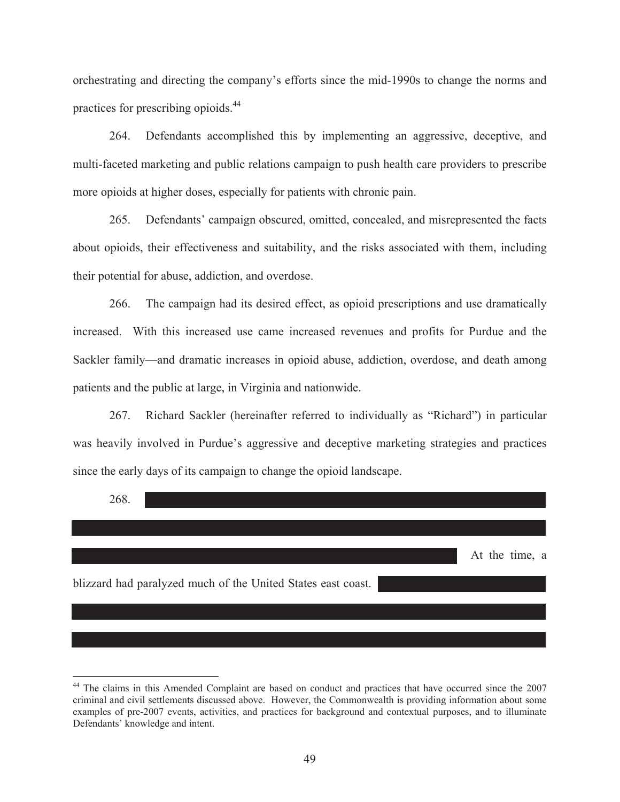orchestrating and directing the company's efforts since the mid-1990s to change the norms and practices for prescribing opioids.44

264. Defendants accomplished this by implementing an aggressive, deceptive, and multi-faceted marketing and public relations campaign to push health care providers to prescribe more opioids at higher doses, especially for patients with chronic pain.

265. Defendants' campaign obscured, omitted, concealed, and misrepresented the facts about opioids, their effectiveness and suitability, and the risks associated with them, including their potential for abuse, addiction, and overdose.

266. The campaign had its desired effect, as opioid prescriptions and use dramatically increased. With this increased use came increased revenues and profits for Purdue and the Sackler family—and dramatic increases in opioid abuse, addiction, overdose, and death among patients and the public at large, in Virginia and nationwide.

267. Richard Sackler (hereinafter referred to individually as "Richard") in particular was heavily involved in Purdue's aggressive and deceptive marketing strategies and practices since the early days of its campaign to change the opioid landscape.



 $\overline{a}$ 

<sup>&</sup>lt;sup>44</sup> The claims in this Amended Complaint are based on conduct and practices that have occurred since the 2007 criminal and civil settlements discussed above. However, the Commonwealth is providing information about some examples of pre-2007 events, activities, and practices for background and contextual purposes, and to illuminate Defendants' knowledge and intent.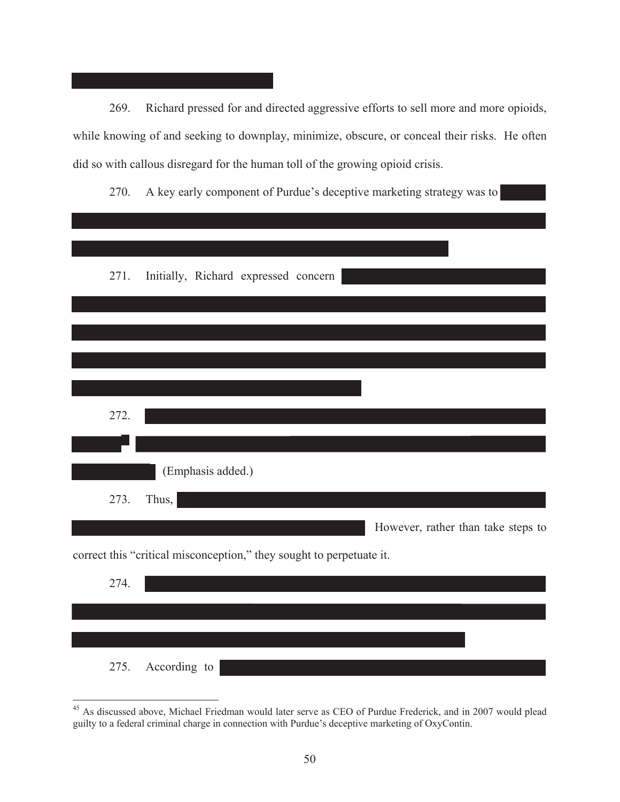269. Richard pressed for and directed aggressive efforts to sell more and more opioids, while knowing of and seeking to downplay, minimize, obscure, or conceal their risks. He often did so with callous disregard for the human toll of the growing opioid crisis.

270. A key early component of Purdue's deceptive marketing strategy was to

| 271. | Initially, Richard expressed concern                                 |                                    |
|------|----------------------------------------------------------------------|------------------------------------|
|      |                                                                      |                                    |
|      |                                                                      |                                    |
|      |                                                                      |                                    |
|      |                                                                      |                                    |
| 272. |                                                                      |                                    |
|      |                                                                      |                                    |
|      |                                                                      |                                    |
|      | (Emphasis added.)                                                    |                                    |
| 273. | Thus,                                                                |                                    |
|      |                                                                      | However, rather than take steps to |
|      | correct this "critical misconception," they sought to perpetuate it. |                                    |
| 274. |                                                                      |                                    |
|      |                                                                      |                                    |

275. According to

 $\overline{a}$ <sup>45</sup> As discussed above, Michael Friedman would later serve as CEO of Purdue Frederick, and in 2007 would plead guilty to a federal criminal charge in connection with Purdue's deceptive marketing of OxyContin.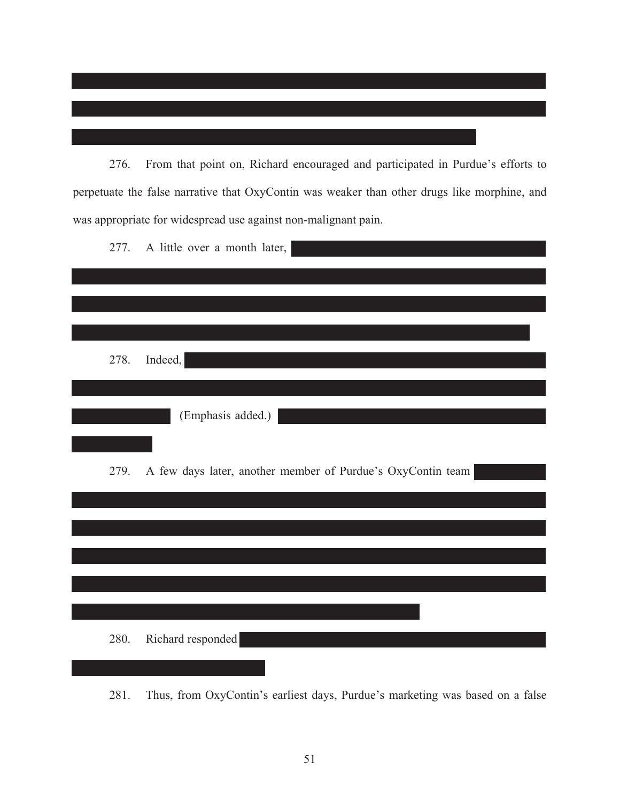276. From that point on, Richard encouraged and participated in Purdue's efforts to perpetuate the false narrative that OxyContin was weaker than other drugs like morphine, and was appropriate for widespread use against non-malignant pain.

| 277. | A little over a month later,                                |
|------|-------------------------------------------------------------|
|      |                                                             |
|      |                                                             |
| 278. | Indeed,                                                     |
|      |                                                             |
|      | (Emphasis added.)                                           |
|      |                                                             |
| 279. | A few days later, another member of Purdue's OxyContin team |
|      |                                                             |
|      |                                                             |
|      |                                                             |
|      |                                                             |
|      |                                                             |
| 280. | Richard responded                                           |
|      |                                                             |

281. Thus, from OxyContin's earliest days, Purdue's marketing was based on a false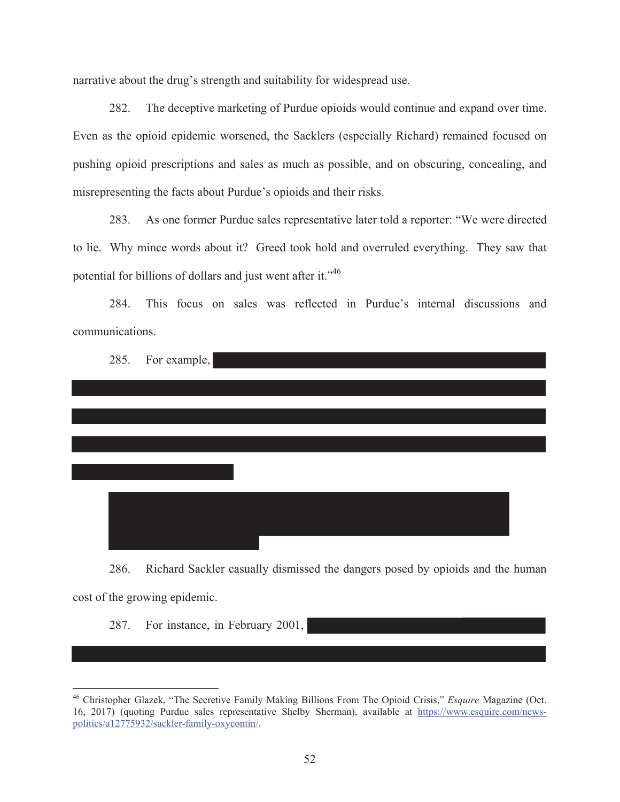narrative about the drug's strength and suitability for widespread use.

282. The deceptive marketing of Purdue opioids would continue and expand over time. Even as the opioid epidemic worsened, the Sacklers (especially Richard) remained focused on pushing opioid prescriptions and sales as much as possible, and on obscuring, concealing, and misrepresenting the facts about Purdue's opioids and their risks.

283. As one former Purdue sales representative later told a reporter: "We were directed to lie. Why mince words about it? Greed took hold and overruled everything. They saw that potential for billions of dollars and just went after it."46

284. This focus on sales was reflected in Purdue's internal discussions and communications.

|  | 285. For example, |  |  |
|--|-------------------|--|--|
|  |                   |  |  |
|  |                   |  |  |
|  |                   |  |  |
|  |                   |  |  |
|  |                   |  |  |
|  |                   |  |  |
|  |                   |  |  |
|  |                   |  |  |
|  |                   |  |  |
|  |                   |  |  |
|  |                   |  |  |
|  |                   |  |  |
|  |                   |  |  |

286. Richard Sackler casually dismissed the dangers posed by opioids and the human cost of the growing epidemic.

287. For instance, in February 2001,

-

<sup>46</sup> Christopher Glazek, "The Secretive Family Making Billions From The Opioid Crisis," *Esquire* Magazine (Oct. 16, 2017) (quoting Purdue sales representative Shelby Sherman), available at https://www.esquire.com/newspolitics/a12775932/sackler-family-oxycontin/.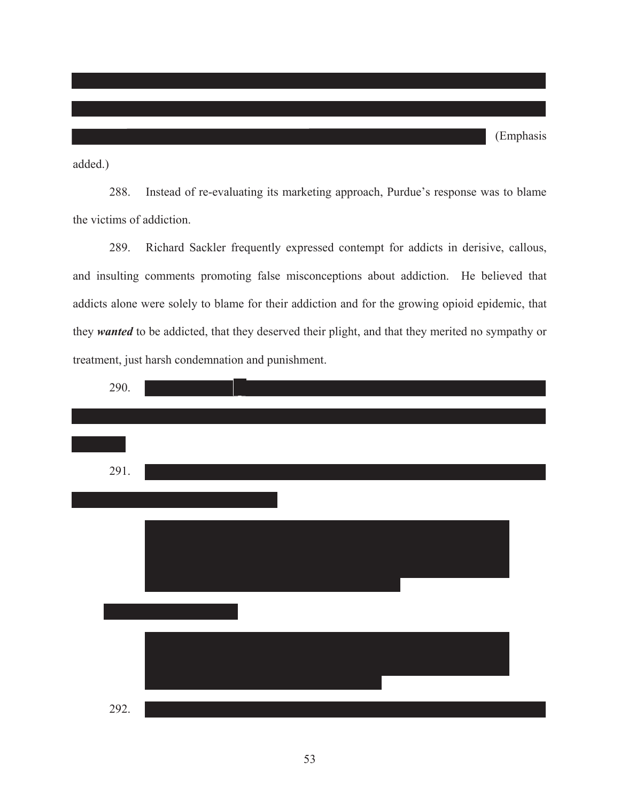added.)

288. Instead of re-evaluating its marketing approach, Purdue's response was to blame the victims of addiction.

289. Richard Sackler frequently expressed contempt for addicts in derisive, callous, and insulting comments promoting false misconceptions about addiction. He believed that addicts alone were solely to blame for their addiction and for the growing opioid epidemic, that they *wanted* to be addicted, that they deserved their plight, and that they merited no sympathy or treatment, just harsh condemnation and punishment.

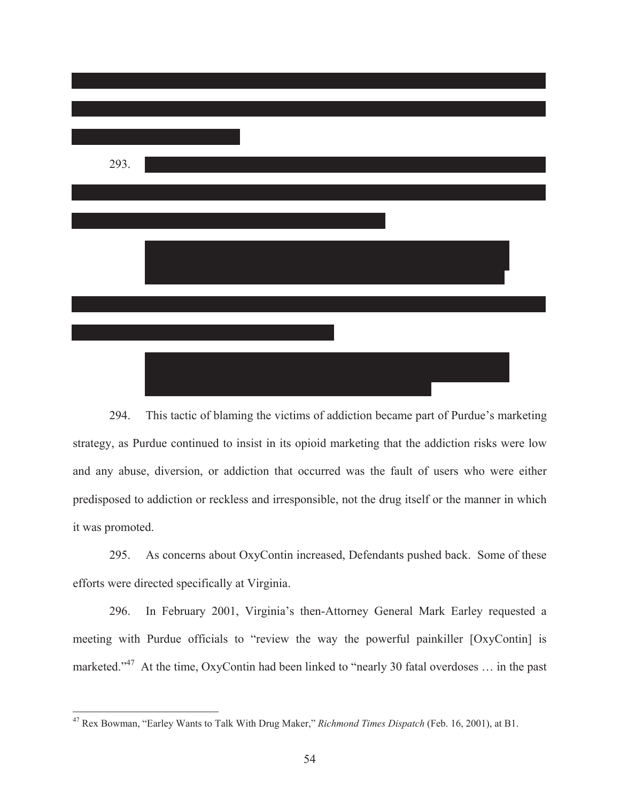

294. This tactic of blaming the victims of addiction became part of Purdue's marketing strategy, as Purdue continued to insist in its opioid marketing that the addiction risks were low and any abuse, diversion, or addiction that occurred was the fault of users who were either predisposed to addiction or reckless and irresponsible, not the drug itself or the manner in which it was promoted.

295. As concerns about OxyContin increased, Defendants pushed back. Some of these efforts were directed specifically at Virginia.

296. In February 2001, Virginia's then-Attorney General Mark Earley requested a meeting with Purdue officials to "review the way the powerful painkiller [OxyContin] is marketed."<sup>47</sup> At the time, OxyContin had been linked to "nearly 30 fatal overdoses ... in the past

 $\overline{a}$ 

<sup>47</sup> Rex Bowman, "Earley Wants to Talk With Drug Maker," *Richmond Times Dispatch* (Feb. 16, 2001), at B1.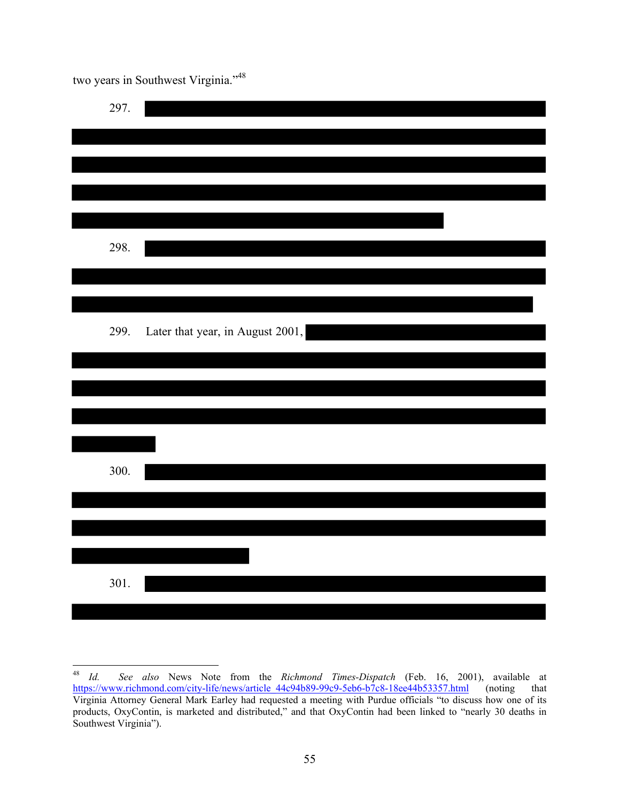two years in Southwest Virginia."48

| 297. |                                  |
|------|----------------------------------|
|      |                                  |
|      |                                  |
| 298. |                                  |
|      |                                  |
| 299. | Later that year, in August 2001, |
|      |                                  |
|      |                                  |
| 300. |                                  |
|      |                                  |
|      |                                  |
| 301. |                                  |

 $^{48}$  Id. <sup>48</sup> *Id. See also* News Note from the *Richmond Times-Dispatch* (Feb. 16, 2001), available at https://www.richmond.com/city-life/news/article\_44c94b89-99c9-5eb6-b7c8-18ee44b53357.html (noting that Virginia Attorney General Mark Earley had requested a meeting with Purdue officials "to discuss how one of its products, OxyContin, is marketed and distributed," and that OxyContin had been linked to "nearly 30 deaths in Southwest Virginia").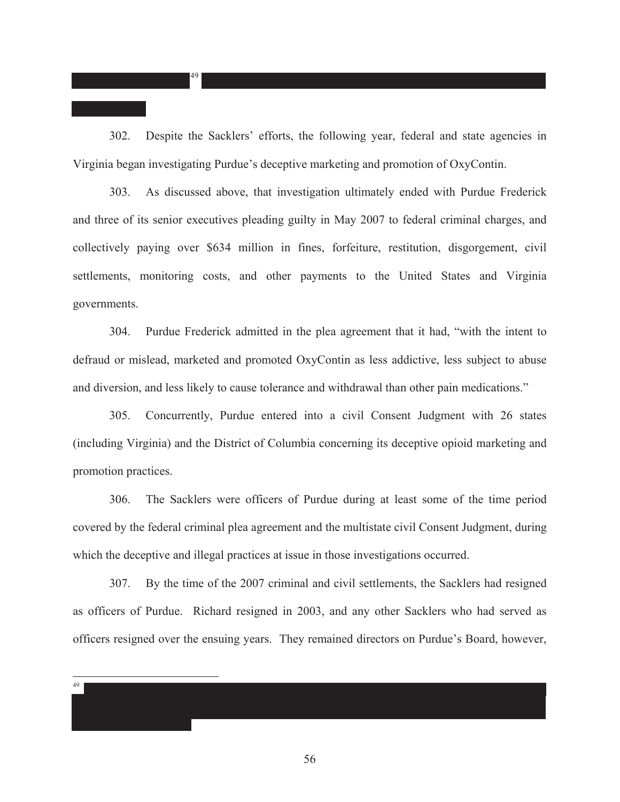302. Despite the Sacklers' efforts, the following year, federal and state agencies in Virginia began investigating Purdue's deceptive marketing and promotion of OxyContin.

49

49

303. As discussed above, that investigation ultimately ended with Purdue Frederick and three of its senior executives pleading guilty in May 2007 to federal criminal charges, and collectively paying over \$634 million in fines, forfeiture, restitution, disgorgement, civil settlements, monitoring costs, and other payments to the United States and Virginia governments.

304. Purdue Frederick admitted in the plea agreement that it had, "with the intent to defraud or mislead, marketed and promoted OxyContin as less addictive, less subject to abuse and diversion, and less likely to cause tolerance and withdrawal than other pain medications."

305. Concurrently, Purdue entered into a civil Consent Judgment with 26 states (including Virginia) and the District of Columbia concerning its deceptive opioid marketing and promotion practices.

306. The Sacklers were officers of Purdue during at least some of the time period covered by the federal criminal plea agreement and the multistate civil Consent Judgment, during which the deceptive and illegal practices at issue in those investigations occurred.

307. By the time of the 2007 criminal and civil settlements, the Sacklers had resigned as officers of Purdue. Richard resigned in 2003, and any other Sacklers who had served as officers resigned over the ensuing years. They remained directors on Purdue's Board, however,

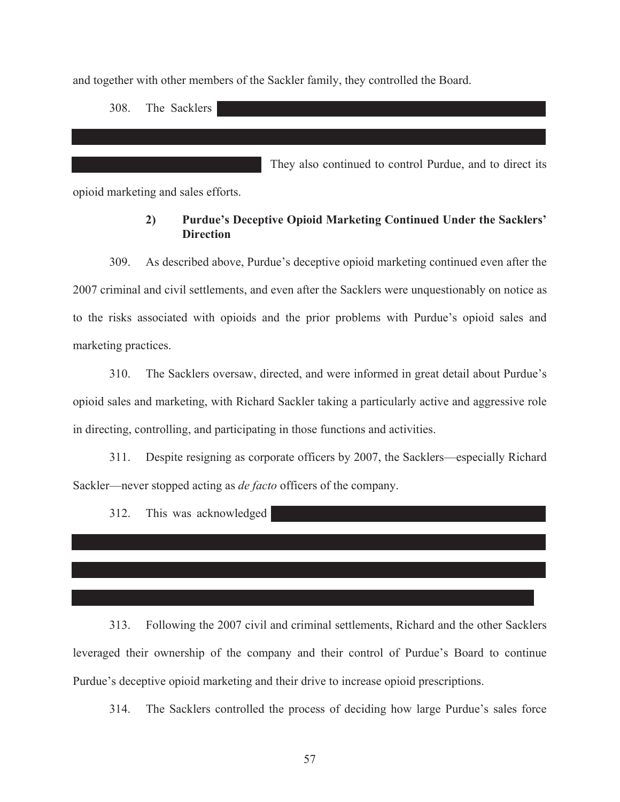and together with other members of the Sackler family, they controlled the Board.

308. The Sacklers

They also continued to control Purdue, and to direct its

opioid marketing and sales efforts.

# **2) Purdue's Deceptive Opioid Marketing Continued Under the Sacklers' Direction**

309. As described above, Purdue's deceptive opioid marketing continued even after the 2007 criminal and civil settlements, and even after the Sacklers were unquestionably on notice as to the risks associated with opioids and the prior problems with Purdue's opioid sales and marketing practices.

310. The Sacklers oversaw, directed, and were informed in great detail about Purdue's opioid sales and marketing, with Richard Sackler taking a particularly active and aggressive role in directing, controlling, and participating in those functions and activities.

311. Despite resigning as corporate officers by 2007, the Sacklers—especially Richard Sackler—never stopped acting as *de facto* officers of the company.

312. This was acknowledged

313. Following the 2007 civil and criminal settlements, Richard and the other Sacklers leveraged their ownership of the company and their control of Purdue's Board to continue Purdue's deceptive opioid marketing and their drive to increase opioid prescriptions.

314. The Sacklers controlled the process of deciding how large Purdue's sales force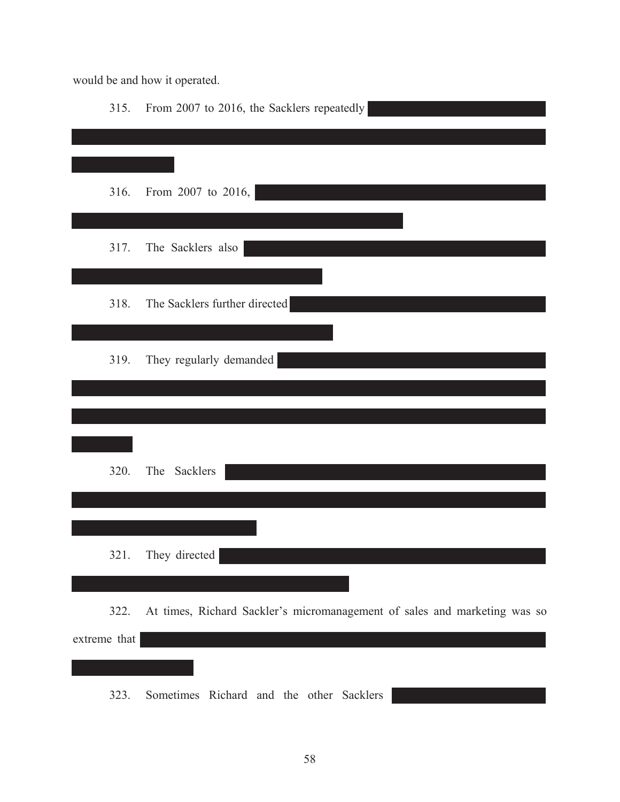would be and how it operated.

| 315.         | From 2007 to 2016, the Sacklers repeatedly                                |
|--------------|---------------------------------------------------------------------------|
|              |                                                                           |
|              |                                                                           |
| 316.         | From 2007 to 2016,                                                        |
|              |                                                                           |
| 317.         | The Sacklers also                                                         |
|              |                                                                           |
| 318.         | The Sacklers further directed                                             |
|              |                                                                           |
|              |                                                                           |
| 319.         | They regularly demanded                                                   |
|              |                                                                           |
|              |                                                                           |
|              |                                                                           |
| 320.         | The<br>Sacklers                                                           |
|              |                                                                           |
|              |                                                                           |
|              | 321. They directed                                                        |
|              |                                                                           |
| 322.         | At times, Richard Sackler's micromanagement of sales and marketing was so |
| extreme that |                                                                           |
|              |                                                                           |
|              | Sometimes Richard and the other Sacklers                                  |
| 323.         |                                                                           |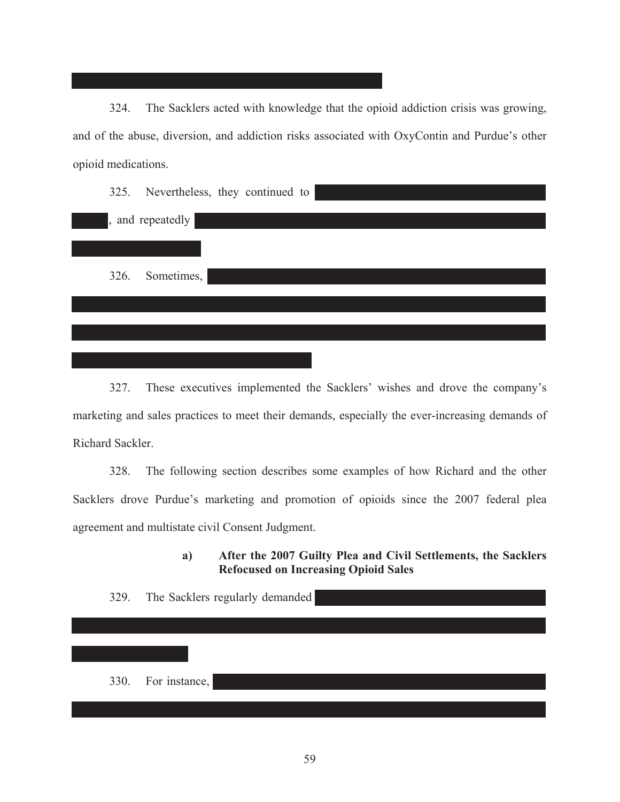324. The Sacklers acted with knowledge that the opioid addiction crisis was growing, and of the abuse, diversion, and addiction risks associated with OxyContin and Purdue's other opioid medications.

|      | 325. Nevertheless, they continued to |
|------|--------------------------------------|
|      | , and repeatedly                     |
|      |                                      |
| 326. | Sometimes,                           |
|      |                                      |
|      |                                      |
|      |                                      |

327. These executives implemented the Sacklers' wishes and drove the company's marketing and sales practices to meet their demands, especially the ever-increasing demands of Richard Sackler.

328. The following section describes some examples of how Richard and the other Sacklers drove Purdue's marketing and promotion of opioids since the 2007 federal plea agreement and multistate civil Consent Judgment.

> **a) After the 2007 Guilty Plea and Civil Settlements, the Sacklers Refocused on Increasing Opioid Sales**

329. The Sacklers regularly demanded 330. For instance,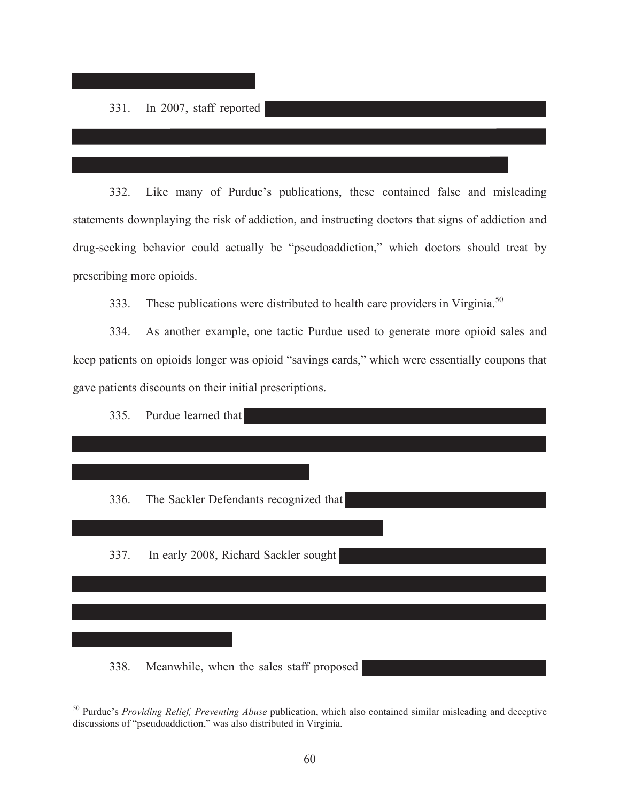$\overline{a}$ 

332. Like many of Purdue's publications, these contained false and misleading statements downplaying the risk of addiction, and instructing doctors that signs of addiction and drug-seeking behavior could actually be "pseudoaddiction," which doctors should treat by prescribing more opioids.

333. These publications were distributed to health care providers in Virginia.<sup>50</sup>

334. As another example, one tactic Purdue used to generate more opioid sales and keep patients on opioids longer was opioid "savings cards," which were essentially coupons that gave patients discounts on their initial prescriptions.



50 Purdue's *Providing Relief, Preventing Abuse* publication, which also contained similar misleading and deceptive discussions of "pseudoaddiction," was also distributed in Virginia.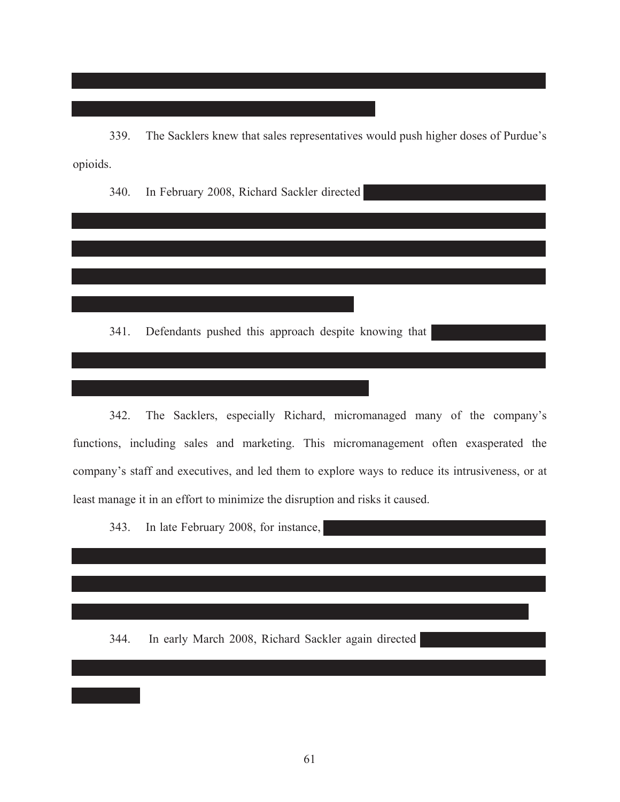339. The Sacklers knew that sales representatives would push higher doses of Purdue's opioids.

340. In February 2008, Richard Sackler directed

341. Defendants pushed this approach despite knowing that

342. The Sacklers, especially Richard, micromanaged many of the company's functions, including sales and marketing. This micromanagement often exasperated the company's staff and executives, and led them to explore ways to reduce its intrusiveness, or at least manage it in an effort to minimize the disruption and risks it caused.

343. In late February 2008, for instance,

344. In early March 2008, Richard Sackler again directed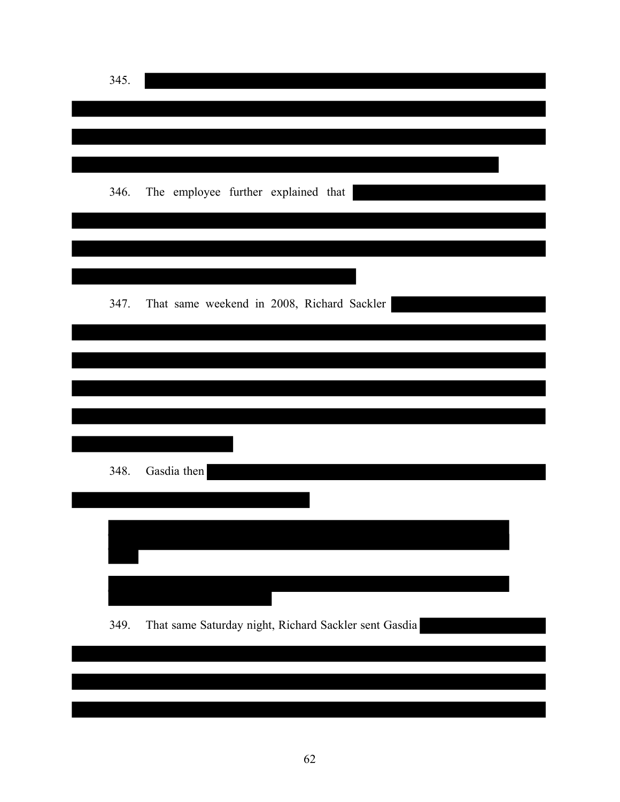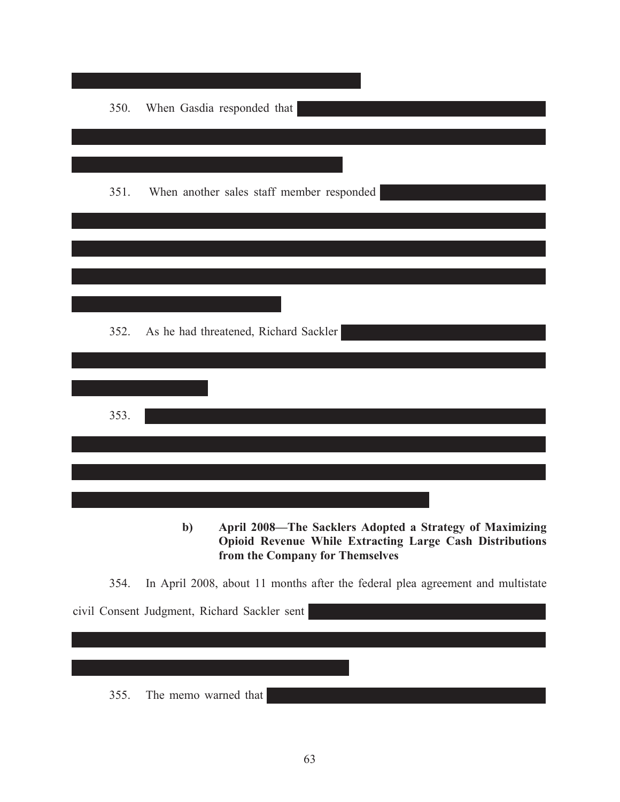| 350. | When Gasdia responded that                                    |
|------|---------------------------------------------------------------|
|      |                                                               |
| 351. | When another sales staff member responded                     |
|      |                                                               |
|      |                                                               |
|      |                                                               |
|      |                                                               |
| 352. | As he had threatened, Richard Sackler                         |
|      |                                                               |
|      |                                                               |
| 353. |                                                               |
|      |                                                               |
|      |                                                               |
|      | April 2008—The Sacklers Adopted a Strategy of Maximizing<br>h |

**b) April 2008—The Sacklers Adopted a Strategy of Maximizing Opioid Revenue While Extracting Large Cash Distributions from the Company for Themselves**

354. In April 2008, about 11 months after the federal plea agreement and multistate

civil Consent Judgment, Richard Sackler sent 355. The memo warned that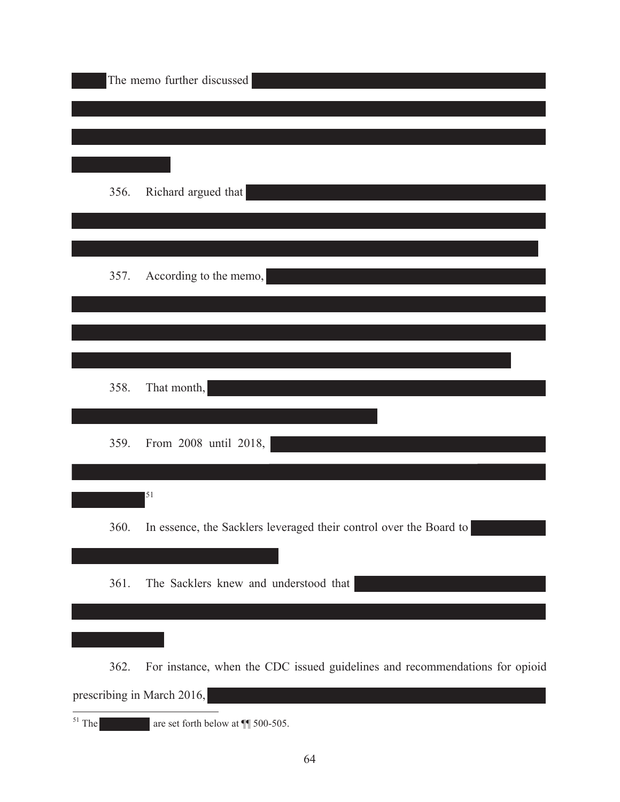|      | The memo further discussed                                                  |
|------|-----------------------------------------------------------------------------|
|      |                                                                             |
|      |                                                                             |
|      |                                                                             |
| 356. | Richard argued that                                                         |
|      |                                                                             |
|      |                                                                             |
|      |                                                                             |
| 357. | According to the memo,                                                      |
|      |                                                                             |
|      |                                                                             |
|      |                                                                             |
| 358. | That month,                                                                 |
|      |                                                                             |
|      |                                                                             |
| 359. | From 2008 until 2018,                                                       |
|      |                                                                             |
|      | 51                                                                          |
| 360. | In essence, the Sacklers leveraged their control over the Board to          |
|      |                                                                             |
| 361. | The Sacklers knew and understood that                                       |
|      |                                                                             |
|      |                                                                             |
|      |                                                                             |
| 362. | For instance, when the CDC issued guidelines and recommendations for opioid |
|      | prescribing in March 2016,                                                  |

 $51$  The

are set forth below at  $\P$  500-505.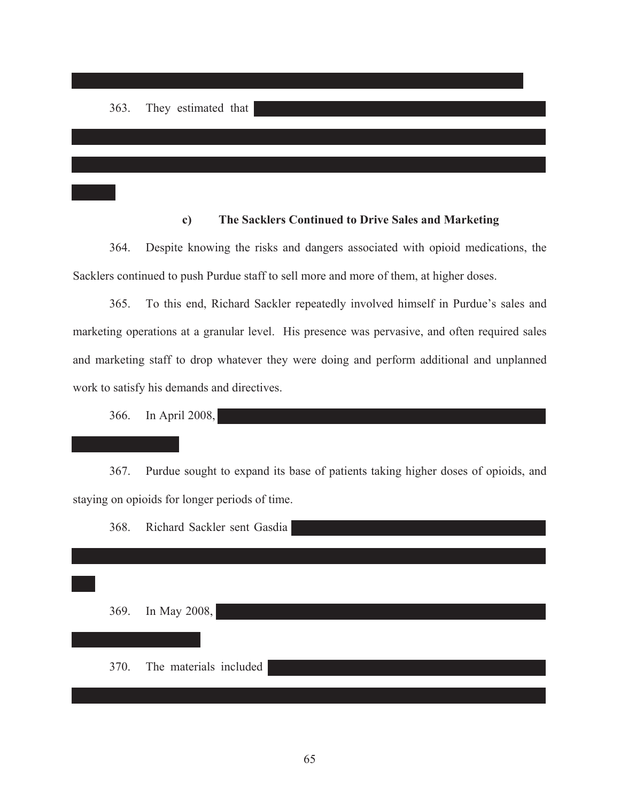# **c) The Sacklers Continued to Drive Sales and Marketing**

364. Despite knowing the risks and dangers associated with opioid medications, the Sacklers continued to push Purdue staff to sell more and more of them, at higher doses.

365. To this end, Richard Sackler repeatedly involved himself in Purdue's sales and marketing operations at a granular level. His presence was pervasive, and often required sales and marketing staff to drop whatever they were doing and perform additional and unplanned work to satisfy his demands and directives.

366. In April 2008,

367. Purdue sought to expand its base of patients taking higher doses of opioids, and staying on opioids for longer periods of time.

368. Richard Sackler sent Gasdia

369. In May 2008,

370. The materials included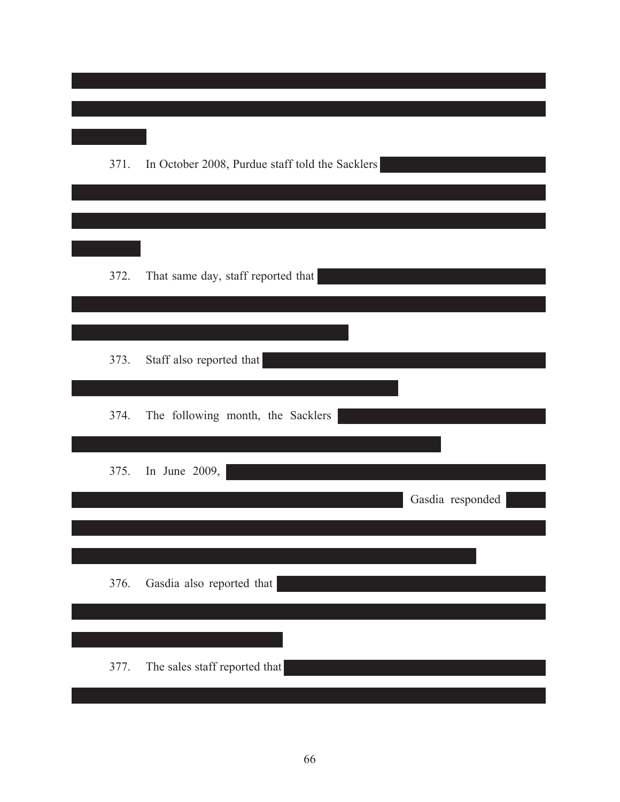| 371. | In October 2008, Purdue staff told the Sacklers |
|------|-------------------------------------------------|
| 372. | That same day, staff reported that              |
| 373. | Staff also reported that                        |
| 374. | The following month, the Sacklers               |
| 375. | In June 2009,<br>Gasdia responded               |
| 376. | Gasdia also reported that                       |
| 377. | The sales staff reported that                   |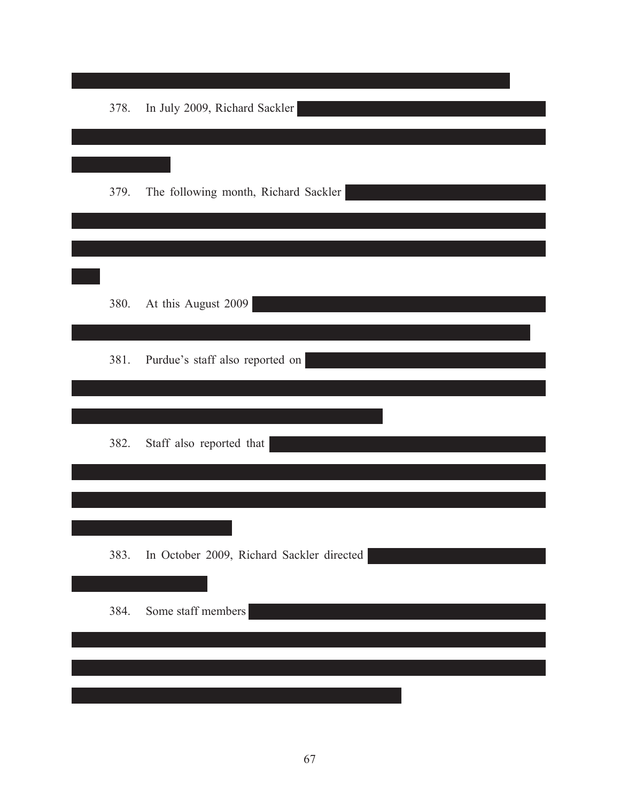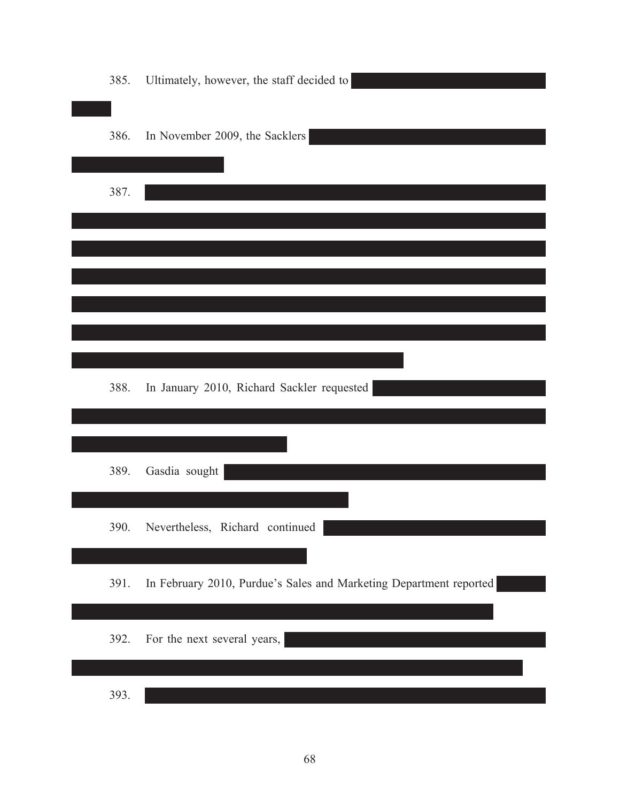| 385. | Ultimately, however, the staff decided to                          |
|------|--------------------------------------------------------------------|
| 386. | In November 2009, the Sacklers                                     |
| 387. |                                                                    |
|      |                                                                    |
|      |                                                                    |
|      |                                                                    |
|      |                                                                    |
| 388. | In January 2010, Richard Sackler requested                         |
| 389. | Gasdia sought                                                      |
| 390. | Nevertheless, Richard continued                                    |
| 391. | In February 2010, Purdue's Sales and Marketing Department reported |
| 392. | For the next several years,                                        |
| 393. |                                                                    |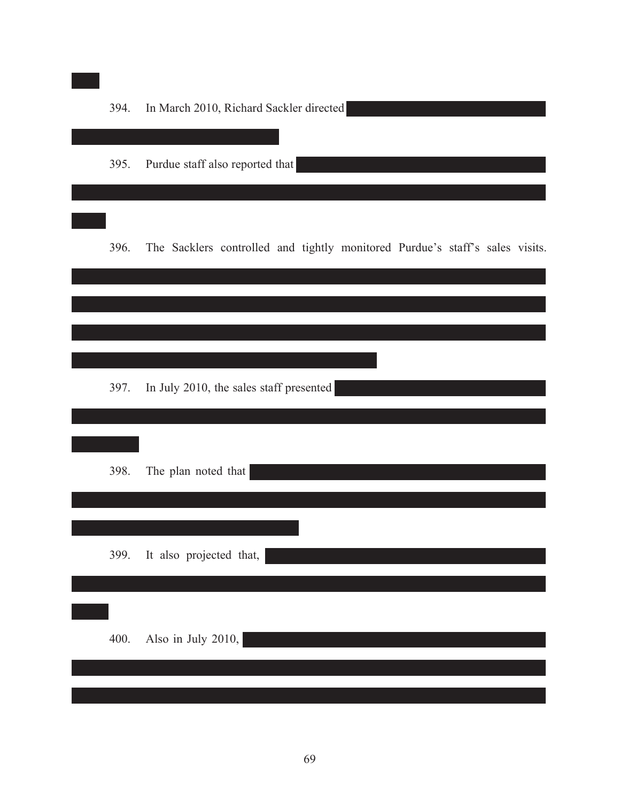| Purdue staff also reported that<br>395.<br>396.<br>In July 2010, the sales staff presented<br>397.<br>The plan noted that<br>398. | 394. | In March 2010, Richard Sackler directed                                      |
|-----------------------------------------------------------------------------------------------------------------------------------|------|------------------------------------------------------------------------------|
|                                                                                                                                   |      |                                                                              |
|                                                                                                                                   |      | The Sacklers controlled and tightly monitored Purdue's staff's sales visits. |
|                                                                                                                                   |      |                                                                              |
|                                                                                                                                   |      |                                                                              |
|                                                                                                                                   |      |                                                                              |
|                                                                                                                                   | 399. | It also projected that,                                                      |
| Also in July 2010,<br>400.                                                                                                        |      |                                                                              |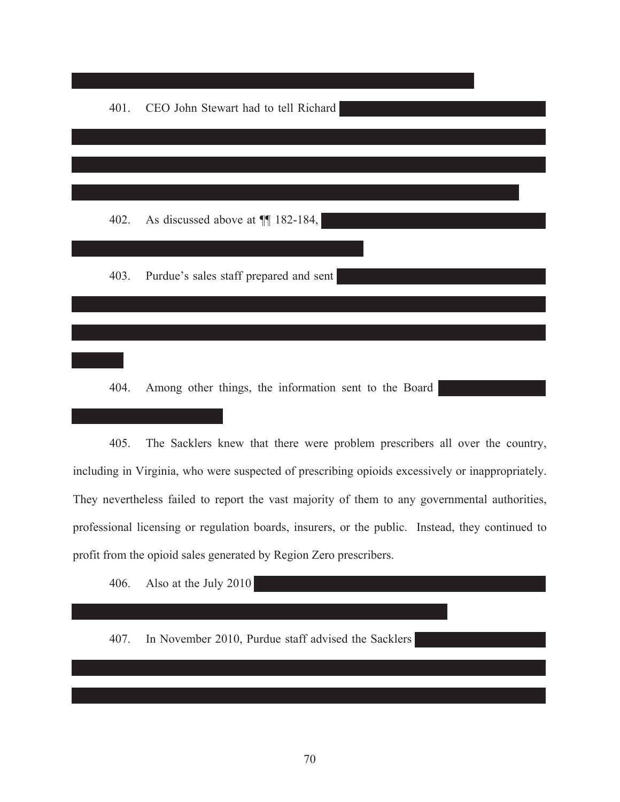401. CEO John Stewart had to tell Richard 402. As discussed above at  $\P$ [ 182-184, | 403. Purdue's sales staff prepared and sent

404. Among other things, the information sent to the Board

405. The Sacklers knew that there were problem prescribers all over the country, including in Virginia, who were suspected of prescribing opioids excessively or inappropriately. They nevertheless failed to report the vast majority of them to any governmental authorities, professional licensing or regulation boards, insurers, or the public. Instead, they continued to profit from the opioid sales generated by Region Zero prescribers.

406. Also at the July 2010

407. In November 2010, Purdue staff advised the Sacklers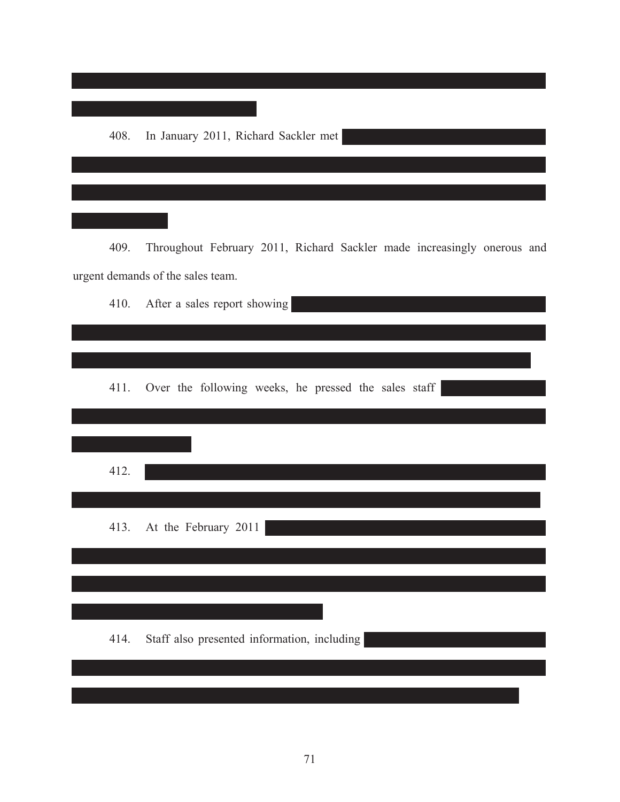

409. Throughout February 2011, Richard Sackler made increasingly onerous and urgent demands of the sales team.

| 410. | After a sales report showing                         |
|------|------------------------------------------------------|
|      |                                                      |
|      |                                                      |
| 411. | Over the following weeks, he pressed the sales staff |
|      |                                                      |
| 412. |                                                      |
|      |                                                      |
|      | 413. At the February 2011                            |
|      |                                                      |
|      |                                                      |
| 414. | Staff also presented information, including          |
|      |                                                      |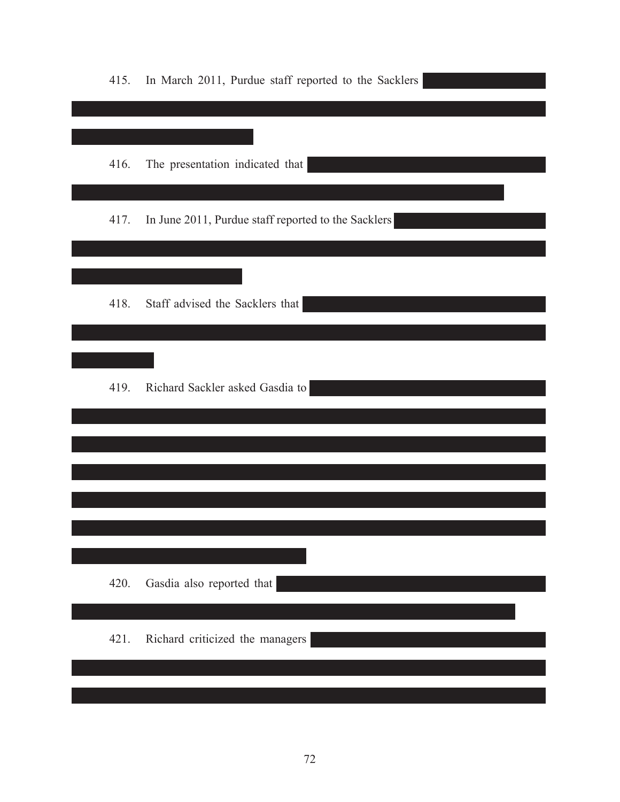| 415. | In March 2011, Purdue staff reported to the Sacklers |
|------|------------------------------------------------------|
|      |                                                      |
| 416. | The presentation indicated that                      |
| 417. | In June 2011, Purdue staff reported to the Sacklers  |
|      |                                                      |
| 418. | Staff advised the Sacklers that                      |
|      |                                                      |
| 419. | Richard Sackler asked Gasdia to                      |
|      |                                                      |
|      |                                                      |
|      |                                                      |
|      |                                                      |
| 420. | Gasdia also reported that                            |
| 421. | Richard criticized the managers                      |
|      |                                                      |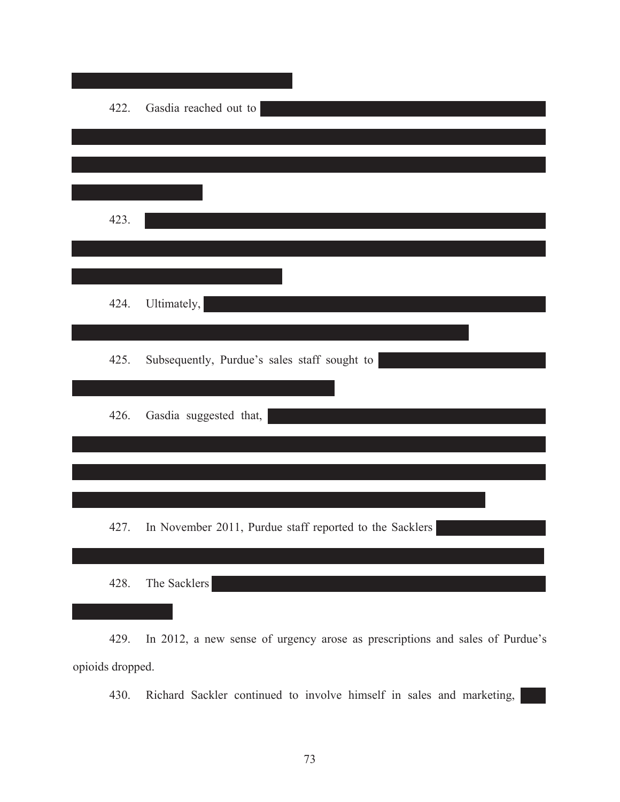| 422. | Gasdia reached out to                                   |
|------|---------------------------------------------------------|
|      |                                                         |
|      |                                                         |
| 423. |                                                         |
|      |                                                         |
| 424. | Ultimately,                                             |
| 425. | Subsequently, Purdue's sales staff sought to            |
| 426. | Gasdia suggested that,                                  |
|      |                                                         |
|      |                                                         |
| 427. | In November 2011, Purdue staff reported to the Sacklers |
| 428. | The Sacklers                                            |

429. In 2012, a new sense of urgency arose as prescriptions and sales of Purdue's opioids dropped.

430. Richard Sackler continued to involve himself in sales and marketing,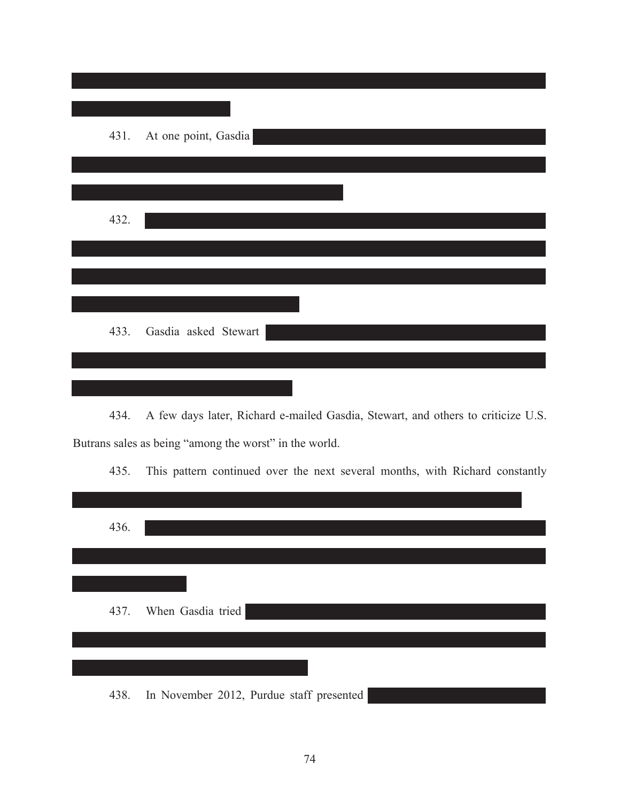|      | 431. At one point, Gasdia |
|------|---------------------------|
|      |                           |
|      |                           |
| 432. |                           |
|      |                           |
|      |                           |
|      |                           |
| 433. | Gasdia asked Stewart      |
|      |                           |
|      |                           |

434. A few days later, Richard e-mailed Gasdia, Stewart, and others to criticize U.S. Butrans sales as being "among the worst" in the world.

435. This pattern continued over the next several months, with Richard constantly

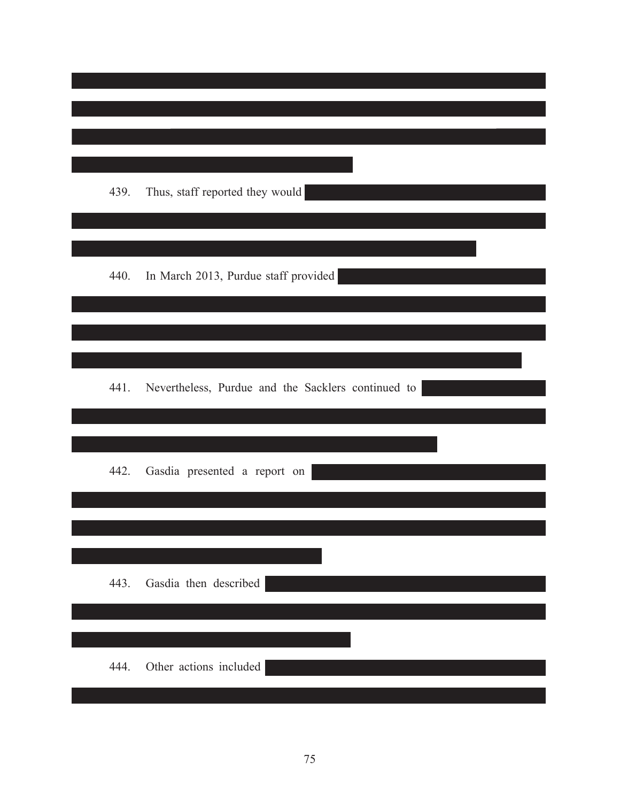| 439. | Thus, staff reported they would                    |
|------|----------------------------------------------------|
| 440. | In March 2013, Purdue staff provided               |
|      |                                                    |
| 441. | Nevertheless, Purdue and the Sacklers continued to |
| 442. | Gasdia presented a report on                       |
| 443. | Gasdia then described                              |
| 444. | Other actions included                             |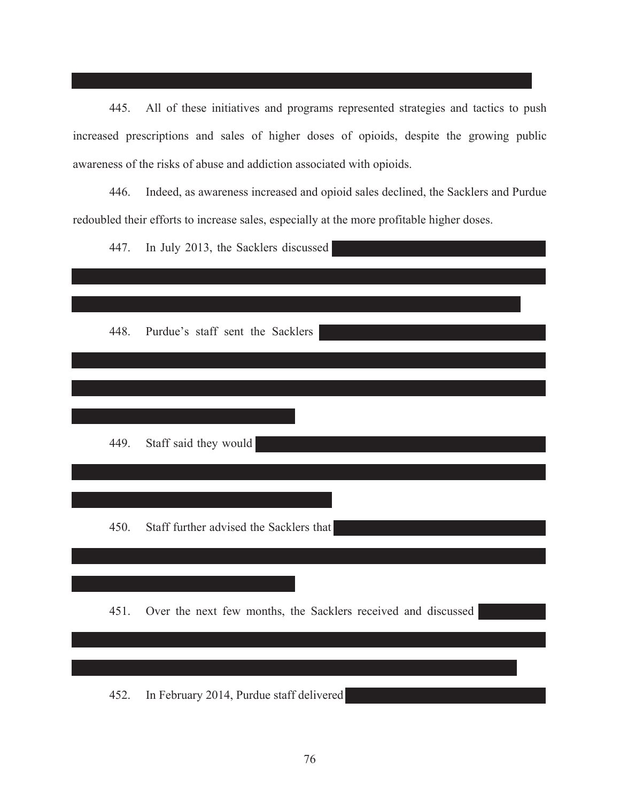445. All of these initiatives and programs represented strategies and tactics to push increased prescriptions and sales of higher doses of opioids, despite the growing public awareness of the risks of abuse and addiction associated with opioids.

446. Indeed, as awareness increased and opioid sales declined, the Sacklers and Purdue redoubled their efforts to increase sales, especially at the more profitable higher doses.

| 447. | In July 2013, the Sacklers discussed                          |
|------|---------------------------------------------------------------|
|      |                                                               |
| 448. | Purdue's staff sent the Sacklers                              |
|      |                                                               |
|      |                                                               |
| 449. | Staff said they would                                         |
|      |                                                               |
|      |                                                               |
| 450. | Staff further advised the Sacklers that                       |
|      |                                                               |
| 451. | Over the next few months, the Sacklers received and discussed |
|      |                                                               |
| 452. | In February 2014, Purdue staff delivered                      |
|      |                                                               |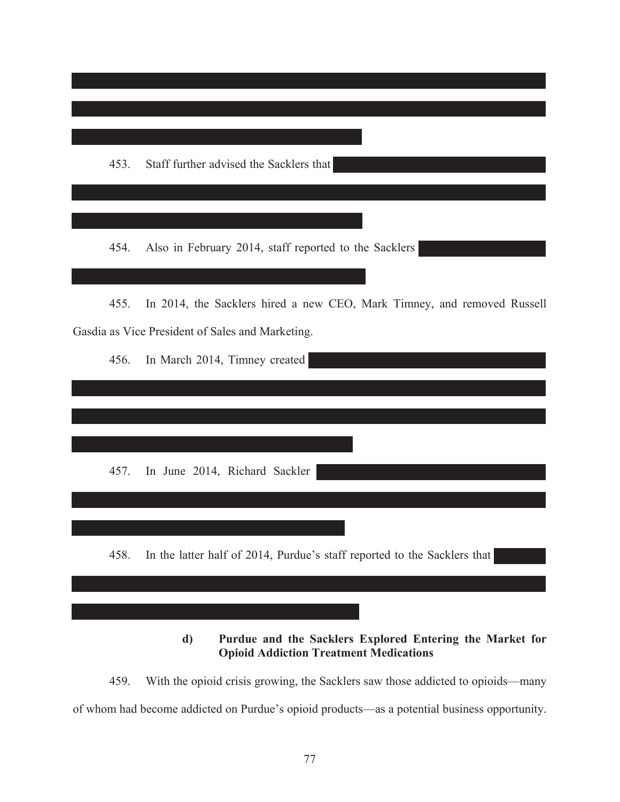

**d) Purdue and the Sacklers Explored Entering the Market for Opioid Addiction Treatment Medications**

459. With the opioid crisis growing, the Sacklers saw those addicted to opioids—many of whom had become addicted on Purdue's opioid products—as a potential business opportunity.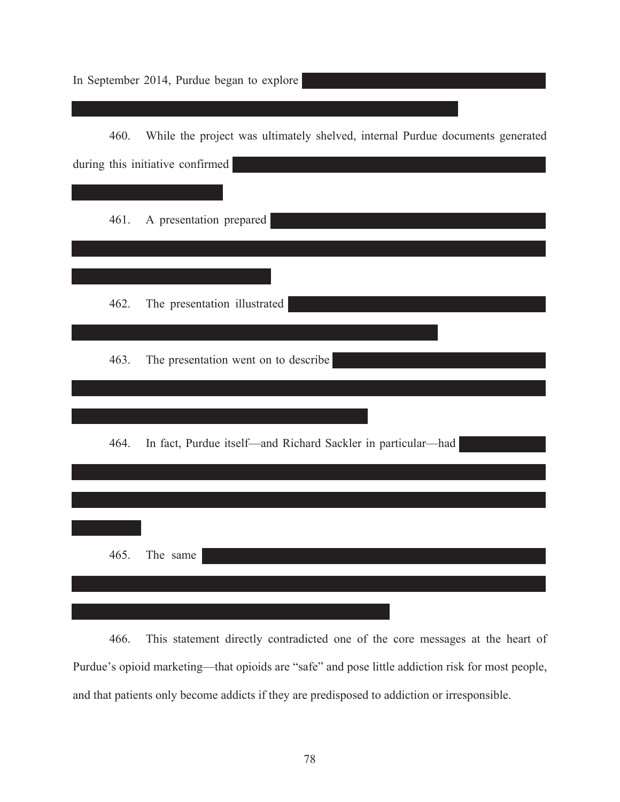In September 2014, Purdue began to explore

| 460. | While the project was ultimately shelved, internal Purdue documents generated |
|------|-------------------------------------------------------------------------------|
|      | during this initiative confirmed                                              |
|      |                                                                               |
| 461. | A presentation prepared                                                       |
|      |                                                                               |
|      |                                                                               |
| 462. | The presentation illustrated                                                  |
|      |                                                                               |
| 463. | The presentation went on to describe                                          |
|      |                                                                               |
|      |                                                                               |
| 464. | In fact, Purdue itself—and Richard Sackler in particular—had                  |
|      |                                                                               |
|      |                                                                               |
|      |                                                                               |
| 465. | The same                                                                      |
|      |                                                                               |
|      |                                                                               |

466. This statement directly contradicted one of the core messages at the heart of Purdue's opioid marketing—that opioids are "safe" and pose little addiction risk for most people, and that patients only become addicts if they are predisposed to addiction or irresponsible.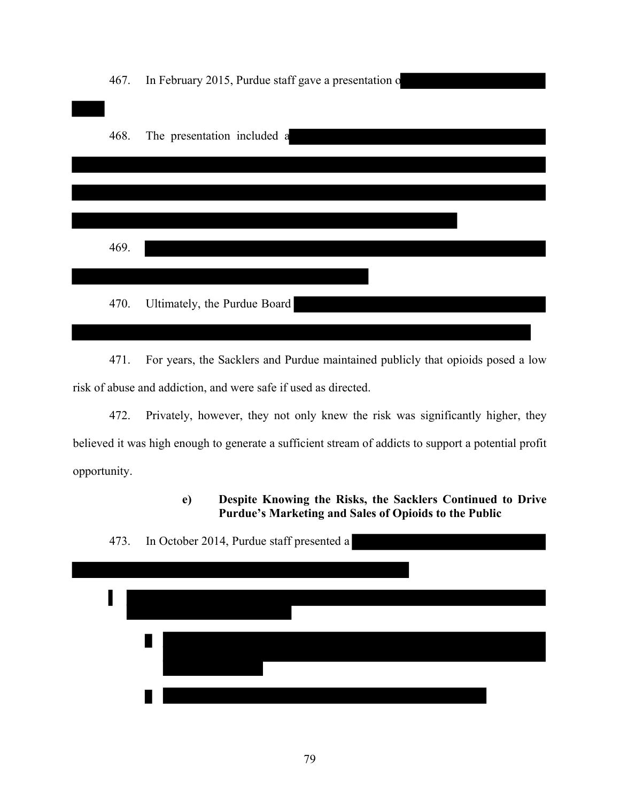467. In February 2015, Purdue staff gave a presentation o 468. The presentation included a 469. 470. Ultimately, the Purdue Board

471. For years, the Sacklers and Purdue maintained publicly that opioids posed a low risk of abuse and addiction, and were safe if used as directed.

472. Privately, however, they not only knew the risk was significantly higher, they believed it was high enough to generate a sufficient stream of addicts to support a potential profit opportunity.

> **e) Despite Knowing the Risks, the Sacklers Continued to Drive Purdue's Marketing and Sales of Opioids to the Public**

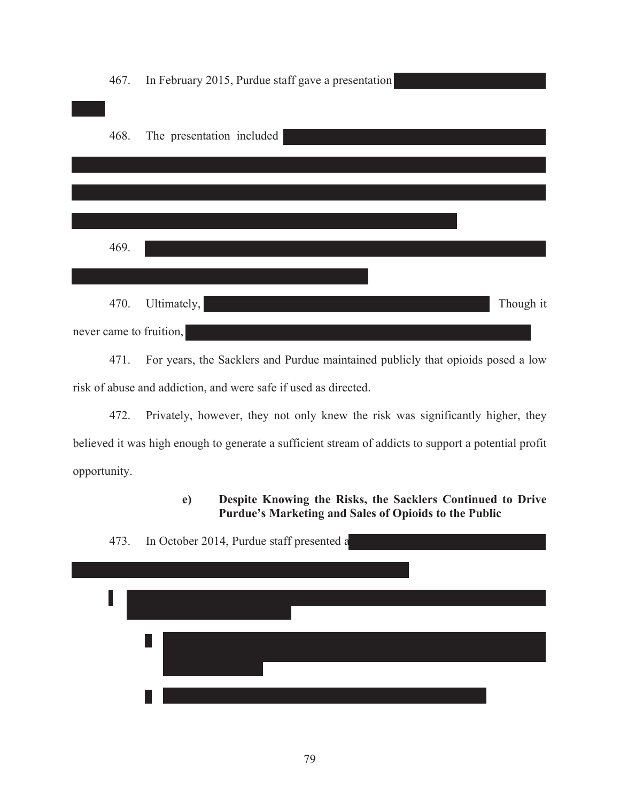467. In February 2015, Purdue staff gave a presentation 468. The presentation included 469. 470. Ultimately, the contract of the contract of the contract of the contract of the contract of the contract of the contract of the contract of the contract of the contract of the contract of the contract of the contract never came to fruition,

471. For years, the Sacklers and Purdue maintained publicly that opioids posed a low risk of abuse and addiction, and were safe if used as directed.

472. Privately, however, they not only knew the risk was significantly higher, they believed it was high enough to generate a sufficient stream of addicts to support a potential profit opportunity.

> **e) Despite Knowing the Risks, the Sacklers Continued to Drive Purdue's Marketing and Sales of Opioids to the Public**

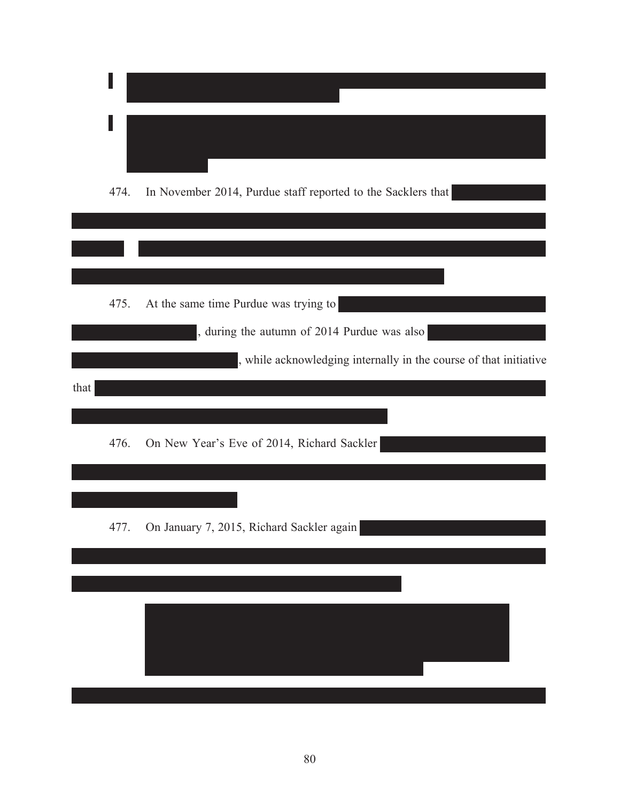|      | 474. | In November 2014, Purdue staff reported to the Sacklers that                                                     |
|------|------|------------------------------------------------------------------------------------------------------------------|
|      | 475. | At the same time Purdue was trying to                                                                            |
| that |      | , during the autumn of 2014 Purdue was also<br>, while acknowledging internally in the course of that initiative |
|      | 476. | On New Year's Eve of 2014, Richard Sackler                                                                       |
|      | 477. | On January 7, 2015, Richard Sackler again                                                                        |
|      |      |                                                                                                                  |
|      |      |                                                                                                                  |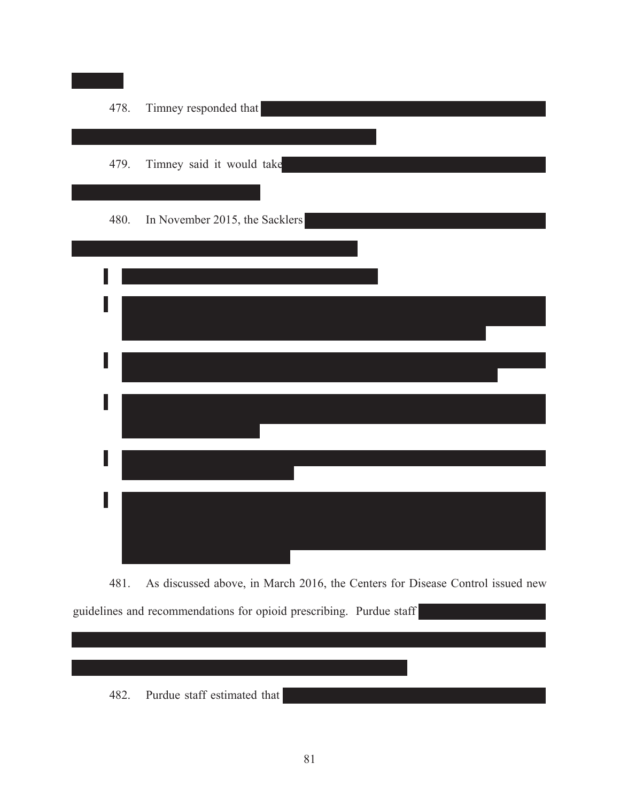

481. As discussed above, in March 2016, the Centers for Disease Control issued new guidelines and recommendations for opioid prescribing. Purdue staff

482. Purdue staff estimated that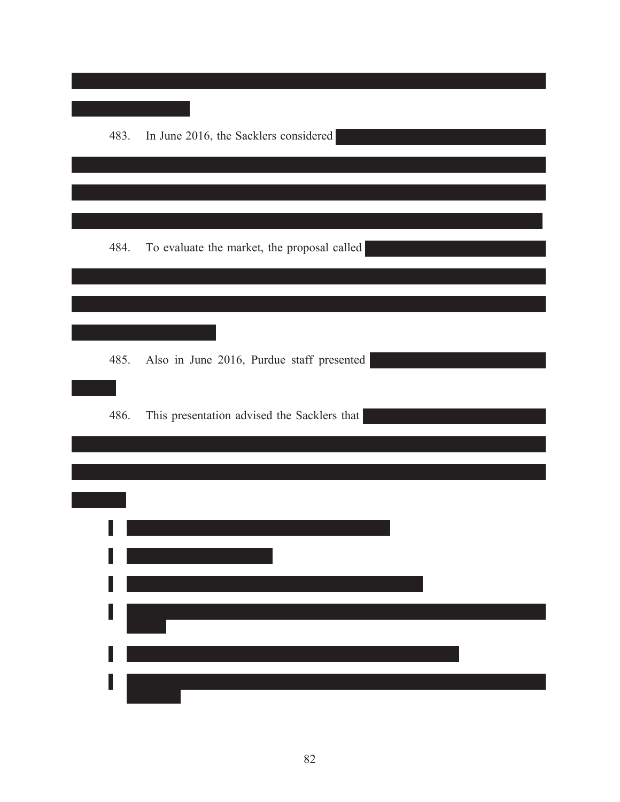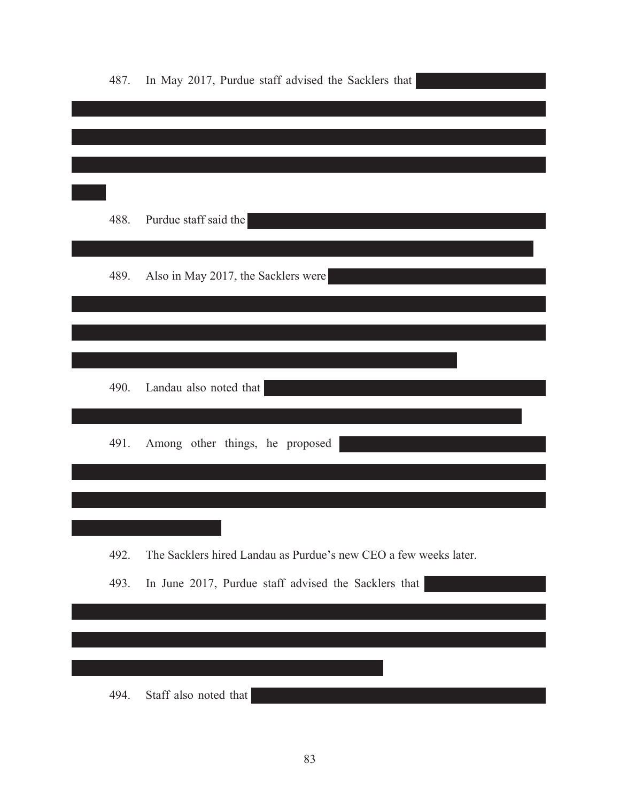| 488.<br>Purdue staff said the<br>Also in May 2017, the Sacklers were<br>489.<br>490.<br>Landau also noted that<br>491.<br>Among other things, he proposed<br>The Sacklers hired Landau as Purdue's new CEO a few weeks later.<br>492.<br>493.<br>In June 2017, Purdue staff advised the Sacklers that | 487. | In May 2017, Purdue staff advised the Sacklers that |
|-------------------------------------------------------------------------------------------------------------------------------------------------------------------------------------------------------------------------------------------------------------------------------------------------------|------|-----------------------------------------------------|
|                                                                                                                                                                                                                                                                                                       |      |                                                     |
|                                                                                                                                                                                                                                                                                                       |      |                                                     |
|                                                                                                                                                                                                                                                                                                       |      |                                                     |
|                                                                                                                                                                                                                                                                                                       |      |                                                     |
|                                                                                                                                                                                                                                                                                                       |      |                                                     |
|                                                                                                                                                                                                                                                                                                       |      |                                                     |
|                                                                                                                                                                                                                                                                                                       |      |                                                     |
|                                                                                                                                                                                                                                                                                                       |      |                                                     |
|                                                                                                                                                                                                                                                                                                       |      |                                                     |
|                                                                                                                                                                                                                                                                                                       |      |                                                     |
|                                                                                                                                                                                                                                                                                                       |      |                                                     |
|                                                                                                                                                                                                                                                                                                       |      |                                                     |
|                                                                                                                                                                                                                                                                                                       |      |                                                     |
|                                                                                                                                                                                                                                                                                                       |      |                                                     |
|                                                                                                                                                                                                                                                                                                       |      |                                                     |
|                                                                                                                                                                                                                                                                                                       |      |                                                     |
|                                                                                                                                                                                                                                                                                                       |      |                                                     |
| Staff also noted that<br>494.                                                                                                                                                                                                                                                                         |      |                                                     |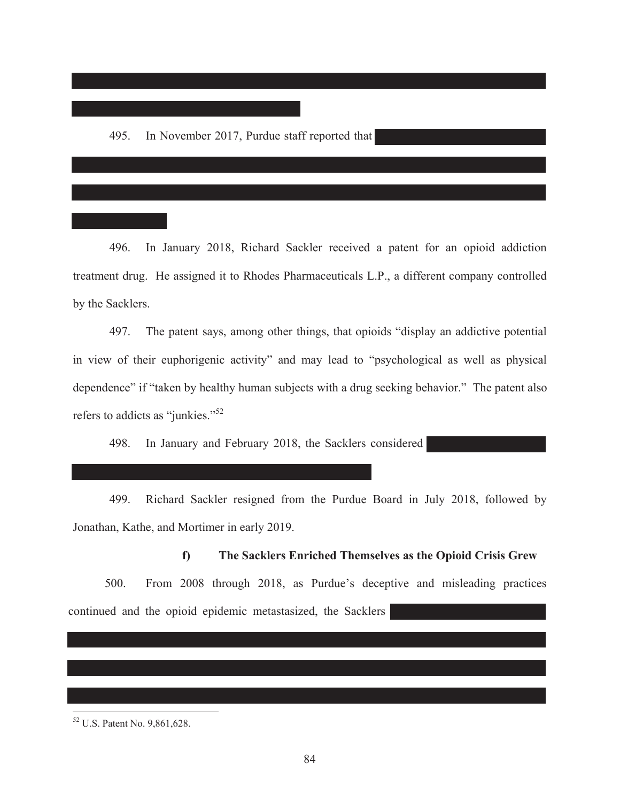496. In January 2018, Richard Sackler received a patent for an opioid addiction treatment drug. He assigned it to Rhodes Pharmaceuticals L.P., a different company controlled by the Sacklers.

497. The patent says, among other things, that opioids "display an addictive potential in view of their euphorigenic activity" and may lead to "psychological as well as physical dependence" if "taken by healthy human subjects with a drug seeking behavior." The patent also refers to addicts as "junkies."<sup>52</sup>

498. In January and February 2018, the Sacklers considered

499. Richard Sackler resigned from the Purdue Board in July 2018, followed by Jonathan, Kathe, and Mortimer in early 2019.

**f) The Sacklers Enriched Themselves as the Opioid Crisis Grew**  500. From 2008 through 2018, as Purdue's deceptive and misleading practices

continued and the opioid epidemic metastasized, the Sacklers

 $\overline{a}$ 

<sup>52</sup> U.S. Patent No. 9,861,628.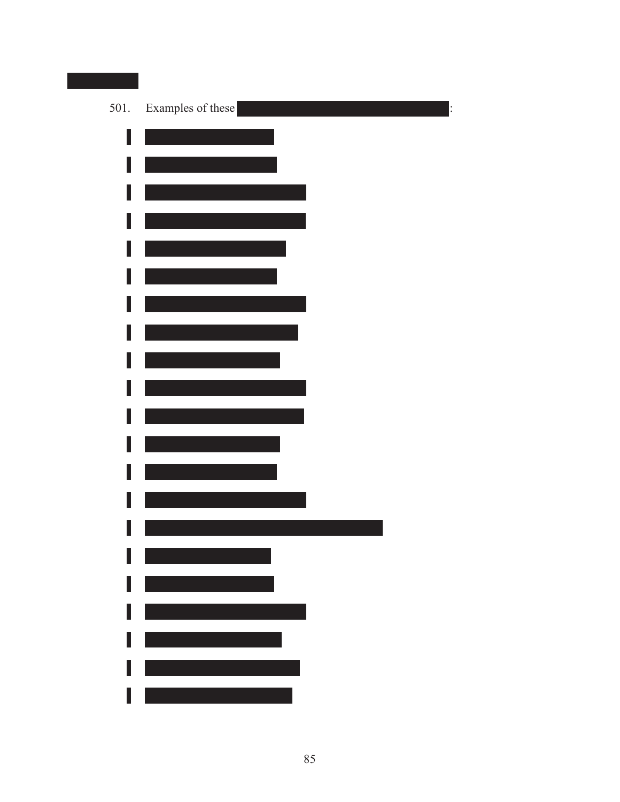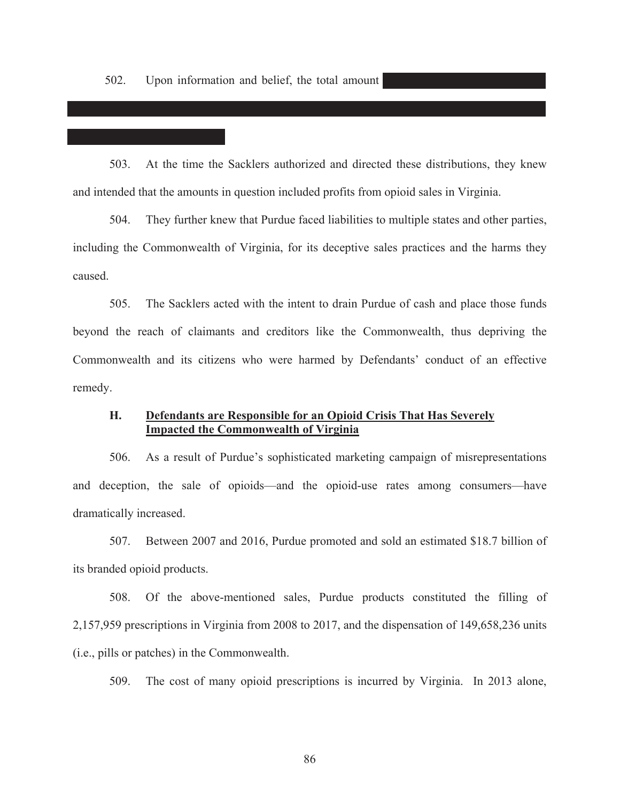503. At the time the Sacklers authorized and directed these distributions, they knew and intended that the amounts in question included profits from opioid sales in Virginia.

504. They further knew that Purdue faced liabilities to multiple states and other parties, including the Commonwealth of Virginia, for its deceptive sales practices and the harms they caused.

505. The Sacklers acted with the intent to drain Purdue of cash and place those funds beyond the reach of claimants and creditors like the Commonwealth, thus depriving the Commonwealth and its citizens who were harmed by Defendants' conduct of an effective remedy.

# **H. Defendants are Responsible for an Opioid Crisis That Has Severely Impacted the Commonwealth of Virginia**

506. As a result of Purdue's sophisticated marketing campaign of misrepresentations and deception, the sale of opioids—and the opioid-use rates among consumers—have dramatically increased.

507. Between 2007 and 2016, Purdue promoted and sold an estimated \$18.7 billion of its branded opioid products.

508. Of the above-mentioned sales, Purdue products constituted the filling of 2,157,959 prescriptions in Virginia from 2008 to 2017, and the dispensation of 149,658,236 units (i.e., pills or patches) in the Commonwealth.

509. The cost of many opioid prescriptions is incurred by Virginia. In 2013 alone,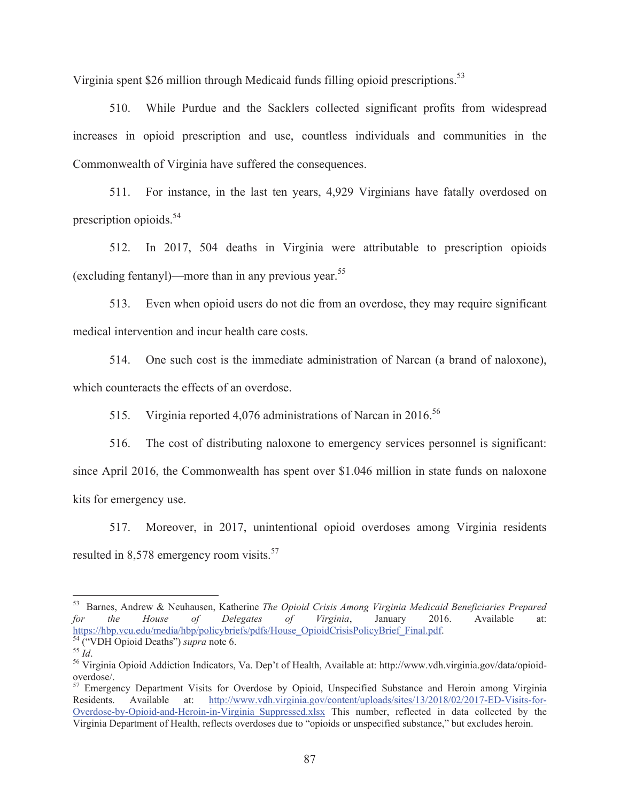Virginia spent \$26 million through Medicaid funds filling opioid prescriptions.<sup>53</sup>

510. While Purdue and the Sacklers collected significant profits from widespread increases in opioid prescription and use, countless individuals and communities in the Commonwealth of Virginia have suffered the consequences.

511. For instance, in the last ten years, 4,929 Virginians have fatally overdosed on prescription opioids. $54$ 

512. In 2017, 504 deaths in Virginia were attributable to prescription opioids (excluding fentanyl)—more than in any previous year.<sup>55</sup>

513. Even when opioid users do not die from an overdose, they may require significant medical intervention and incur health care costs.

514. One such cost is the immediate administration of Narcan (a brand of naloxone), which counteracts the effects of an overdose.

515. Virginia reported 4,076 administrations of Narcan in 2016.<sup>56</sup>

516. The cost of distributing naloxone to emergency services personnel is significant: since April 2016, the Commonwealth has spent over \$1.046 million in state funds on naloxone kits for emergency use.

517. Moreover, in 2017, unintentional opioid overdoses among Virginia residents resulted in 8,578 emergency room visits.<sup>57</sup>

 $\overline{a}$ 

<sup>53</sup> Barnes, Andrew & Neuhausen, Katherine *The Opioid Crisis Among Virginia Medicaid Beneficiaries Prepared for the House of Delegates of Virginia*, January 2016. Available at: https://hbp.vcu.edu/media/hbp/policybriefs/pdfs/House\_OpioidCrisisPolicyBrief\_Final.pdf.<br>
<sup>54</sup> ("VDH Opioid Deaths") *supra* note 6.<br>
<sup>55</sup> *Id.*<br>
<sup>56</sup> Virginia Opioid Addiction Indicators, Va. Dep't of Health, Available at

overdose/.

<sup>&</sup>lt;sup>57</sup> Emergency Department Visits for Overdose by Opioid, Unspecified Substance and Heroin among Virginia Residents. Available at: http://www.vdh.virginia.gov/content/uploads/sites/13/2018/02/2017-ED-Visits-for-Overdose-by-Opioid-and-Heroin-in-Virginia\_Suppressed.xlsx This number, reflected in data collected by the Virginia Department of Health, reflects overdoses due to "opioids or unspecified substance," but excludes heroin.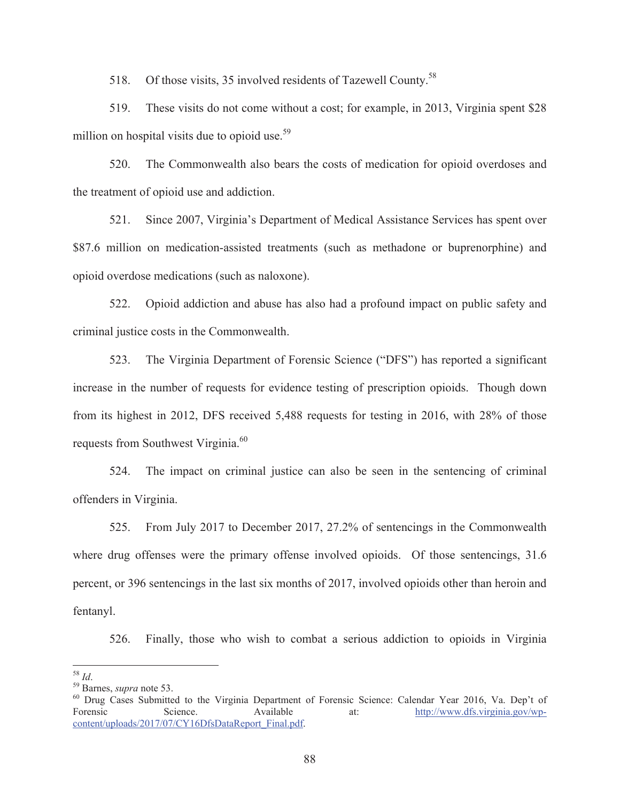518. Of those visits, 35 involved residents of Tazewell County.<sup>58</sup>

519. These visits do not come without a cost; for example, in 2013, Virginia spent \$28 million on hospital visits due to opioid use. $59$ 

520. The Commonwealth also bears the costs of medication for opioid overdoses and the treatment of opioid use and addiction.

521. Since 2007, Virginia's Department of Medical Assistance Services has spent over \$87.6 million on medication-assisted treatments (such as methadone or buprenorphine) and opioid overdose medications (such as naloxone).

522. Opioid addiction and abuse has also had a profound impact on public safety and criminal justice costs in the Commonwealth.

523. The Virginia Department of Forensic Science ("DFS") has reported a significant increase in the number of requests for evidence testing of prescription opioids. Though down from its highest in 2012, DFS received 5,488 requests for testing in 2016, with 28% of those requests from Southwest Virginia.<sup>60</sup>

524. The impact on criminal justice can also be seen in the sentencing of criminal offenders in Virginia.

525. From July 2017 to December 2017, 27.2% of sentencings in the Commonwealth where drug offenses were the primary offense involved opioids. Of those sentencings, 31.6 percent, or 396 sentencings in the last six months of 2017, involved opioids other than heroin and fentanyl.

526. Finally, those who wish to combat a serious addiction to opioids in Virginia

 $^{\rm 58}$  Id.

<sup>&</sup>lt;sup>59</sup> Barnes, *supra* note 53.<br><sup>60</sup> Drug Cases Submitted to the Virginia Department of Forensic Science: Calendar Year 2016, Va. Dep't of Forensic Science. Available at: http://www.dfs.virginia.gov/wpcontent/uploads/2017/07/CY16DfsDataReport\_Final.pdf.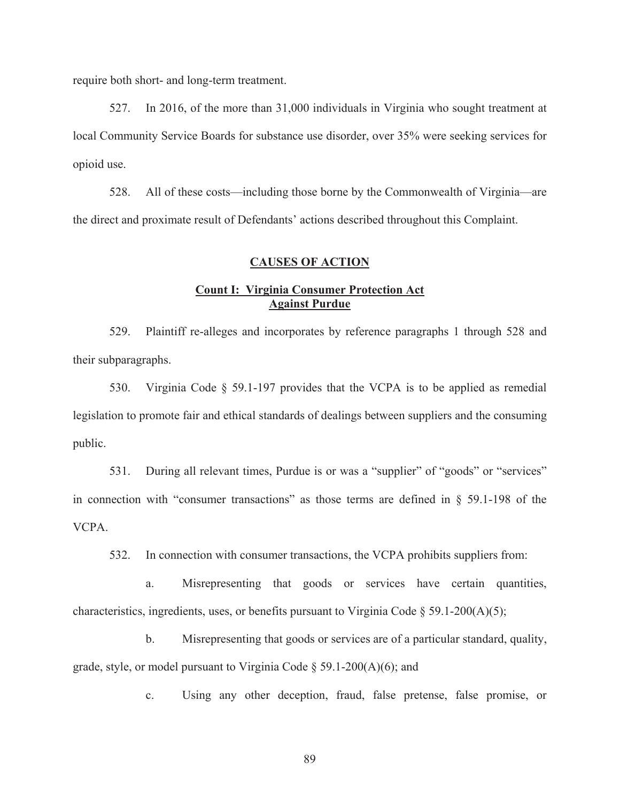require both short- and long-term treatment.

527. In 2016, of the more than 31,000 individuals in Virginia who sought treatment at local Community Service Boards for substance use disorder, over 35% were seeking services for opioid use.

528. All of these costs—including those borne by the Commonwealth of Virginia—are the direct and proximate result of Defendants' actions described throughout this Complaint.

#### **CAUSES OF ACTION**

# **Count I: Virginia Consumer Protection Act Against Purdue**

529. Plaintiff re-alleges and incorporates by reference paragraphs 1 through 528 and their subparagraphs.

530. Virginia Code § 59.1-197 provides that the VCPA is to be applied as remedial legislation to promote fair and ethical standards of dealings between suppliers and the consuming public.

531. During all relevant times, Purdue is or was a "supplier" of "goods" or "services" in connection with "consumer transactions" as those terms are defined in § 59.1-198 of the VCPA.

532. In connection with consumer transactions, the VCPA prohibits suppliers from:

a. Misrepresenting that goods or services have certain quantities, characteristics, ingredients, uses, or benefits pursuant to Virginia Code  $\S$  59.1-200(A)(5);

b. Misrepresenting that goods or services are of a particular standard, quality, grade, style, or model pursuant to Virginia Code  $\S$  59.1-200(A)(6); and

c. Using any other deception, fraud, false pretense, false promise, or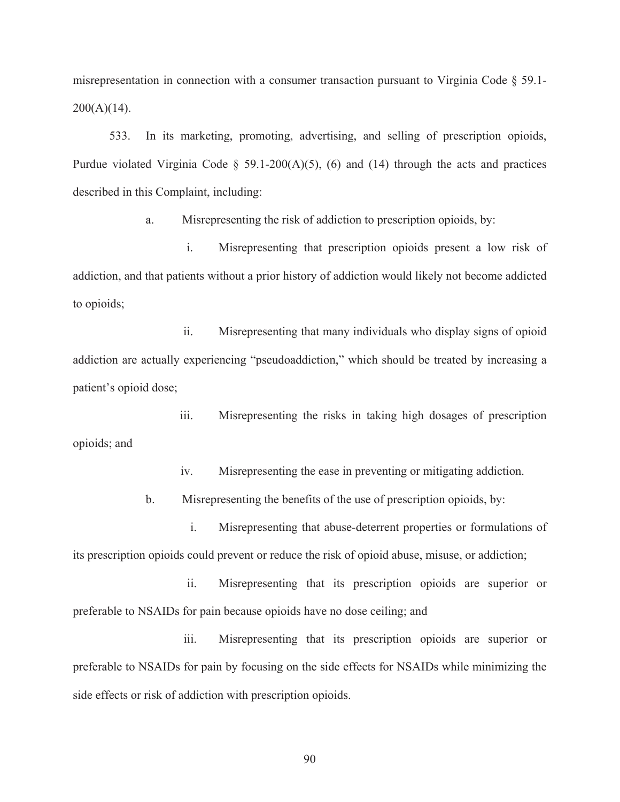misrepresentation in connection with a consumer transaction pursuant to Virginia Code § 59.1-  $200(A)(14)$ .

533. In its marketing, promoting, advertising, and selling of prescription opioids, Purdue violated Virginia Code  $\S$  59.1-200(A)(5), (6) and (14) through the acts and practices described in this Complaint, including:

a. Misrepresenting the risk of addiction to prescription opioids, by:

i. Misrepresenting that prescription opioids present a low risk of addiction, and that patients without a prior history of addiction would likely not become addicted to opioids;

ii. Misrepresenting that many individuals who display signs of opioid addiction are actually experiencing "pseudoaddiction," which should be treated by increasing a patient's opioid dose;

iii. Misrepresenting the risks in taking high dosages of prescription opioids; and

iv. Misrepresenting the ease in preventing or mitigating addiction.

b. Misrepresenting the benefits of the use of prescription opioids, by:

i. Misrepresenting that abuse-deterrent properties or formulations of its prescription opioids could prevent or reduce the risk of opioid abuse, misuse, or addiction;

ii. Misrepresenting that its prescription opioids are superior or preferable to NSAIDs for pain because opioids have no dose ceiling; and

iii. Misrepresenting that its prescription opioids are superior or preferable to NSAIDs for pain by focusing on the side effects for NSAIDs while minimizing the side effects or risk of addiction with prescription opioids.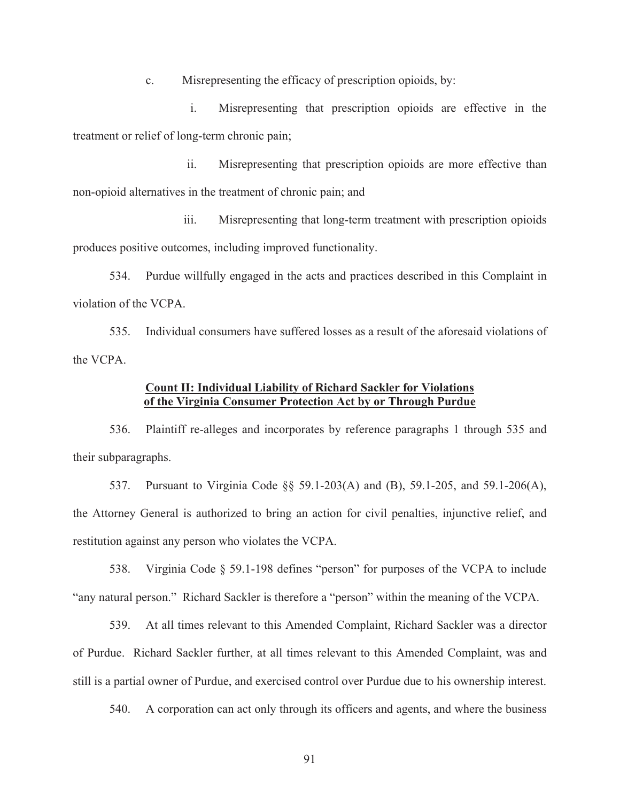c. Misrepresenting the efficacy of prescription opioids, by:

i. Misrepresenting that prescription opioids are effective in the treatment or relief of long-term chronic pain;

ii. Misrepresenting that prescription opioids are more effective than non-opioid alternatives in the treatment of chronic pain; and

iii. Misrepresenting that long-term treatment with prescription opioids produces positive outcomes, including improved functionality.

534. Purdue willfully engaged in the acts and practices described in this Complaint in violation of the VCPA.

535. Individual consumers have suffered losses as a result of the aforesaid violations of the VCPA.

## **Count II: Individual Liability of Richard Sackler for Violations of the Virginia Consumer Protection Act by or Through Purdue**

536. Plaintiff re-alleges and incorporates by reference paragraphs 1 through 535 and their subparagraphs.

537. Pursuant to Virginia Code §§ 59.1-203(A) and (B), 59.1-205, and 59.1-206(A), the Attorney General is authorized to bring an action for civil penalties, injunctive relief, and restitution against any person who violates the VCPA.

538. Virginia Code § 59.1-198 defines "person" for purposes of the VCPA to include "any natural person." Richard Sackler is therefore a "person" within the meaning of the VCPA.

539. At all times relevant to this Amended Complaint, Richard Sackler was a director of Purdue. Richard Sackler further, at all times relevant to this Amended Complaint, was and still is a partial owner of Purdue, and exercised control over Purdue due to his ownership interest.

540. A corporation can act only through its officers and agents, and where the business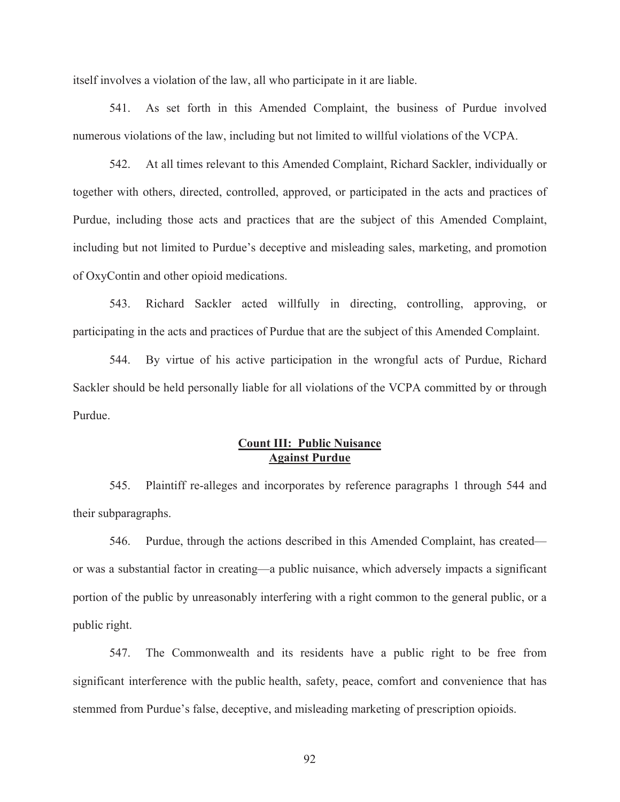itself involves a violation of the law, all who participate in it are liable.

541. As set forth in this Amended Complaint, the business of Purdue involved numerous violations of the law, including but not limited to willful violations of the VCPA.

542. At all times relevant to this Amended Complaint, Richard Sackler, individually or together with others, directed, controlled, approved, or participated in the acts and practices of Purdue, including those acts and practices that are the subject of this Amended Complaint, including but not limited to Purdue's deceptive and misleading sales, marketing, and promotion of OxyContin and other opioid medications.

543. Richard Sackler acted willfully in directing, controlling, approving, or participating in the acts and practices of Purdue that are the subject of this Amended Complaint.

544. By virtue of his active participation in the wrongful acts of Purdue, Richard Sackler should be held personally liable for all violations of the VCPA committed by or through Purdue.

# **Count III: Public Nuisance Against Purdue**

545. Plaintiff re-alleges and incorporates by reference paragraphs 1 through 544 and their subparagraphs.

546. Purdue, through the actions described in this Amended Complaint, has created or was a substantial factor in creating—a public nuisance, which adversely impacts a significant portion of the public by unreasonably interfering with a right common to the general public, or a public right.

547. The Commonwealth and its residents have a public right to be free from significant interference with the public health, safety, peace, comfort and convenience that has stemmed from Purdue's false, deceptive, and misleading marketing of prescription opioids.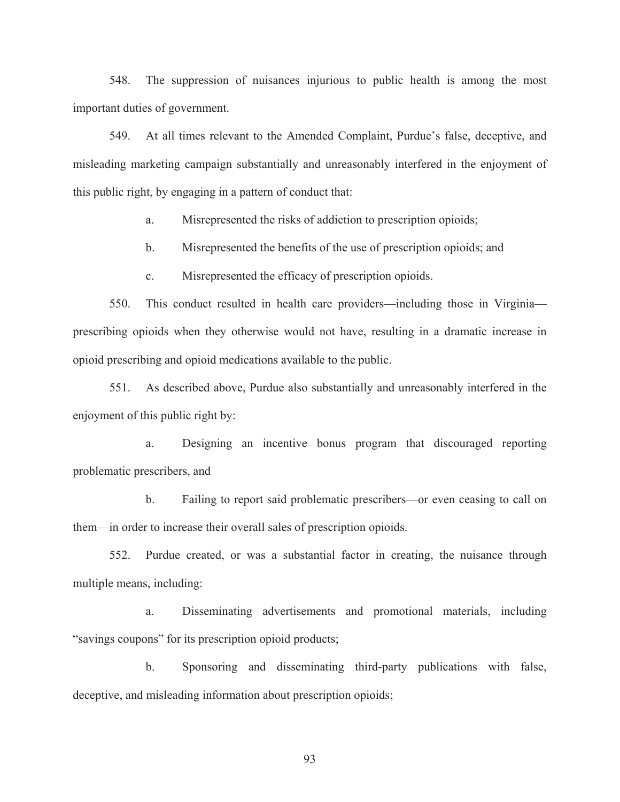548. The suppression of nuisances injurious to public health is among the most important duties of government.

549. At all times relevant to the Amended Complaint, Purdue's false, deceptive, and misleading marketing campaign substantially and unreasonably interfered in the enjoyment of this public right, by engaging in a pattern of conduct that:

a. Misrepresented the risks of addiction to prescription opioids;

b. Misrepresented the benefits of the use of prescription opioids; and

c. Misrepresented the efficacy of prescription opioids.

550. This conduct resulted in health care providers—including those in Virginia prescribing opioids when they otherwise would not have, resulting in a dramatic increase in opioid prescribing and opioid medications available to the public.

551. As described above, Purdue also substantially and unreasonably interfered in the enjoyment of this public right by:

a. Designing an incentive bonus program that discouraged reporting problematic prescribers, and

b. Failing to report said problematic prescribers—or even ceasing to call on them—in order to increase their overall sales of prescription opioids.

552. Purdue created, or was a substantial factor in creating, the nuisance through multiple means, including:

a. Disseminating advertisements and promotional materials, including "savings coupons" for its prescription opioid products;

b. Sponsoring and disseminating third-party publications with false, deceptive, and misleading information about prescription opioids;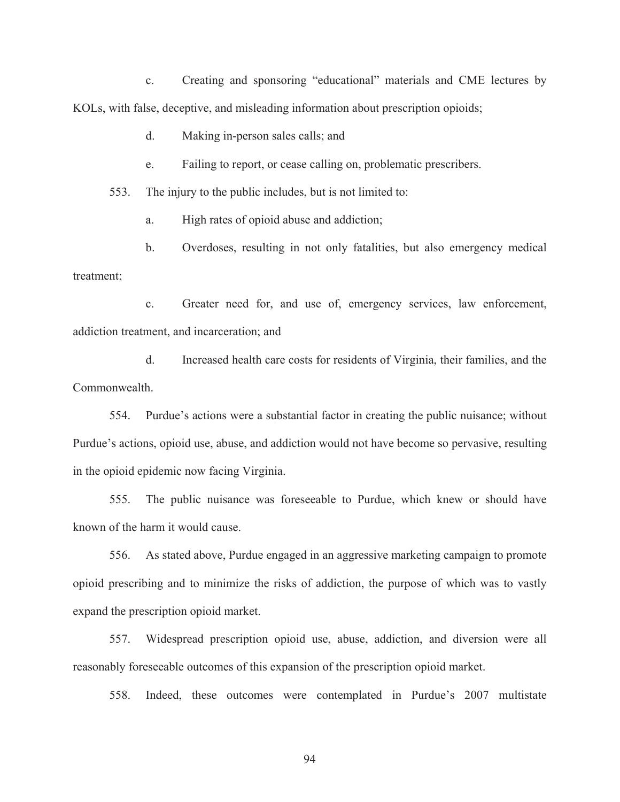c. Creating and sponsoring "educational" materials and CME lectures by KOLs, with false, deceptive, and misleading information about prescription opioids;

d. Making in-person sales calls; and

e. Failing to report, or cease calling on, problematic prescribers.

553. The injury to the public includes, but is not limited to:

a. High rates of opioid abuse and addiction;

b. Overdoses, resulting in not only fatalities, but also emergency medical treatment;

c. Greater need for, and use of, emergency services, law enforcement, addiction treatment, and incarceration; and

d. Increased health care costs for residents of Virginia, their families, and the Commonwealth.

554. Purdue's actions were a substantial factor in creating the public nuisance; without Purdue's actions, opioid use, abuse, and addiction would not have become so pervasive, resulting in the opioid epidemic now facing Virginia.

555. The public nuisance was foreseeable to Purdue, which knew or should have known of the harm it would cause.

556. As stated above, Purdue engaged in an aggressive marketing campaign to promote opioid prescribing and to minimize the risks of addiction, the purpose of which was to vastly expand the prescription opioid market.

557. Widespread prescription opioid use, abuse, addiction, and diversion were all reasonably foreseeable outcomes of this expansion of the prescription opioid market.

558. Indeed, these outcomes were contemplated in Purdue's 2007 multistate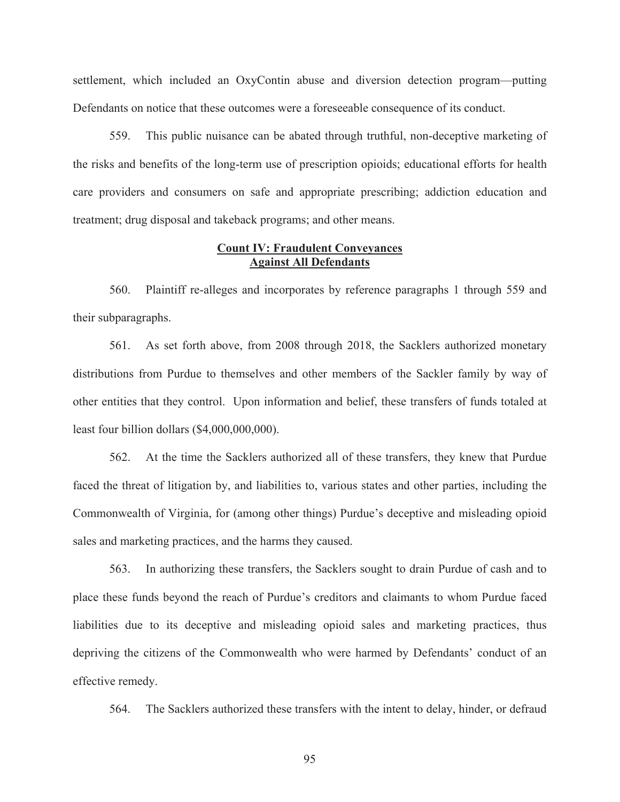settlement, which included an OxyContin abuse and diversion detection program—putting Defendants on notice that these outcomes were a foreseeable consequence of its conduct.

559. This public nuisance can be abated through truthful, non-deceptive marketing of the risks and benefits of the long-term use of prescription opioids; educational efforts for health care providers and consumers on safe and appropriate prescribing; addiction education and treatment; drug disposal and takeback programs; and other means.

### **Count IV: Fraudulent Conveyances Against All Defendants**

560. Plaintiff re-alleges and incorporates by reference paragraphs 1 through 559 and their subparagraphs.

561. As set forth above, from 2008 through 2018, the Sacklers authorized monetary distributions from Purdue to themselves and other members of the Sackler family by way of other entities that they control. Upon information and belief, these transfers of funds totaled at least four billion dollars (\$4,000,000,000).

562. At the time the Sacklers authorized all of these transfers, they knew that Purdue faced the threat of litigation by, and liabilities to, various states and other parties, including the Commonwealth of Virginia, for (among other things) Purdue's deceptive and misleading opioid sales and marketing practices, and the harms they caused.

563. In authorizing these transfers, the Sacklers sought to drain Purdue of cash and to place these funds beyond the reach of Purdue's creditors and claimants to whom Purdue faced liabilities due to its deceptive and misleading opioid sales and marketing practices, thus depriving the citizens of the Commonwealth who were harmed by Defendants' conduct of an effective remedy.

564. The Sacklers authorized these transfers with the intent to delay, hinder, or defraud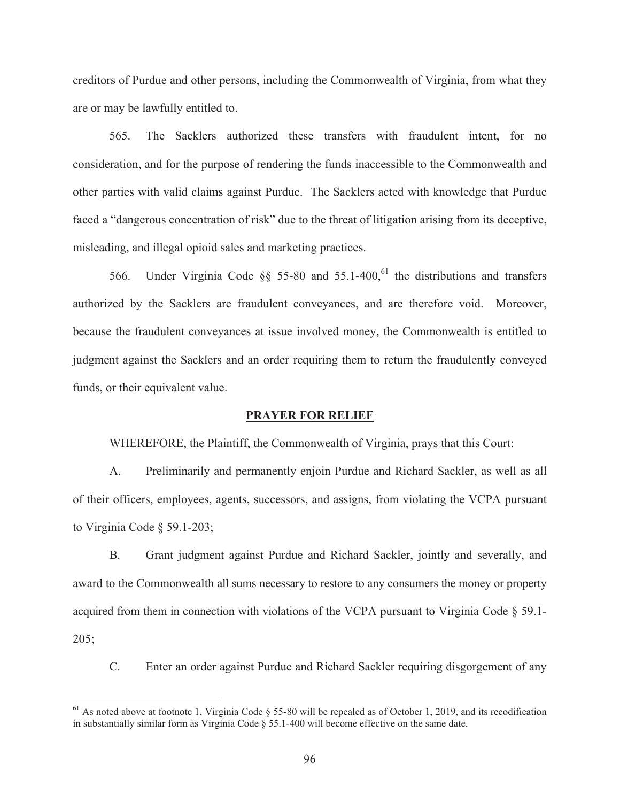creditors of Purdue and other persons, including the Commonwealth of Virginia, from what they are or may be lawfully entitled to.

565. The Sacklers authorized these transfers with fraudulent intent, for no consideration, and for the purpose of rendering the funds inaccessible to the Commonwealth and other parties with valid claims against Purdue. The Sacklers acted with knowledge that Purdue faced a "dangerous concentration of risk" due to the threat of litigation arising from its deceptive, misleading, and illegal opioid sales and marketing practices.

566. Under Virginia Code  $\S$  55-80 and 55.1-400,<sup>61</sup> the distributions and transfers authorized by the Sacklers are fraudulent conveyances, and are therefore void. Moreover, because the fraudulent conveyances at issue involved money, the Commonwealth is entitled to judgment against the Sacklers and an order requiring them to return the fraudulently conveyed funds, or their equivalent value.

#### **PRAYER FOR RELIEF**

WHEREFORE, the Plaintiff, the Commonwealth of Virginia, prays that this Court:

A. Preliminarily and permanently enjoin Purdue and Richard Sackler, as well as all of their officers, employees, agents, successors, and assigns, from violating the VCPA pursuant to Virginia Code § 59.1-203;

B. Grant judgment against Purdue and Richard Sackler, jointly and severally, and award to the Commonwealth all sums necessary to restore to any consumers the money or property acquired from them in connection with violations of the VCPA pursuant to Virginia Code § 59.1-  $205;$ 

C. Enter an order against Purdue and Richard Sackler requiring disgorgement of any

 $\overline{a}$ 

<sup>&</sup>lt;sup>61</sup> As noted above at footnote 1, Virginia Code § 55-80 will be repealed as of October 1, 2019, and its recodification in substantially similar form as Virginia Code § 55.1-400 will become effective on the same date.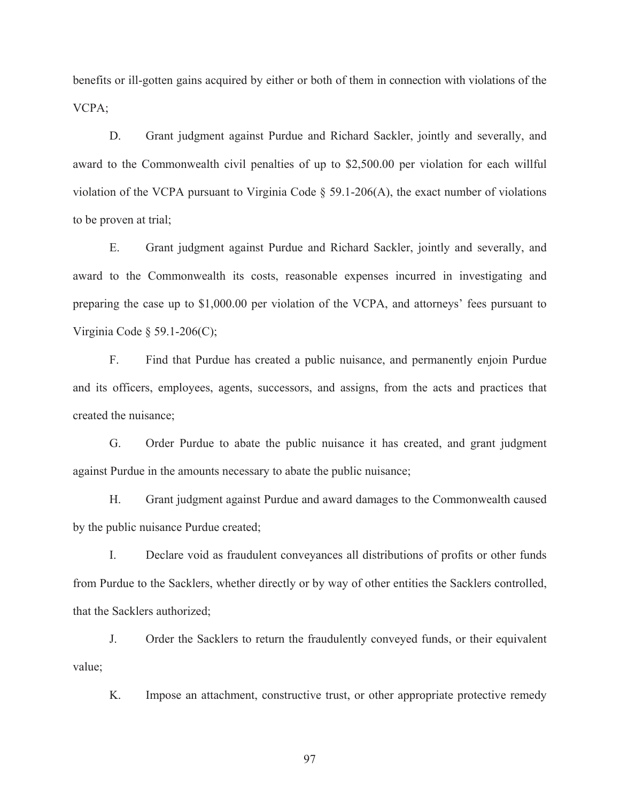benefits or ill-gotten gains acquired by either or both of them in connection with violations of the VCPA;

D. Grant judgment against Purdue and Richard Sackler, jointly and severally, and award to the Commonwealth civil penalties of up to \$2,500.00 per violation for each willful violation of the VCPA pursuant to Virginia Code § 59.1-206(A), the exact number of violations to be proven at trial;

E. Grant judgment against Purdue and Richard Sackler, jointly and severally, and award to the Commonwealth its costs, reasonable expenses incurred in investigating and preparing the case up to \$1,000.00 per violation of the VCPA, and attorneys' fees pursuant to Virginia Code § 59.1-206(C);

F. Find that Purdue has created a public nuisance, and permanently enjoin Purdue and its officers, employees, agents, successors, and assigns, from the acts and practices that created the nuisance;

G. Order Purdue to abate the public nuisance it has created, and grant judgment against Purdue in the amounts necessary to abate the public nuisance;

H. Grant judgment against Purdue and award damages to the Commonwealth caused by the public nuisance Purdue created;

I. Declare void as fraudulent conveyances all distributions of profits or other funds from Purdue to the Sacklers, whether directly or by way of other entities the Sacklers controlled, that the Sacklers authorized;

J. Order the Sacklers to return the fraudulently conveyed funds, or their equivalent value;

K. Impose an attachment, constructive trust, or other appropriate protective remedy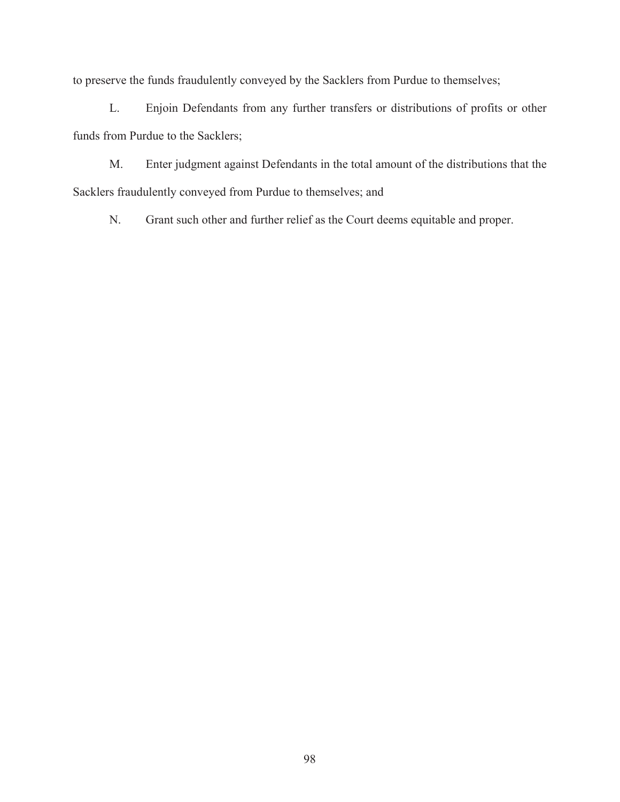to preserve the funds fraudulently conveyed by the Sacklers from Purdue to themselves;

L. Enjoin Defendants from any further transfers or distributions of profits or other funds from Purdue to the Sacklers;

M. Enter judgment against Defendants in the total amount of the distributions that the Sacklers fraudulently conveyed from Purdue to themselves; and

N. Grant such other and further relief as the Court deems equitable and proper.